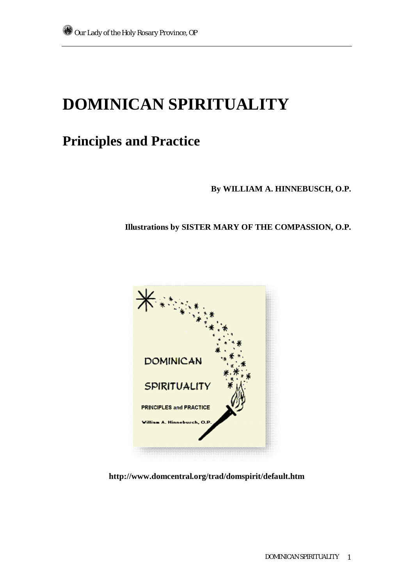# **DOMINICAN SPIRITUALITY**

# **Principles and Practice**

**By WILLIAM A. HINNEBUSCH, O.P.** 

**Illustrations by SISTER MARY OF THE COMPASSION, O.P.** 



**http://www.domcentral.org/trad/domspirit/default.htm**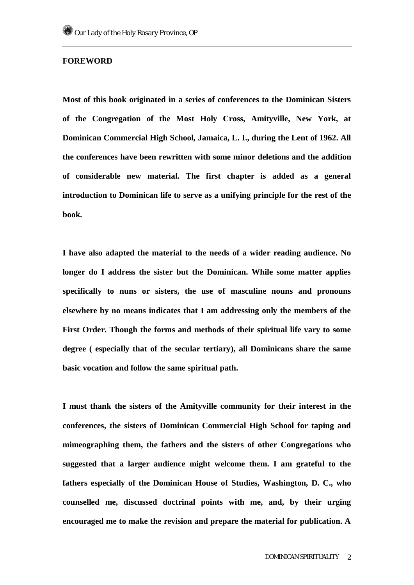# **FOREWORD**

**Most of this book originated in a series of conferences to the Dominican Sisters of the Congregation of the Most Holy Cross, Amityville, New York, at Dominican Commercial High School, Jamaica, L. I., during the Lent of 1962. All the conferences have been rewritten with some minor deletions and the addition of considerable new material. The first chapter is added as a general introduction to Dominican life to serve as a unifying principle for the rest of the book.** 

**I have also adapted the material to the needs of a wider reading audience. No longer do I address the sister but the Dominican. While some matter applies specifically to nuns or sisters, the use of masculine nouns and pronouns elsewhere by no means indicates that I am addressing only the members of the First Order. Though the forms and methods of their spiritual life vary to some degree ( especially that of the secular tertiary), all Dominicans share the same basic vocation and follow the same spiritual path.** 

**I must thank the sisters of the Amityville community for their interest in the conferences, the sisters of Dominican Commercial High School for taping and mimeographing them, the fathers and the sisters of other Congregations who suggested that a larger audience might welcome them. I am grateful to the fathers especially of the Dominican House of Studies, Washington, D. C., who counselled me, discussed doctrinal points with me, and, by their urging encouraged me to make the revision and prepare the material for publication. A**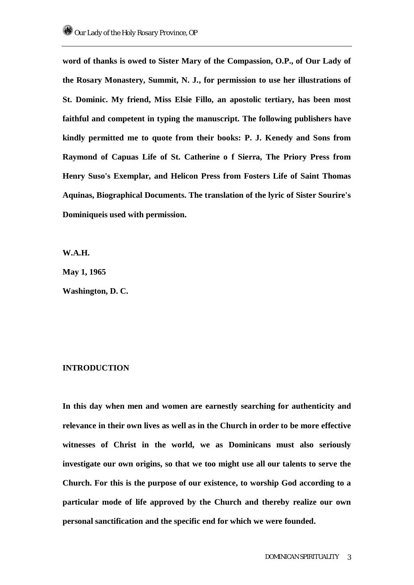**word of thanks is owed to Sister Mary of the Compassion, O.P., of Our Lady of the Rosary Monastery, Summit, N. J., for permission to use her illustrations of St. Dominic. My friend, Miss Elsie Fillo, an apostolic tertiary, has been most faithful and competent in typing the manuscript. The following publishers have kindly permitted me to quote from their books: P. J. Kenedy and Sons from Raymond of Capuas Life of St. Catherine o f Sierra, The Priory Press from Henry Suso's Exemplar, and Helicon Press from Fosters Life of Saint Thomas Aquinas, Biographical Documents. The translation of the lyric of Sister Sourire's Dominiqueis used with permission.** 

**W.A.H.** 

**May 1, 1965** 

**Washington, D. C.** 

# **INTRODUCTION**

**In this day when men and women are earnestly searching for authenticity and relevance in their own lives as well as in the Church in order to be more effective witnesses of Christ in the world, we as Dominicans must also seriously investigate our own origins, so that we too might use all our talents to serve the Church. For this is the purpose of our existence, to worship God according to a particular mode of life approved by the Church and thereby realize our own personal sanctification and the specific end for which we were founded.**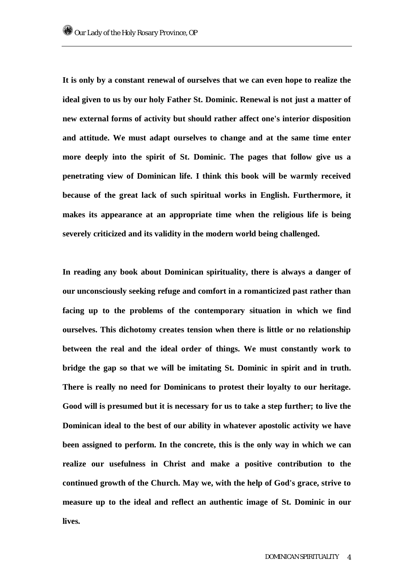**It is only by a constant renewal of ourselves that we can even hope to realize the ideal given to us by our holy Father St. Dominic. Renewal is not just a matter of new external forms of activity but should rather affect one's interior disposition and attitude. We must adapt ourselves to change and at the same time enter more deeply into the spirit of St. Dominic. The pages that follow give us a penetrating view of Dominican life. I think this book will be warmly received because of the great lack of such spiritual works in English. Furthermore, it makes its appearance at an appropriate time when the religious life is being severely criticized and its validity in the modern world being challenged.** 

**In reading any book about Dominican spirituality, there is always a danger of our unconsciously seeking refuge and comfort in a romanticized past rather than facing up to the problems of the contemporary situation in which we find ourselves. This dichotomy creates tension when there is little or no relationship between the real and the ideal order of things. We must constantly work to bridge the gap so that we will be imitating St. Dominic in spirit and in truth. There is really no need for Dominicans to protest their loyalty to our heritage. Good will is presumed but it is necessary for us to take a step further; to live the Dominican ideal to the best of our ability in whatever apostolic activity we have been assigned to perform. In the concrete, this is the only way in which we can realize our usefulness in Christ and make a positive contribution to the continued growth of the Church. May we, with the help of God's grace, strive to measure up to the ideal and reflect an authentic image of St. Dominic in our lives.**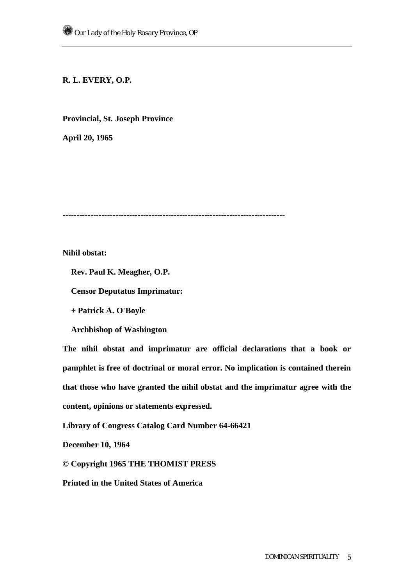# **R. L. EVERY, O.P.**

# **Provincial, St. Joseph Province**

**April 20, 1965** 

**--------------------------------------------------------------------------------** 

**Nihil obstat:** 

 **Rev. Paul K. Meagher, O.P.** 

 **Censor Deputatus Imprimatur:** 

 **+ Patrick A. O'Boyle** 

 **Archbishop of Washington** 

**The nihil obstat and imprimatur are official declarations that a book or pamphlet is free of doctrinal or moral error. No implication is contained therein that those who have granted the nihil obstat and the imprimatur agree with the content, opinions or statements expressed.** 

**Library of Congress Catalog Card Number 64-66421** 

**December 10, 1964** 

**© Copyright 1965 THE THOMIST PRESS** 

**Printed in the United States of America**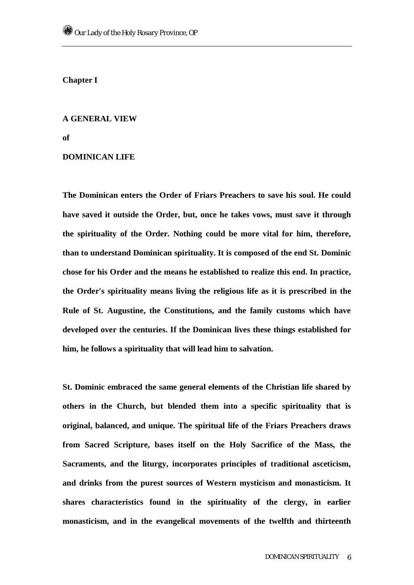**Chapter I** 

### **A GENERAL VIEW**

**of** 

# **DOMINICAN LIFE**

**The Dominican enters the Order of Friars Preachers to save his soul. He could have saved it outside the Order, but, once he takes vows, must save it through the spirituality of the Order. Nothing could be more vital for him, therefore, than to understand Dominican spirituality. It is composed of the end St. Dominic chose for his Order and the means he established to realize this end. In practice, the Order's spirituality means living the religious life as it is prescribed in the Rule of St. Augustine, the Constitutions, and the family customs which have developed over the centuries. If the Dominican lives these things established for him, he follows a spirituality that will lead him to salvation.** 

**St. Dominic embraced the same general elements of the Christian life shared by others in the Church, but blended them into a specific spirituality that is original, balanced, and unique. The spiritual life of the Friars Preachers draws from Sacred Scripture, bases itself on the Holy Sacrifice of the Mass, the Sacraments, and the liturgy, incorporates principles of traditional asceticism, and drinks from the purest sources of Western mysticism and monasticism. It shares characteristics found in the spirituality of the clergy, in earlier monasticism, and in the evangelical movements of the twelfth and thirteenth**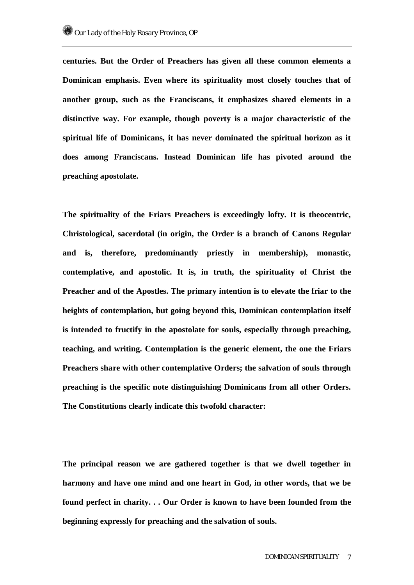**centuries. But the Order of Preachers has given all these common elements a Dominican emphasis. Even where its spirituality most closely touches that of another group, such as the Franciscans, it emphasizes shared elements in a distinctive way. For example, though poverty is a major characteristic of the spiritual life of Dominicans, it has never dominated the spiritual horizon as it does among Franciscans. Instead Dominican life has pivoted around the preaching apostolate.** 

**The spirituality of the Friars Preachers is exceedingly lofty. It is theocentric, Christological, sacerdotal (in origin, the Order is a branch of Canons Regular and is, therefore, predominantly priestly in membership), monastic, contemplative, and apostolic. It is, in truth, the spirituality of Christ the Preacher and of the Apostles. The primary intention is to elevate the friar to the heights of contemplation, but going beyond this, Dominican contemplation itself is intended to fructify in the apostolate for souls, especially through preaching, teaching, and writing. Contemplation is the generic element, the one the Friars Preachers share with other contemplative Orders; the salvation of souls through preaching is the specific note distinguishing Dominicans from all other Orders. The Constitutions clearly indicate this twofold character:** 

**The principal reason we are gathered together is that we dwell together in harmony and have one mind and one heart in God, in other words, that we be found perfect in charity. . . Our Order is known to have been founded from the beginning expressly for preaching and the salvation of souls.**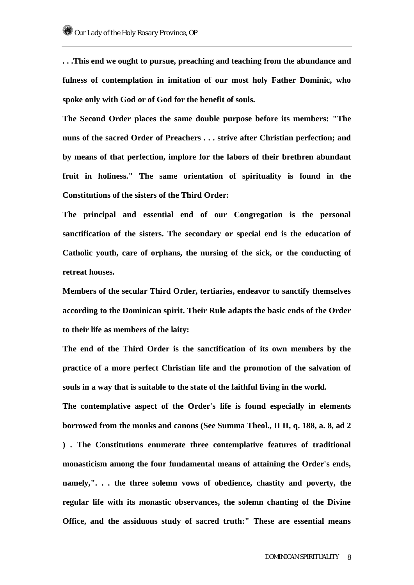**. . .This end we ought to pursue, preaching and teaching from the abundance and fulness of contemplation in imitation of our most holy Father Dominic, who spoke only with God or of God for the benefit of souls.** 

**The Second Order places the same double purpose before its members: "The nuns of the sacred Order of Preachers . . . strive after Christian perfection; and by means of that perfection, implore for the labors of their brethren abundant fruit in holiness." The same orientation of spirituality is found in the Constitutions of the sisters of the Third Order:** 

**The principal and essential end of our Congregation is the personal sanctification of the sisters. The secondary or special end is the education of Catholic youth, care of orphans, the nursing of the sick, or the conducting of retreat houses.** 

**Members of the secular Third Order, tertiaries, endeavor to sanctify themselves according to the Dominican spirit. Their Rule adapts the basic ends of the Order to their life as members of the laity:** 

**The end of the Third Order is the sanctification of its own members by the practice of a more perfect Christian life and the promotion of the salvation of souls in a way that is suitable to the state of the faithful living in the world.** 

**The contemplative aspect of the Order's life is found especially in elements borrowed from the monks and canons (See Summa Theol., II II, q. 188, a. 8, ad 2 ) . The Constitutions enumerate three contemplative features of traditional monasticism among the four fundamental means of attaining the Order's ends, namely,". . . the three solemn vows of obedience, chastity and poverty, the regular life with its monastic observances, the solemn chanting of the Divine Office, and the assiduous study of sacred truth:" These are essential means**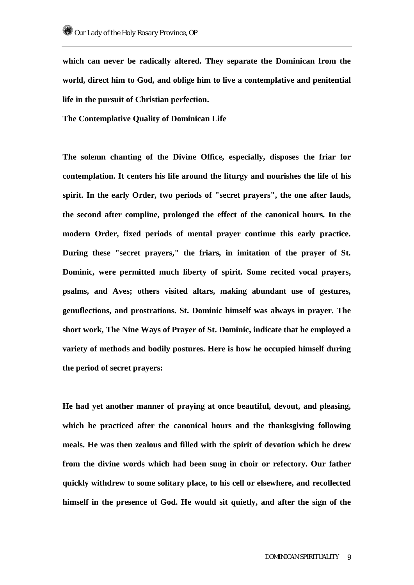**which can never be radically altered. They separate the Dominican from the world, direct him to God, and oblige him to live a contemplative and penitential life in the pursuit of Christian perfection.** 

**The Contemplative Quality of Dominican Life** 

**The solemn chanting of the Divine Office, especially, disposes the friar for contemplation. It centers his life around the liturgy and nourishes the life of his spirit. In the early Order, two periods of "secret prayers", the one after lauds, the second after compline, prolonged the effect of the canonical hours. In the modern Order, fixed periods of mental prayer continue this early practice. During these "secret prayers," the friars, in imitation of the prayer of St. Dominic, were permitted much liberty of spirit. Some recited vocal prayers, psalms, and Aves; others visited altars, making abundant use of gestures, genuflections, and prostrations. St. Dominic himself was always in prayer. The short work, The Nine Ways of Prayer of St. Dominic, indicate that he employed a variety of methods and bodily postures. Here is how he occupied himself during the period of secret prayers:** 

**He had yet another manner of praying at once beautiful, devout, and pleasing, which he practiced after the canonical hours and the thanksgiving following meals. He was then zealous and filled with the spirit of devotion which he drew from the divine words which had been sung in choir or refectory. Our father quickly withdrew to some solitary place, to his cell or elsewhere, and recollected himself in the presence of God. He would sit quietly, and after the sign of the**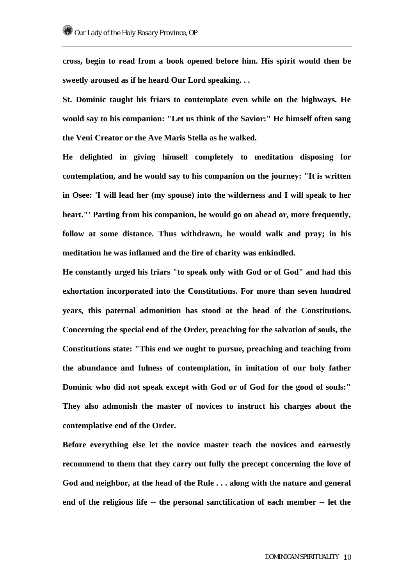**cross, begin to read from a book opened before him. His spirit would then be sweetly aroused as if he heard Our Lord speaking. . .** 

**St. Dominic taught his friars to contemplate even while on the highways. He would say to his companion: "Let us think of the Savior:" He himself often sang the Veni Creator or the Ave Maris Stella as he walked.** 

**He delighted in giving himself completely to meditation disposing for contemplation, and he would say to his companion on the journey: "It is written in Osee: 'I will lead her (my spouse) into the wilderness and I will speak to her heart."' Parting from his companion, he would go on ahead or, more frequently, follow at some distance. Thus withdrawn, he would walk and pray; in his meditation he was inflamed and the fire of charity was enkindled.** 

**He constantly urged his friars "to speak only with God or of God" and had this exhortation incorporated into the Constitutions. For more than seven hundred years, this paternal admonition has stood at the head of the Constitutions. Concerning the special end of the Order, preaching for the salvation of souls, the Constitutions state: "This end we ought to pursue, preaching and teaching from the abundance and fulness of contemplation, in imitation of our holy father Dominic who did not speak except with God or of God for the good of souls:" They also admonish the master of novices to instruct his charges about the contemplative end of the Order.** 

**Before everything else let the novice master teach the novices and earnestly recommend to them that they carry out fully the precept concerning the love of God and neighbor, at the head of the Rule . . . along with the nature and general end of the religious life -- the personal sanctification of each member -- let the**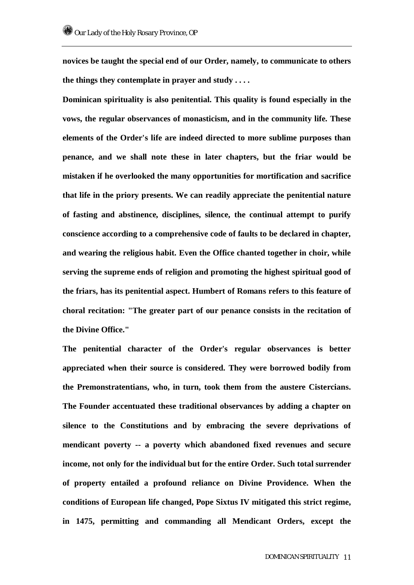**novices be taught the special end of our Order, namely, to communicate to others the things they contemplate in prayer and study . . . .** 

**Dominican spirituality is also penitential. This quality is found especially in the vows, the regular observances of monasticism, and in the community life. These elements of the Order's life are indeed directed to more sublime purposes than penance, and we shall note these in later chapters, but the friar would be mistaken if he overlooked the many opportunities for mortification and sacrifice that life in the priory presents. We can readily appreciate the penitential nature of fasting and abstinence, disciplines, silence, the continual attempt to purify conscience according to a comprehensive code of faults to be declared in chapter, and wearing the religious habit. Even the Office chanted together in choir, while serving the supreme ends of religion and promoting the highest spiritual good of the friars, has its penitential aspect. Humbert of Romans refers to this feature of choral recitation: "The greater part of our penance consists in the recitation of the Divine Office."** 

**The penitential character of the Order's regular observances is better appreciated when their source is considered. They were borrowed bodily from the Premonstratentians, who, in turn, took them from the austere Cistercians. The Founder accentuated these traditional observances by adding a chapter on silence to the Constitutions and by embracing the severe deprivations of mendicant poverty -- a poverty which abandoned fixed revenues and secure income, not only for the individual but for the entire Order. Such total surrender of property entailed a profound reliance on Divine Providence. When the conditions of European life changed, Pope Sixtus IV mitigated this strict regime, in 1475, permitting and commanding all Mendicant Orders, except the**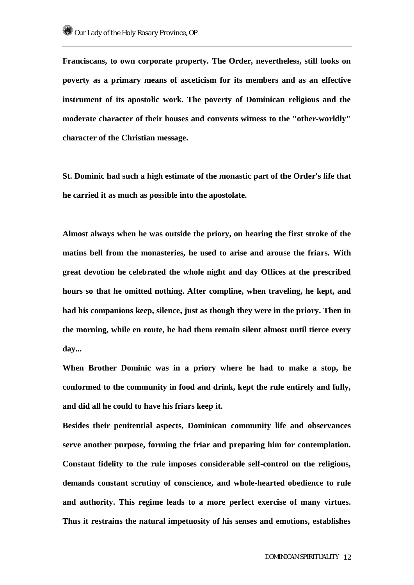**Franciscans, to own corporate property. The Order, nevertheless, still looks on poverty as a primary means of asceticism for its members and as an effective instrument of its apostolic work. The poverty of Dominican religious and the moderate character of their houses and convents witness to the "other-worldly" character of the Christian message.** 

**St. Dominic had such a high estimate of the monastic part of the Order's life that he carried it as much as possible into the apostolate.** 

**Almost always when he was outside the priory, on hearing the first stroke of the matins bell from the monasteries, he used to arise and arouse the friars. With great devotion he celebrated the whole night and day Offices at the prescribed hours so that he omitted nothing. After compline, when traveling, he kept, and had his companions keep, silence, just as though they were in the priory. Then in the morning, while en route, he had them remain silent almost until tierce every day...** 

**When Brother Dominic was in a priory where he had to make a stop, he conformed to the community in food and drink, kept the rule entirely and fully, and did all he could to have his friars keep it.** 

**Besides their penitential aspects, Dominican community life and observances serve another purpose, forming the friar and preparing him for contemplation. Constant fidelity to the rule imposes considerable self-control on the religious, demands constant scrutiny of conscience, and whole-hearted obedience to rule and authority. This regime leads to a more perfect exercise of many virtues. Thus it restrains the natural impetuosity of his senses and emotions, establishes**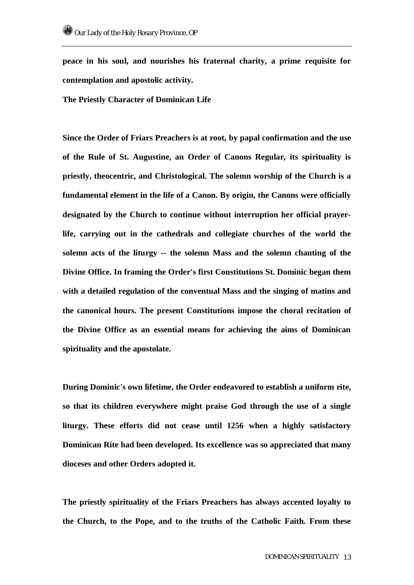**peace in his soul, and nourishes his fraternal charity, a prime requisite for contemplation and apostolic activity.** 

**The Priestly Character of Dominican Life** 

**Since the Order of Friars Preachers is at root, by papal confirmation and the use of the Rule of St. Augustine, an Order of Canons Regular, its spirituality is priestly, theocentric, and Christological. The solemn worship of the Church is a fundamental element in the life of a Canon. By origin, the Canons were officially designated by the Church to continue without interruption her official prayerlife, carrying out in the cathedrals and collegiate churches of the world the solemn acts of the liturgy -- the solemn Mass and the solemn chanting of the Divine Office. In framing the Order's first Constitutions St. Dominic began them with a detailed regulation of the conventual Mass and the singing of matins and the canonical hours. The present Constitutions impose the choral recitation of the Divine Office as an essential means for achieving the aims of Dominican spirituality and the apostolate.** 

**During Dominic's own lifetime, the Order endeavored to establish a uniform rite, so that its children everywhere might praise God through the use of a single liturgy. These efforts did not cease until 1256 when a highly satisfactory Dominican Rite had been developed. Its excellence was so appreciated that many dioceses and other Orders adopted it.** 

**The priestly spirituality of the Friars Preachers has always accented loyalty to the Church, to the Pope, and to the truths of the Catholic Faith. From these**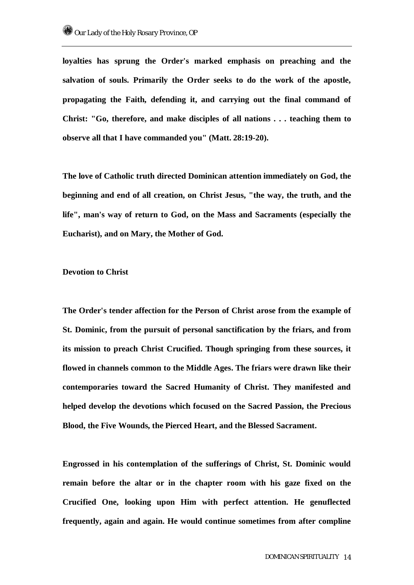**loyalties has sprung the Order's marked emphasis on preaching and the salvation of souls. Primarily the Order seeks to do the work of the apostle, propagating the Faith, defending it, and carrying out the final command of Christ: "Go, therefore, and make disciples of all nations . . . teaching them to observe all that I have commanded you" (Matt. 28:19-20).** 

**The love of Catholic truth directed Dominican attention immediately on God, the beginning and end of all creation, on Christ Jesus, "the way, the truth, and the life", man's way of return to God, on the Mass and Sacraments (especially the Eucharist), and on Mary, the Mother of God.** 

#### **Devotion to Christ**

**The Order's tender affection for the Person of Christ arose from the example of St. Dominic, from the pursuit of personal sanctification by the friars, and from its mission to preach Christ Crucified. Though springing from these sources, it flowed in channels common to the Middle Ages. The friars were drawn like their contemporaries toward the Sacred Humanity of Christ. They manifested and helped develop the devotions which focused on the Sacred Passion, the Precious Blood, the Five Wounds, the Pierced Heart, and the Blessed Sacrament.** 

**Engrossed in his contemplation of the sufferings of Christ, St. Dominic would remain before the altar or in the chapter room with his gaze fixed on the Crucified One, looking upon Him with perfect attention. He genuflected frequently, again and again. He would continue sometimes from after compline**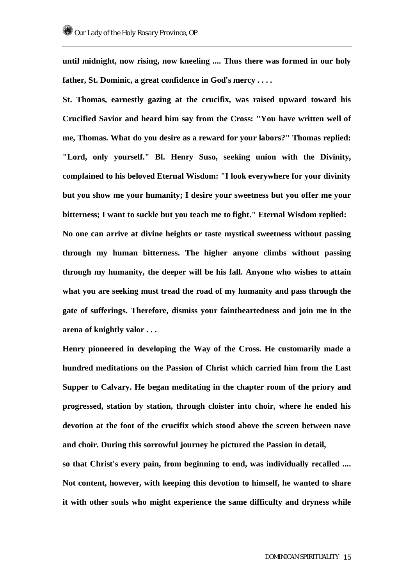**until midnight, now rising, now kneeling .... Thus there was formed in our holy father, St. Dominic, a great confidence in God's mercy . . . .** 

**St. Thomas, earnestly gazing at the crucifix, was raised upward toward his Crucified Savior and heard him say from the Cross: "You have written well of me, Thomas. What do you desire as a reward for your labors?" Thomas replied: "Lord, only yourself." Bl. Henry Suso, seeking union with the Divinity, complained to his beloved Eternal Wisdom: "I look everywhere for your divinity but you show me your humanity; I desire your sweetness but you offer me your bitterness; I want to suckle but you teach me to fight." Eternal Wisdom replied: No one can arrive at divine heights or taste mystical sweetness without passing through my human bitterness. The higher anyone climbs without passing through my humanity, the deeper will be his fall. Anyone who wishes to attain what you are seeking must tread the road of my humanity and pass through the gate of sufferings. Therefore, dismiss your faintheartedness and join me in the arena of knightly valor . . .** 

**Henry pioneered in developing the Way of the Cross. He customarily made a hundred meditations on the Passion of Christ which carried him from the Last Supper to Calvary. He began meditating in the chapter room of the priory and progressed, station by station, through cloister into choir, where he ended his devotion at the foot of the crucifix which stood above the screen between nave and choir. During this sorrowful journey he pictured the Passion in detail,** 

**so that Christ's every pain, from beginning to end, was individually recalled .... Not content, however, with keeping this devotion to himself, he wanted to share it with other souls who might experience the same difficulty and dryness while**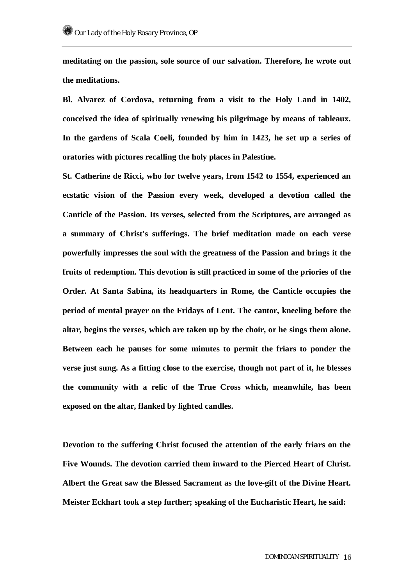**meditating on the passion, sole source of our salvation. Therefore, he wrote out the meditations.** 

**Bl. Alvarez of Cordova, returning from a visit to the Holy Land in 1402, conceived the idea of spiritually renewing his pilgrimage by means of tableaux. In the gardens of Scala Coeli, founded by him in 1423, he set up a series of oratories with pictures recalling the holy places in Palestine.** 

**St. Catherine de Ricci, who for twelve years, from 1542 to 1554, experienced an ecstatic vision of the Passion every week, developed a devotion called the Canticle of the Passion. Its verses, selected from the Scriptures, are arranged as a summary of Christ's sufferings. The brief meditation made on each verse powerfully impresses the soul with the greatness of the Passion and brings it the fruits of redemption. This devotion is still practiced in some of the priories of the Order. At Santa Sabina, its headquarters in Rome, the Canticle occupies the period of mental prayer on the Fridays of Lent. The cantor, kneeling before the altar, begins the verses, which are taken up by the choir, or he sings them alone. Between each he pauses for some minutes to permit the friars to ponder the verse just sung. As a fitting close to the exercise, though not part of it, he blesses the community with a relic of the True Cross which, meanwhile, has been exposed on the altar, flanked by lighted candles.** 

**Devotion to the suffering Christ focused the attention of the early friars on the Five Wounds. The devotion carried them inward to the Pierced Heart of Christ. Albert the Great saw the Blessed Sacrament as the love-gift of the Divine Heart. Meister Eckhart took a step further; speaking of the Eucharistic Heart, he said:**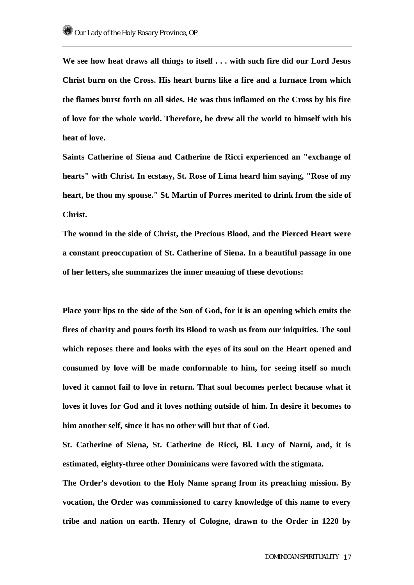**We see how heat draws all things to itself . . . with such fire did our Lord Jesus Christ burn on the Cross. His heart burns like a fire and a furnace from which the flames burst forth on all sides. He was thus inflamed on the Cross by his fire of love for the whole world. Therefore, he drew all the world to himself with his heat of love.** 

**Saints Catherine of Siena and Catherine de Ricci experienced an "exchange of hearts" with Christ. In ecstasy, St. Rose of Lima heard him saying, "Rose of my heart, be thou my spouse." St. Martin of Porres merited to drink from the side of Christ.** 

**The wound in the side of Christ, the Precious Blood, and the Pierced Heart were a constant preoccupation of St. Catherine of Siena. In a beautiful passage in one of her letters, she summarizes the inner meaning of these devotions:** 

**Place your lips to the side of the Son of God, for it is an opening which emits the fires of charity and pours forth its Blood to wash us from our iniquities. The soul which reposes there and looks with the eyes of its soul on the Heart opened and consumed by love will be made conformable to him, for seeing itself so much loved it cannot fail to love in return. That soul becomes perfect because what it loves it loves for God and it loves nothing outside of him. In desire it becomes to him another self, since it has no other will but that of God.** 

**St. Catherine of Siena, St. Catherine de Ricci, Bl. Lucy of Narni, and, it is estimated, eighty-three other Dominicans were favored with the stigmata.** 

**The Order's devotion to the Holy Name sprang from its preaching mission. By vocation, the Order was commissioned to carry knowledge of this name to every tribe and nation on earth. Henry of Cologne, drawn to the Order in 1220 by**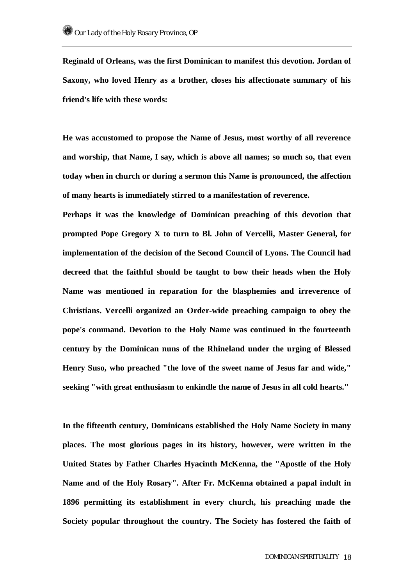**Reginald of Orleans, was the first Dominican to manifest this devotion. Jordan of Saxony, who loved Henry as a brother, closes his affectionate summary of his friend's life with these words:** 

**He was accustomed to propose the Name of Jesus, most worthy of all reverence and worship, that Name, I say, which is above all names; so much so, that even today when in church or during a sermon this Name is pronounced, the affection of many hearts is immediately stirred to a manifestation of reverence.** 

**Perhaps it was the knowledge of Dominican preaching of this devotion that prompted Pope Gregory X to turn to Bl. John of Vercelli, Master General, for implementation of the decision of the Second Council of Lyons. The Council had decreed that the faithful should be taught to bow their heads when the Holy Name was mentioned in reparation for the blasphemies and irreverence of Christians. Vercelli organized an Order-wide preaching campaign to obey the pope's command. Devotion to the Holy Name was continued in the fourteenth century by the Dominican nuns of the Rhineland under the urging of Blessed Henry Suso, who preached "the love of the sweet name of Jesus far and wide," seeking "with great enthusiasm to enkindle the name of Jesus in all cold hearts."** 

**In the fifteenth century, Dominicans established the Holy Name Society in many places. The most glorious pages in its history, however, were written in the United States by Father Charles Hyacinth McKenna, the "Apostle of the Holy Name and of the Holy Rosary". After Fr. McKenna obtained a papal indult in 1896 permitting its establishment in every church, his preaching made the Society popular throughout the country. The Society has fostered the faith of**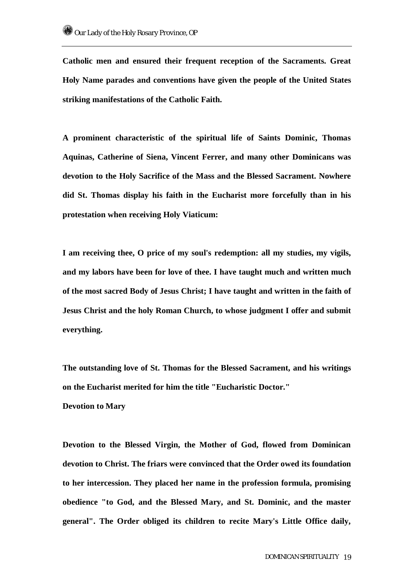**Catholic men and ensured their frequent reception of the Sacraments. Great Holy Name parades and conventions have given the people of the United States striking manifestations of the Catholic Faith.** 

**A prominent characteristic of the spiritual life of Saints Dominic, Thomas Aquinas, Catherine of Siena, Vincent Ferrer, and many other Dominicans was devotion to the Holy Sacrifice of the Mass and the Blessed Sacrament. Nowhere did St. Thomas display his faith in the Eucharist more forcefully than in his protestation when receiving Holy Viaticum:** 

**I am receiving thee, O price of my soul's redemption: all my studies, my vigils, and my labors have been for love of thee. I have taught much and written much of the most sacred Body of Jesus Christ; I have taught and written in the faith of Jesus Christ and the holy Roman Church, to whose judgment I offer and submit everything.** 

**The outstanding love of St. Thomas for the Blessed Sacrament, and his writings on the Eucharist merited for him the title "Eucharistic Doctor."** 

### **Devotion to Mary**

**Devotion to the Blessed Virgin, the Mother of God, flowed from Dominican devotion to Christ. The friars were convinced that the Order owed its foundation to her intercession. They placed her name in the profession formula, promising obedience "to God, and the Blessed Mary, and St. Dominic, and the master general". The Order obliged its children to recite Mary's Little Office daily,**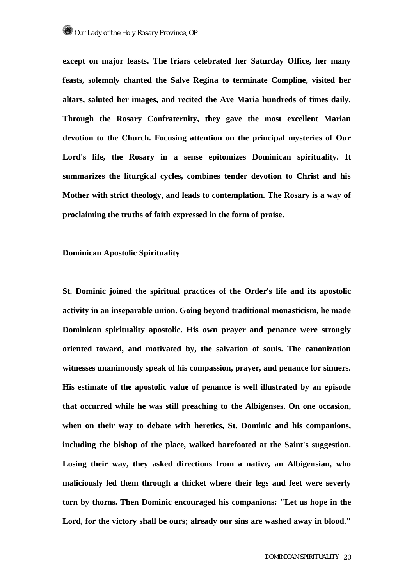**except on major feasts. The friars celebrated her Saturday Office, her many feasts, solemnly chanted the Salve Regina to terminate Compline, visited her altars, saluted her images, and recited the Ave Maria hundreds of times daily. Through the Rosary Confraternity, they gave the most excellent Marian devotion to the Church. Focusing attention on the principal mysteries of Our Lord's life, the Rosary in a sense epitomizes Dominican spirituality. It summarizes the liturgical cycles, combines tender devotion to Christ and his Mother with strict theology, and leads to contemplation. The Rosary is a way of proclaiming the truths of faith expressed in the form of praise.** 

### **Dominican Apostolic Spirituality**

**St. Dominic joined the spiritual practices of the Order's life and its apostolic activity in an inseparable union. Going beyond traditional monasticism, he made Dominican spirituality apostolic. His own prayer and penance were strongly oriented toward, and motivated by, the salvation of souls. The canonization witnesses unanimously speak of his compassion, prayer, and penance for sinners. His estimate of the apostolic value of penance is well illustrated by an episode that occurred while he was still preaching to the Albigenses. On one occasion, when on their way to debate with heretics, St. Dominic and his companions, including the bishop of the place, walked barefooted at the Saint's suggestion. Losing their way, they asked directions from a native, an Albigensian, who maliciously led them through a thicket where their legs and feet were severly torn by thorns. Then Dominic encouraged his companions: "Let us hope in the Lord, for the victory shall be ours; already our sins are washed away in blood."**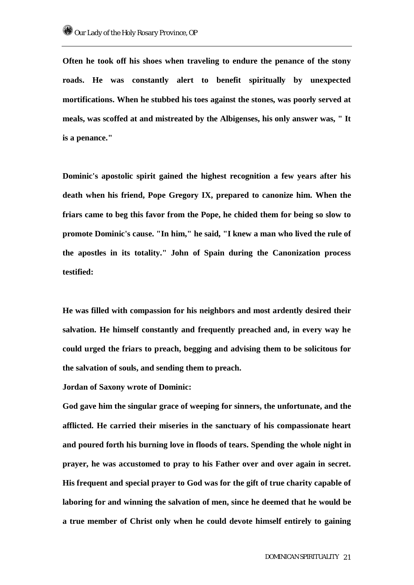**Often he took off his shoes when traveling to endure the penance of the stony roads. He was constantly alert to benefit spiritually by unexpected mortifications. When he stubbed his toes against the stones, was poorly served at meals, was scoffed at and mistreated by the Albigenses, his only answer was, " It is a penance."** 

**Dominic's apostolic spirit gained the highest recognition a few years after his death when his friend, Pope Gregory IX, prepared to canonize him. When the friars came to beg this favor from the Pope, he chided them for being so slow to promote Dominic's cause. "In him," he said, "I knew a man who lived the rule of the apostles in its totality." John of Spain during the Canonization process testified:** 

**He was filled with compassion for his neighbors and most ardently desired their salvation. He himself constantly and frequently preached and, in every way he could urged the friars to preach, begging and advising them to be solicitous for the salvation of souls, and sending them to preach.** 

**Jordan of Saxony wrote of Dominic:** 

**God gave him the singular grace of weeping for sinners, the unfortunate, and the afflicted. He carried their miseries in the sanctuary of his compassionate heart and poured forth his burning love in floods of tears. Spending the whole night in prayer, he was accustomed to pray to his Father over and over again in secret. His frequent and special prayer to God was for the gift of true charity capable of laboring for and winning the salvation of men, since he deemed that he would be a true member of Christ only when he could devote himself entirely to gaining**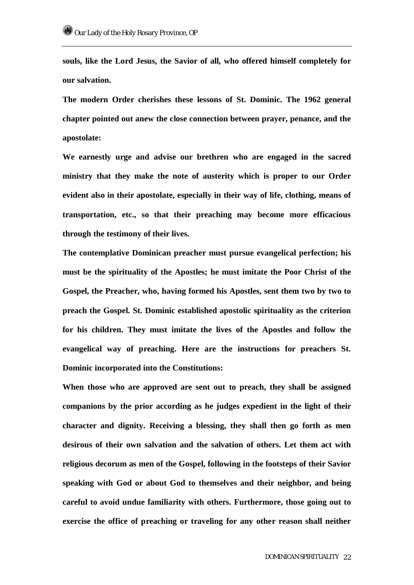**souls, like the Lord Jesus, the Savior of all, who offered himself completely for our salvation.** 

**The modern Order cherishes these lessons of St. Dominic. The 1962 general chapter pointed out anew the close connection between prayer, penance, and the apostolate:** 

**We earnestly urge and advise our brethren who are engaged in the sacred ministry that they make the note of austerity which is proper to our Order evident also in their apostolate, especially in their way of life, clothing, means of transportation, etc., so that their preaching may become more efficacious through the testimony of their lives.** 

**The contemplative Dominican preacher must pursue evangelical perfection; his must be the spirituality of the Apostles; he must imitate the Poor Christ of the Gospel, the Preacher, who, having formed his Apostles, sent them two by two to preach the Gospel. St. Dominic established apostolic spirituality as the criterion for his children. They must imitate the lives of the Apostles and follow the evangelical way of preaching. Here are the instructions for preachers St. Dominic incorporated into the Constitutions:** 

**When those who are approved are sent out to preach, they shall be assigned companions by the prior according as he judges expedient in the light of their character and dignity. Receiving a blessing, they shall then go forth as men desirous of their own salvation and the salvation of others. Let them act with religious decorum as men of the Gospel, following in the footsteps of their Savior speaking with God or about God to themselves and their neighbor, and being careful to avoid undue familiarity with others. Furthermore, those going out to exercise the office of preaching or traveling for any other reason shall neither**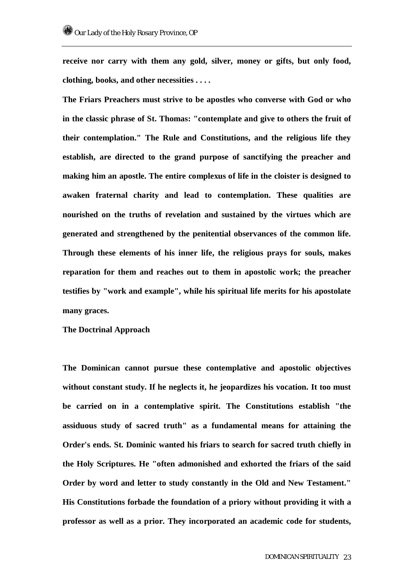**receive nor carry with them any gold, silver, money or gifts, but only food, clothing, books, and other necessities . . . .** 

**The Friars Preachers must strive to be apostles who converse with God or who in the classic phrase of St. Thomas: "contemplate and give to others the fruit of their contemplation." The Rule and Constitutions, and the religious life they establish, are directed to the grand purpose of sanctifying the preacher and making him an apostle. The entire complexus of life in the cloister is designed to awaken fraternal charity and lead to contemplation. These qualities are nourished on the truths of revelation and sustained by the virtues which are generated and strengthened by the penitential observances of the common life. Through these elements of his inner life, the religious prays for souls, makes reparation for them and reaches out to them in apostolic work; the preacher testifies by "work and example", while his spiritual life merits for his apostolate many graces.** 

**The Doctrinal Approach** 

**The Dominican cannot pursue these contemplative and apostolic objectives without constant study. If he neglects it, he jeopardizes his vocation. It too must be carried on in a contemplative spirit. The Constitutions establish "the assiduous study of sacred truth" as a fundamental means for attaining the Order's ends. St. Dominic wanted his friars to search for sacred truth chiefly in the Holy Scriptures. He "often admonished and exhorted the friars of the said Order by word and letter to study constantly in the Old and New Testament." His Constitutions forbade the foundation of a priory without providing it with a professor as well as a prior. They incorporated an academic code for students,**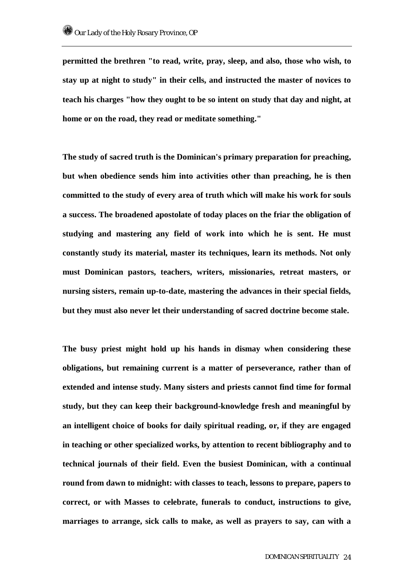**permitted the brethren "to read, write, pray, sleep, and also, those who wish, to stay up at night to study" in their cells, and instructed the master of novices to teach his charges "how they ought to be so intent on study that day and night, at home or on the road, they read or meditate something."** 

**The study of sacred truth is the Dominican's primary preparation for preaching, but when obedience sends him into activities other than preaching, he is then committed to the study of every area of truth which will make his work for souls a success. The broadened apostolate of today places on the friar the obligation of studying and mastering any field of work into which he is sent. He must constantly study its material, master its techniques, learn its methods. Not only must Dominican pastors, teachers, writers, missionaries, retreat masters, or nursing sisters, remain up-to-date, mastering the advances in their special fields, but they must also never let their understanding of sacred doctrine become stale.** 

**The busy priest might hold up his hands in dismay when considering these obligations, but remaining current is a matter of perseverance, rather than of extended and intense study. Many sisters and priests cannot find time for formal study, but they can keep their background-knowledge fresh and meaningful by an intelligent choice of books for daily spiritual reading, or, if they are engaged in teaching or other specialized works, by attention to recent bibliography and to technical journals of their field. Even the busiest Dominican, with a continual round from dawn to midnight: with classes to teach, lessons to prepare, papers to correct, or with Masses to celebrate, funerals to conduct, instructions to give, marriages to arrange, sick calls to make, as well as prayers to say, can with a**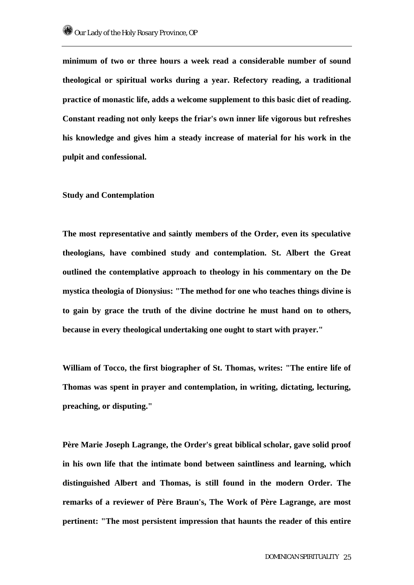**minimum of two or three hours a week read a considerable number of sound theological or spiritual works during a year. Refectory reading, a traditional practice of monastic life, adds a welcome supplement to this basic diet of reading. Constant reading not only keeps the friar's own inner life vigorous but refreshes his knowledge and gives him a steady increase of material for his work in the pulpit and confessional.** 

### **Study and Contemplation**

**The most representative and saintly members of the Order, even its speculative theologians, have combined study and contemplation. St. Albert the Great outlined the contemplative approach to theology in his commentary on the De mystica theologia of Dionysius: "The method for one who teaches things divine is to gain by grace the truth of the divine doctrine he must hand on to others, because in every theological undertaking one ought to start with prayer."** 

**William of Tocco, the first biographer of St. Thomas, writes: "The entire life of Thomas was spent in prayer and contemplation, in writing, dictating, lecturing, preaching, or disputing."** 

**Père Marie Joseph Lagrange, the Order's great biblical scholar, gave solid proof in his own life that the intimate bond between saintliness and learning, which distinguished Albert and Thomas, is still found in the modern Order. The remarks of a reviewer of Père Braun's, The Work of Père Lagrange, are most pertinent: "The most persistent impression that haunts the reader of this entire**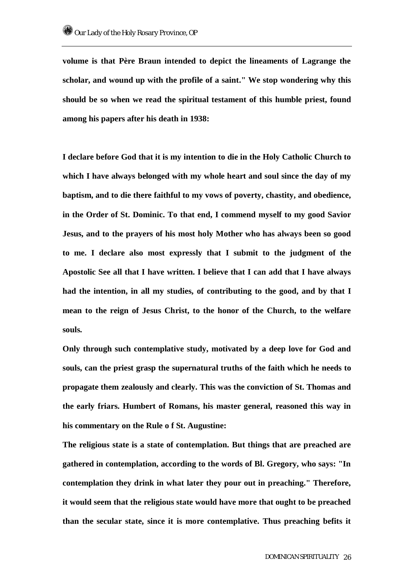**volume is that Père Braun intended to depict the lineaments of Lagrange the scholar, and wound up with the profile of a saint." We stop wondering why this should be so when we read the spiritual testament of this humble priest, found among his papers after his death in 1938:** 

**I declare before God that it is my intention to die in the Holy Catholic Church to which I have always belonged with my whole heart and soul since the day of my baptism, and to die there faithful to my vows of poverty, chastity, and obedience, in the Order of St. Dominic. To that end, I commend myself to my good Savior Jesus, and to the prayers of his most holy Mother who has always been so good to me. I declare also most expressly that I submit to the judgment of the Apostolic See all that I have written. I believe that I can add that I have always had the intention, in all my studies, of contributing to the good, and by that I mean to the reign of Jesus Christ, to the honor of the Church, to the welfare souls.** 

**Only through such contemplative study, motivated by a deep love for God and souls, can the priest grasp the supernatural truths of the faith which he needs to propagate them zealously and clearly. This was the conviction of St. Thomas and the early friars. Humbert of Romans, his master general, reasoned this way in his commentary on the Rule o f St. Augustine:** 

**The religious state is a state of contemplation. But things that are preached are gathered in contemplation, according to the words of Bl. Gregory, who says: "In contemplation they drink in what later they pour out in preaching." Therefore, it would seem that the religious state would have more that ought to be preached than the secular state, since it is more contemplative. Thus preaching befits it**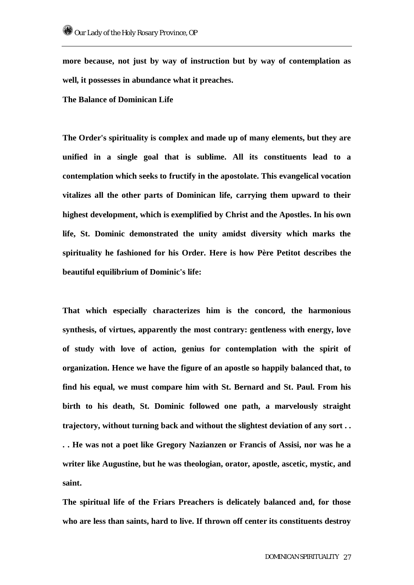**more because, not just by way of instruction but by way of contemplation as well, it possesses in abundance what it preaches.** 

**The Balance of Dominican Life** 

**The Order's spirituality is complex and made up of many elements, but they are unified in a single goal that is sublime. All its constituents lead to a contemplation which seeks to fructify in the apostolate. This evangelical vocation vitalizes all the other parts of Dominican life, carrying them upward to their highest development, which is exemplified by Christ and the Apostles. In his own life, St. Dominic demonstrated the unity amidst diversity which marks the spirituality he fashioned for his Order. Here is how Père Petitot describes the beautiful equilibrium of Dominic's life:** 

**That which especially characterizes him is the concord, the harmonious synthesis, of virtues, apparently the most contrary: gentleness with energy, love of study with love of action, genius for contemplation with the spirit of organization. Hence we have the figure of an apostle so happily balanced that, to find his equal, we must compare him with St. Bernard and St. Paul. From his birth to his death, St. Dominic followed one path, a marvelously straight trajectory, without turning back and without the slightest deviation of any sort . . . . He was not a poet like Gregory Nazianzen or Francis of Assisi, nor was he a writer like Augustine, but he was theologian, orator, apostle, ascetic, mystic, and saint.** 

**The spiritual life of the Friars Preachers is delicately balanced and, for those who are less than saints, hard to live. If thrown off center its constituents destroy**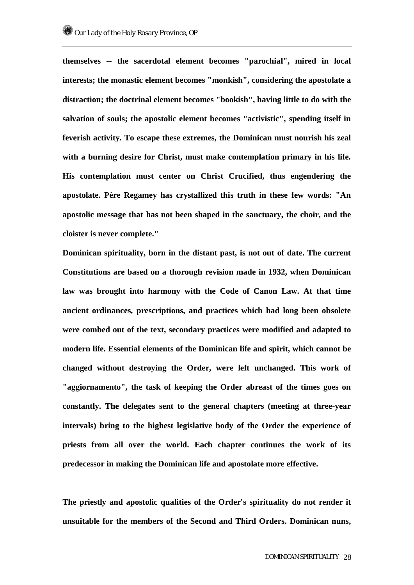**themselves -- the sacerdotal element becomes "parochial", mired in local interests; the monastic element becomes "monkish", considering the apostolate a distraction; the doctrinal element becomes "bookish", having little to do with the salvation of souls; the apostolic element becomes "activistic", spending itself in feverish activity. To escape these extremes, the Dominican must nourish his zeal with a burning desire for Christ, must make contemplation primary in his life. His contemplation must center on Christ Crucified, thus engendering the apostolate. Père Regamey has crystallized this truth in these few words: "An apostolic message that has not been shaped in the sanctuary, the choir, and the cloister is never complete."** 

**Dominican spirituality, born in the distant past, is not out of date. The current Constitutions are based on a thorough revision made in 1932, when Dominican law was brought into harmony with the Code of Canon Law. At that time ancient ordinances, prescriptions, and practices which had long been obsolete were combed out of the text, secondary practices were modified and adapted to modern life. Essential elements of the Dominican life and spirit, which cannot be changed without destroying the Order, were left unchanged. This work of "aggiornamento", the task of keeping the Order abreast of the times goes on constantly. The delegates sent to the general chapters (meeting at three-year intervals) bring to the highest legislative body of the Order the experience of priests from all over the world. Each chapter continues the work of its predecessor in making the Dominican life and apostolate more effective.** 

**The priestly and apostolic qualities of the Order's spirituality do not render it unsuitable for the members of the Second and Third Orders. Dominican nuns,**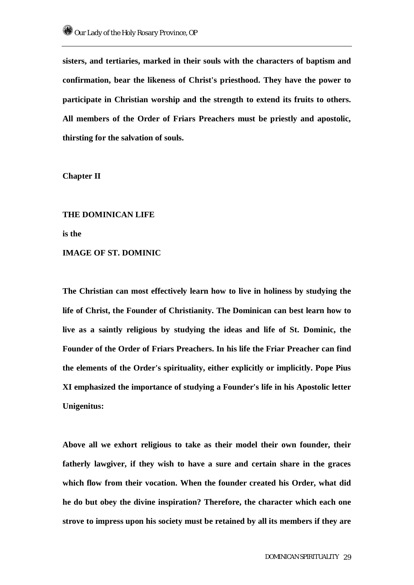**sisters, and tertiaries, marked in their souls with the characters of baptism and confirmation, bear the likeness of Christ's priesthood. They have the power to participate in Christian worship and the strength to extend its fruits to others. All members of the Order of Friars Preachers must be priestly and apostolic, thirsting for the salvation of souls.** 

**Chapter II** 

**THE DOMINICAN LIFE is the IMAGE OF ST. DOMINIC** 

**The Christian can most effectively learn how to live in holiness by studying the life of Christ, the Founder of Christianity. The Dominican can best learn how to live as a saintly religious by studying the ideas and life of St. Dominic, the Founder of the Order of Friars Preachers. In his life the Friar Preacher can find the elements of the Order's spirituality, either explicitly or implicitly. Pope Pius XI emphasized the importance of studying a Founder's life in his Apostolic letter Unigenitus:** 

**Above all we exhort religious to take as their model their own founder, their fatherly lawgiver, if they wish to have a sure and certain share in the graces which flow from their vocation. When the founder created his Order, what did he do but obey the divine inspiration? Therefore, the character which each one strove to impress upon his society must be retained by all its members if they are**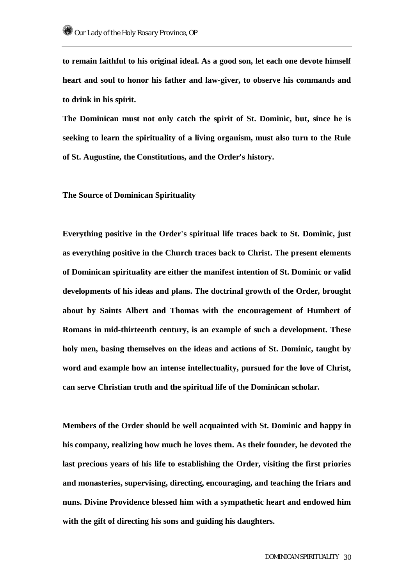**to remain faithful to his original ideal. As a good son, let each one devote himself heart and soul to honor his father and law-giver, to observe his commands and to drink in his spirit.** 

**The Dominican must not only catch the spirit of St. Dominic, but, since he is seeking to learn the spirituality of a living organism, must also turn to the Rule of St. Augustine, the Constitutions, and the Order's history.** 

**The Source of Dominican Spirituality** 

**Everything positive in the Order's spiritual life traces back to St. Dominic, just as everything positive in the Church traces back to Christ. The present elements of Dominican spirituality are either the manifest intention of St. Dominic or valid developments of his ideas and plans. The doctrinal growth of the Order, brought about by Saints Albert and Thomas with the encouragement of Humbert of Romans in mid-thirteenth century, is an example of such a development. These holy men, basing themselves on the ideas and actions of St. Dominic, taught by word and example how an intense intellectuality, pursued for the love of Christ, can serve Christian truth and the spiritual life of the Dominican scholar.** 

**Members of the Order should be well acquainted with St. Dominic and happy in his company, realizing how much he loves them. As their founder, he devoted the last precious years of his life to establishing the Order, visiting the first priories and monasteries, supervising, directing, encouraging, and teaching the friars and nuns. Divine Providence blessed him with a sympathetic heart and endowed him with the gift of directing his sons and guiding his daughters.**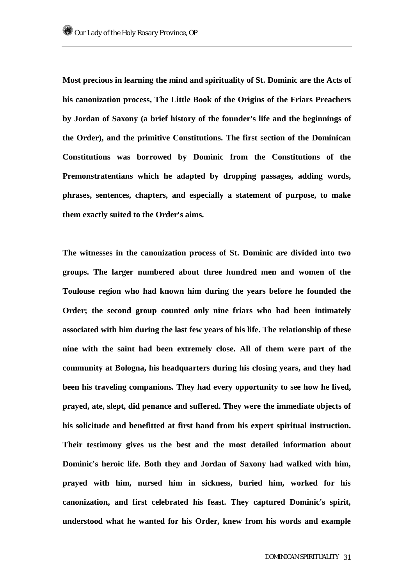**Most precious in learning the mind and spirituality of St. Dominic are the Acts of his canonization process, The Little Book of the Origins of the Friars Preachers by Jordan of Saxony (a brief history of the founder's life and the beginnings of the Order), and the primitive Constitutions. The first section of the Dominican Constitutions was borrowed by Dominic from the Constitutions of the Premonstratentians which he adapted by dropping passages, adding words, phrases, sentences, chapters, and especially a statement of purpose, to make them exactly suited to the Order's aims.** 

**The witnesses in the canonization process of St. Dominic are divided into two groups. The larger numbered about three hundred men and women of the Toulouse region who had known him during the years before he founded the Order; the second group counted only nine friars who had been intimately associated with him during the last few years of his life. The relationship of these nine with the saint had been extremely close. All of them were part of the community at Bologna, his headquarters during his closing years, and they had been his traveling companions. They had every opportunity to see how he lived, prayed, ate, slept, did penance and suffered. They were the immediate objects of his solicitude and benefitted at first hand from his expert spiritual instruction. Their testimony gives us the best and the most detailed information about Dominic's heroic life. Both they and Jordan of Saxony had walked with him, prayed with him, nursed him in sickness, buried him, worked for his canonization, and first celebrated his feast. They captured Dominic's spirit, understood what he wanted for his Order, knew from his words and example**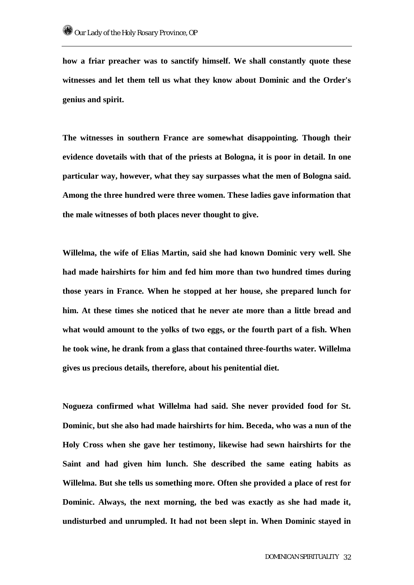**how a friar preacher was to sanctify himself. We shall constantly quote these witnesses and let them tell us what they know about Dominic and the Order's genius and spirit.** 

**The witnesses in southern France are somewhat disappointing. Though their evidence dovetails with that of the priests at Bologna, it is poor in detail. In one particular way, however, what they say surpasses what the men of Bologna said. Among the three hundred were three women. These ladies gave information that the male witnesses of both places never thought to give.** 

**Willelma, the wife of Elias Martin, said she had known Dominic very well. She had made hairshirts for him and fed him more than two hundred times during those years in France. When he stopped at her house, she prepared lunch for him. At these times she noticed that he never ate more than a little bread and what would amount to the yolks of two eggs, or the fourth part of a fish. When he took wine, he drank from a glass that contained three-fourths water. Willelma gives us precious details, therefore, about his penitential diet.** 

**Nogueza confirmed what Willelma had said. She never provided food for St. Dominic, but she also had made hairshirts for him. Beceda, who was a nun of the Holy Cross when she gave her testimony, likewise had sewn hairshirts for the Saint and had given him lunch. She described the same eating habits as Willelma. But she tells us something more. Often she provided a place of rest for Dominic. Always, the next morning, the bed was exactly as she had made it, undisturbed and unrumpled. It had not been slept in. When Dominic stayed in**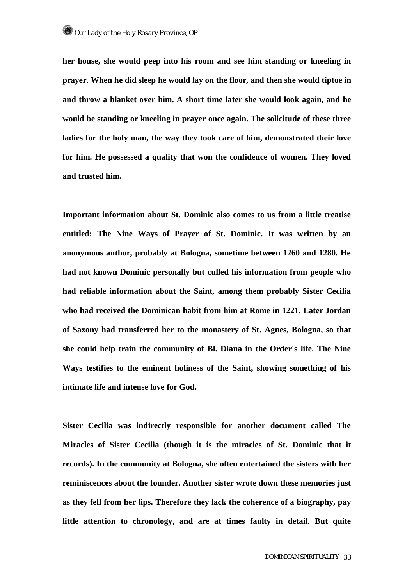**her house, she would peep into his room and see him standing or kneeling in prayer. When he did sleep he would lay on the floor, and then she would tiptoe in and throw a blanket over him. A short time later she would look again, and he would be standing or kneeling in prayer once again. The solicitude of these three ladies for the holy man, the way they took care of him, demonstrated their love for him. He possessed a quality that won the confidence of women. They loved and trusted him.** 

**Important information about St. Dominic also comes to us from a little treatise entitled: The Nine Ways of Prayer of St. Dominic. It was written by an anonymous author, probably at Bologna, sometime between 1260 and 1280. He had not known Dominic personally but culled his information from people who had reliable information about the Saint, among them probably Sister Cecilia who had received the Dominican habit from him at Rome in 1221. Later Jordan of Saxony had transferred her to the monastery of St. Agnes, Bologna, so that she could help train the community of Bl. Diana in the Order's life. The Nine Ways testifies to the eminent holiness of the Saint, showing something of his intimate life and intense love for God.** 

**Sister Cecilia was indirectly responsible for another document called The Miracles of Sister Cecilia (though it is the miracles of St. Dominic that it records). In the community at Bologna, she often entertained the sisters with her reminiscences about the founder. Another sister wrote down these memories just as they fell from her lips. Therefore they lack the coherence of a biography, pay little attention to chronology, and are at times faulty in detail. But quite**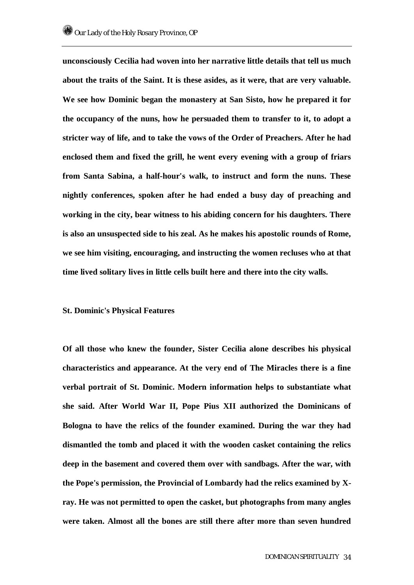**unconsciously Cecilia had woven into her narrative little details that tell us much about the traits of the Saint. It is these asides, as it were, that are very valuable. We see how Dominic began the monastery at San Sisto, how he prepared it for the occupancy of the nuns, how he persuaded them to transfer to it, to adopt a stricter way of life, and to take the vows of the Order of Preachers. After he had enclosed them and fixed the grill, he went every evening with a group of friars from Santa Sabina, a half-hour's walk, to instruct and form the nuns. These nightly conferences, spoken after he had ended a busy day of preaching and working in the city, bear witness to his abiding concern for his daughters. There is also an unsuspected side to his zeal. As he makes his apostolic rounds of Rome, we see him visiting, encouraging, and instructing the women recluses who at that time lived solitary lives in little cells built here and there into the city walls.** 

#### **St. Dominic's Physical Features**

**Of all those who knew the founder, Sister Cecilia alone describes his physical characteristics and appearance. At the very end of The Miracles there is a fine verbal portrait of St. Dominic. Modern information helps to substantiate what she said. After World War II, Pope Pius XII authorized the Dominicans of Bologna to have the relics of the founder examined. During the war they had dismantled the tomb and placed it with the wooden casket containing the relics deep in the basement and covered them over with sandbags. After the war, with the Pope's permission, the Provincial of Lombardy had the relics examined by Xray. He was not permitted to open the casket, but photographs from many angles were taken. Almost all the bones are still there after more than seven hundred**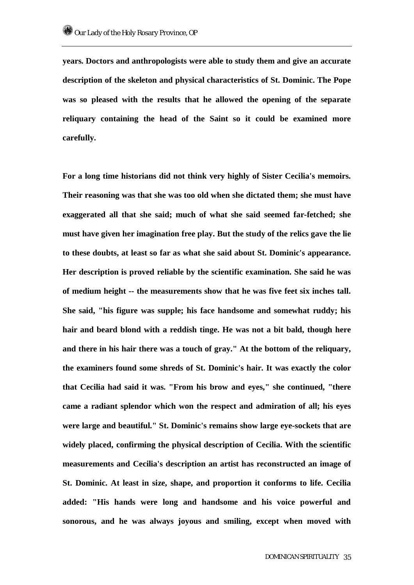**years. Doctors and anthropologists were able to study them and give an accurate description of the skeleton and physical characteristics of St. Dominic. The Pope was so pleased with the results that he allowed the opening of the separate reliquary containing the head of the Saint so it could be examined more carefully.** 

**For a long time historians did not think very highly of Sister Cecilia's memoirs. Their reasoning was that she was too old when she dictated them; she must have exaggerated all that she said; much of what she said seemed far-fetched; she must have given her imagination free play. But the study of the relics gave the lie to these doubts, at least so far as what she said about St. Dominic's appearance. Her description is proved reliable by the scientific examination. She said he was of medium height -- the measurements show that he was five feet six inches tall. She said, "his figure was supple; his face handsome and somewhat ruddy; his hair and beard blond with a reddish tinge. He was not a bit bald, though here and there in his hair there was a touch of gray." At the bottom of the reliquary, the examiners found some shreds of St. Dominic's hair. It was exactly the color that Cecilia had said it was. "From his brow and eyes," she continued, "there came a radiant splendor which won the respect and admiration of all; his eyes were large and beautiful." St. Dominic's remains show large eye-sockets that are widely placed, confirming the physical description of Cecilia. With the scientific measurements and Cecilia's description an artist has reconstructed an image of St. Dominic. At least in size, shape, and proportion it conforms to life. Cecilia added: "His hands were long and handsome and his voice powerful and sonorous, and he was always joyous and smiling, except when moved with**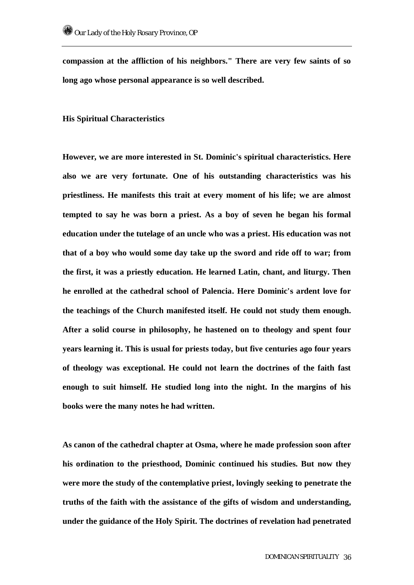**compassion at the affliction of his neighbors." There are very few saints of so long ago whose personal appearance is so well described.** 

**His Spiritual Characteristics** 

**However, we are more interested in St. Dominic's spiritual characteristics. Here also we are very fortunate. One of his outstanding characteristics was his priestliness. He manifests this trait at every moment of his life; we are almost tempted to say he was born a priest. As a boy of seven he began his formal education under the tutelage of an uncle who was a priest. His education was not that of a boy who would some day take up the sword and ride off to war; from the first, it was a priestly education. He learned Latin, chant, and liturgy. Then he enrolled at the cathedral school of Palencia. Here Dominic's ardent love for the teachings of the Church manifested itself. He could not study them enough. After a solid course in philosophy, he hastened on to theology and spent four years learning it. This is usual for priests today, but five centuries ago four years of theology was exceptional. He could not learn the doctrines of the faith fast enough to suit himself. He studied long into the night. In the margins of his books were the many notes he had written.** 

**As canon of the cathedral chapter at Osma, where he made profession soon after his ordination to the priesthood, Dominic continued his studies. But now they were more the study of the contemplative priest, lovingly seeking to penetrate the truths of the faith with the assistance of the gifts of wisdom and understanding, under the guidance of the Holy Spirit. The doctrines of revelation had penetrated**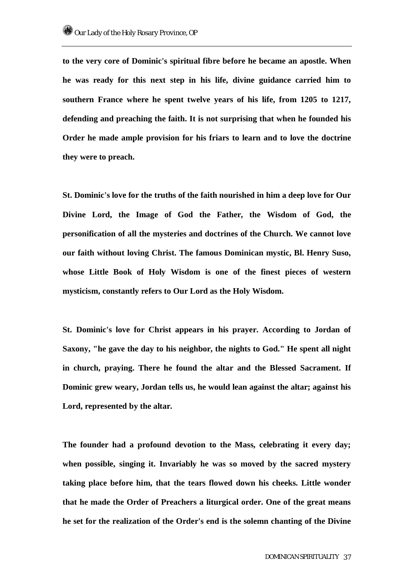**to the very core of Dominic's spiritual fibre before he became an apostle. When he was ready for this next step in his life, divine guidance carried him to southern France where he spent twelve years of his life, from 1205 to 1217, defending and preaching the faith. It is not surprising that when he founded his Order he made ample provision for his friars to learn and to love the doctrine they were to preach.** 

**St. Dominic's love for the truths of the faith nourished in him a deep love for Our Divine Lord, the Image of God the Father, the Wisdom of God, the personification of all the mysteries and doctrines of the Church. We cannot love our faith without loving Christ. The famous Dominican mystic, Bl. Henry Suso, whose Little Book of Holy Wisdom is one of the finest pieces of western mysticism, constantly refers to Our Lord as the Holy Wisdom.** 

**St. Dominic's love for Christ appears in his prayer. According to Jordan of Saxony, "he gave the day to his neighbor, the nights to God." He spent all night in church, praying. There he found the altar and the Blessed Sacrament. If Dominic grew weary, Jordan tells us, he would lean against the altar; against his Lord, represented by the altar.** 

**The founder had a profound devotion to the Mass, celebrating it every day; when possible, singing it. Invariably he was so moved by the sacred mystery taking place before him, that the tears flowed down his cheeks. Little wonder that he made the Order of Preachers a liturgical order. One of the great means he set for the realization of the Order's end is the solemn chanting of the Divine**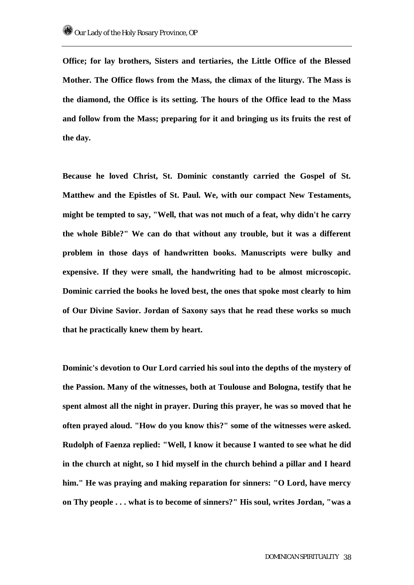**Office; for lay brothers, Sisters and tertiaries, the Little Office of the Blessed Mother. The Office flows from the Mass, the climax of the liturgy. The Mass is the diamond, the Office is its setting. The hours of the Office lead to the Mass and follow from the Mass; preparing for it and bringing us its fruits the rest of the day.** 

**Because he loved Christ, St. Dominic constantly carried the Gospel of St. Matthew and the Epistles of St. Paul. We, with our compact New Testaments, might be tempted to say, "Well, that was not much of a feat, why didn't he carry the whole Bible?" We can do that without any trouble, but it was a different problem in those days of handwritten books. Manuscripts were bulky and expensive. If they were small, the handwriting had to be almost microscopic. Dominic carried the books he loved best, the ones that spoke most clearly to him of Our Divine Savior. Jordan of Saxony says that he read these works so much that he practically knew them by heart.** 

**Dominic's devotion to Our Lord carried his soul into the depths of the mystery of the Passion. Many of the witnesses, both at Toulouse and Bologna, testify that he spent almost all the night in prayer. During this prayer, he was so moved that he often prayed aloud. "How do you know this?" some of the witnesses were asked. Rudolph of Faenza replied: "Well, I know it because I wanted to see what he did in the church at night, so I hid myself in the church behind a pillar and I heard him." He was praying and making reparation for sinners: "O Lord, have mercy on Thy people . . . what is to become of sinners?" His soul, writes Jordan, "was a**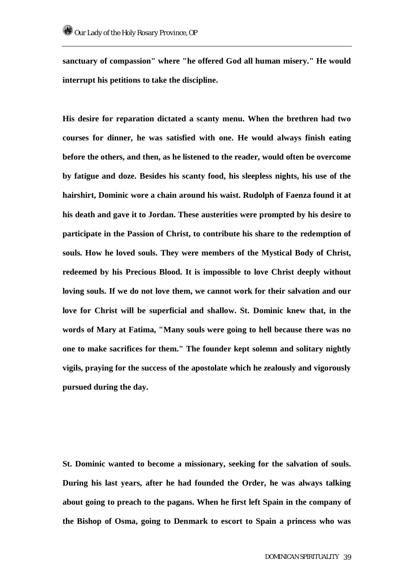**sanctuary of compassion" where "he offered God all human misery." He would interrupt his petitions to take the discipline.** 

**His desire for reparation dictated a scanty menu. When the brethren had two courses for dinner, he was satisfied with one. He would always finish eating before the others, and then, as he listened to the reader, would often be overcome by fatigue and doze. Besides his scanty food, his sleepless nights, his use of the hairshirt, Dominic wore a chain around his waist. Rudolph of Faenza found it at his death and gave it to Jordan. These austerities were prompted by his desire to participate in the Passion of Christ, to contribute his share to the redemption of souls. How he loved souls. They were members of the Mystical Body of Christ, redeemed by his Precious Blood. It is impossible to love Christ deeply without loving souls. If we do not love them, we cannot work for their salvation and our love for Christ will be superficial and shallow. St. Dominic knew that, in the words of Mary at Fatima, "Many souls were going to hell because there was no one to make sacrifices for them." The founder kept solemn and solitary nightly vigils, praying for the success of the apostolate which he zealously and vigorously pursued during the day.** 

**St. Dominic wanted to become a missionary, seeking for the salvation of souls. During his last years, after he had founded the Order, he was always talking about going to preach to the pagans. When he first left Spain in the company of the Bishop of Osma, going to Denmark to escort to Spain a princess who was**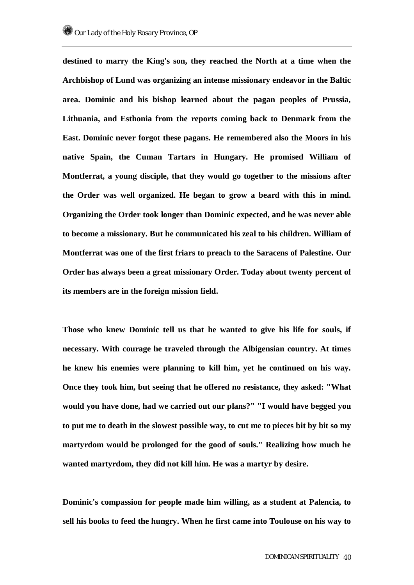**destined to marry the King's son, they reached the North at a time when the Archbishop of Lund was organizing an intense missionary endeavor in the Baltic area. Dominic and his bishop learned about the pagan peoples of Prussia, Lithuania, and Esthonia from the reports coming back to Denmark from the East. Dominic never forgot these pagans. He remembered also the Moors in his native Spain, the Cuman Tartars in Hungary. He promised William of Montferrat, a young disciple, that they would go together to the missions after the Order was well organized. He began to grow a beard with this in mind. Organizing the Order took longer than Dominic expected, and he was never able to become a missionary. But he communicated his zeal to his children. William of Montferrat was one of the first friars to preach to the Saracens of Palestine. Our Order has always been a great missionary Order. Today about twenty percent of its members are in the foreign mission field.** 

**Those who knew Dominic tell us that he wanted to give his life for souls, if necessary. With courage he traveled through the Albigensian country. At times he knew his enemies were planning to kill him, yet he continued on his way. Once they took him, but seeing that he offered no resistance, they asked: "What would you have done, had we carried out our plans?" "I would have begged you to put me to death in the slowest possible way, to cut me to pieces bit by bit so my martyrdom would be prolonged for the good of souls." Realizing how much he wanted martyrdom, they did not kill him. He was a martyr by desire.** 

**Dominic's compassion for people made him willing, as a student at Palencia, to sell his books to feed the hungry. When he first came into Toulouse on his way to**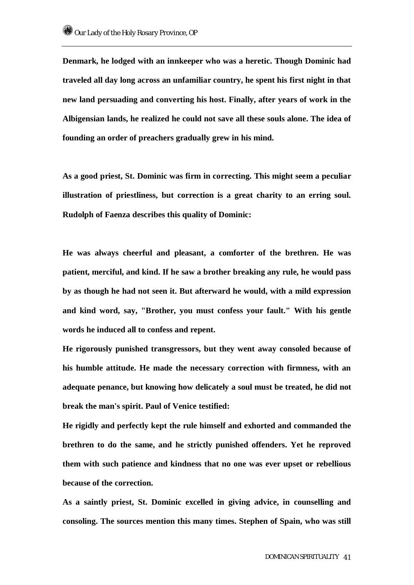**Denmark, he lodged with an innkeeper who was a heretic. Though Dominic had traveled all day long across an unfamiliar country, he spent his first night in that new land persuading and converting his host. Finally, after years of work in the Albigensian lands, he realized he could not save all these souls alone. The idea of founding an order of preachers gradually grew in his mind.** 

**As a good priest, St. Dominic was firm in correcting. This might seem a peculiar illustration of priestliness, but correction is a great charity to an erring soul. Rudolph of Faenza describes this quality of Dominic:** 

**He was always cheerful and pleasant, a comforter of the brethren. He was patient, merciful, and kind. If he saw a brother breaking any rule, he would pass by as though he had not seen it. But afterward he would, with a mild expression and kind word, say, "Brother, you must confess your fault." With his gentle words he induced all to confess and repent.** 

**He rigorously punished transgressors, but they went away consoled because of his humble attitude. He made the necessary correction with firmness, with an adequate penance, but knowing how delicately a soul must be treated, he did not break the man's spirit. Paul of Venice testified:** 

**He rigidly and perfectly kept the rule himself and exhorted and commanded the brethren to do the same, and he strictly punished offenders. Yet he reproved them with such patience and kindness that no one was ever upset or rebellious because of the correction.** 

**As a saintly priest, St. Dominic excelled in giving advice, in counselling and consoling. The sources mention this many times. Stephen of Spain, who was still**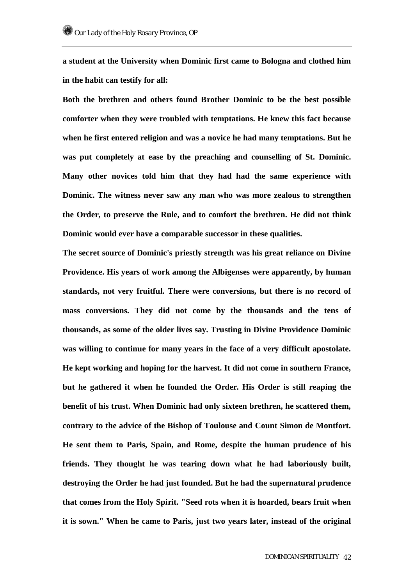**a student at the University when Dominic first came to Bologna and clothed him in the habit can testify for all:** 

**Both the brethren and others found Brother Dominic to be the best possible comforter when they were troubled with temptations. He knew this fact because when he first entered religion and was a novice he had many temptations. But he was put completely at ease by the preaching and counselling of St. Dominic. Many other novices told him that they had had the same experience with Dominic. The witness never saw any man who was more zealous to strengthen the Order, to preserve the Rule, and to comfort the brethren. He did not think Dominic would ever have a comparable successor in these qualities.** 

**The secret source of Dominic's priestly strength was his great reliance on Divine Providence. His years of work among the Albigenses were apparently, by human standards, not very fruitful. There were conversions, but there is no record of mass conversions. They did not come by the thousands and the tens of thousands, as some of the older lives say. Trusting in Divine Providence Dominic was willing to continue for many years in the face of a very difficult apostolate. He kept working and hoping for the harvest. It did not come in southern France, but he gathered it when he founded the Order. His Order is still reaping the benefit of his trust. When Dominic had only sixteen brethren, he scattered them, contrary to the advice of the Bishop of Toulouse and Count Simon de Montfort. He sent them to Paris, Spain, and Rome, despite the human prudence of his friends. They thought he was tearing down what he had laboriously built, destroying the Order he had just founded. But he had the supernatural prudence that comes from the Holy Spirit. "Seed rots when it is hoarded, bears fruit when it is sown." When he came to Paris, just two years later, instead of the original**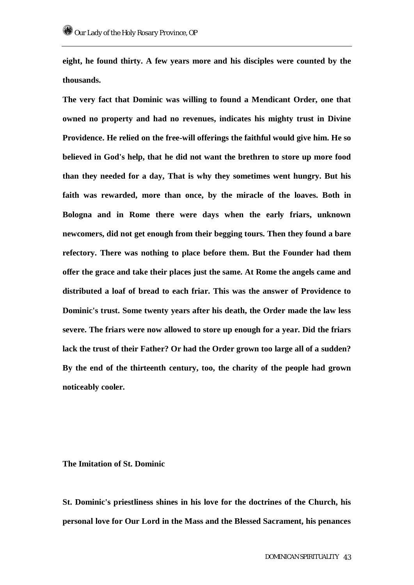**eight, he found thirty. A few years more and his disciples were counted by the thousands.** 

**The very fact that Dominic was willing to found a Mendicant Order, one that owned no property and had no revenues, indicates his mighty trust in Divine Providence. He relied on the free-will offerings the faithful would give him. He so believed in God's help, that he did not want the brethren to store up more food than they needed for a day, That is why they sometimes went hungry. But his faith was rewarded, more than once, by the miracle of the loaves. Both in Bologna and in Rome there were days when the early friars, unknown newcomers, did not get enough from their begging tours. Then they found a bare refectory. There was nothing to place before them. But the Founder had them offer the grace and take their places just the same. At Rome the angels came and distributed a loaf of bread to each friar. This was the answer of Providence to Dominic's trust. Some twenty years after his death, the Order made the law less severe. The friars were now allowed to store up enough for a year. Did the friars lack the trust of their Father? Or had the Order grown too large all of a sudden? By the end of the thirteenth century, too, the charity of the people had grown noticeably cooler.** 

#### **The Imitation of St. Dominic**

**St. Dominic's priestliness shines in his love for the doctrines of the Church, his personal love for Our Lord in the Mass and the Blessed Sacrament, his penances**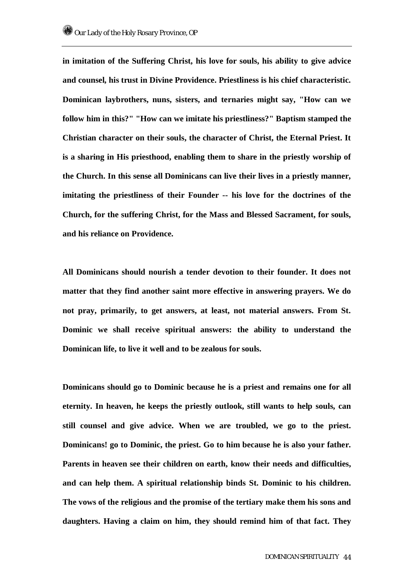**in imitation of the Suffering Christ, his love for souls, his ability to give advice and counsel, his trust in Divine Providence. Priestliness is his chief characteristic. Dominican laybrothers, nuns, sisters, and ternaries might say, "How can we follow him in this?" "How can we imitate his priestliness?" Baptism stamped the Christian character on their souls, the character of Christ, the Eternal Priest. It is a sharing in His priesthood, enabling them to share in the priestly worship of the Church. In this sense all Dominicans can live their lives in a priestly manner, imitating the priestliness of their Founder -- his love for the doctrines of the Church, for the suffering Christ, for the Mass and Blessed Sacrament, for souls, and his reliance on Providence.** 

**All Dominicans should nourish a tender devotion to their founder. It does not matter that they find another saint more effective in answering prayers. We do not pray, primarily, to get answers, at least, not material answers. From St. Dominic we shall receive spiritual answers: the ability to understand the Dominican life, to live it well and to be zealous for souls.** 

**Dominicans should go to Dominic because he is a priest and remains one for all eternity. In heaven, he keeps the priestly outlook, still wants to help souls, can still counsel and give advice. When we are troubled, we go to the priest. Dominicans! go to Dominic, the priest. Go to him because he is also your father. Parents in heaven see their children on earth, know their needs and difficulties, and can help them. A spiritual relationship binds St. Dominic to his children. The vows of the religious and the promise of the tertiary make them his sons and daughters. Having a claim on him, they should remind him of that fact. They**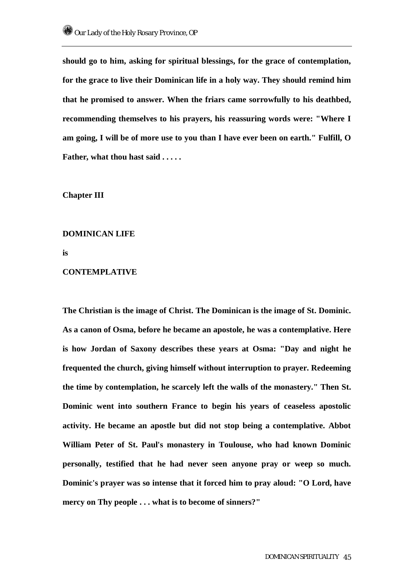**should go to him, asking for spiritual blessings, for the grace of contemplation, for the grace to live their Dominican life in a holy way. They should remind him that he promised to answer. When the friars came sorrowfully to his deathbed, recommending themselves to his prayers, his reassuring words were: "Where I am going, I will be of more use to you than I have ever been on earth." Fulfill, O Father, what thou hast said . . . . .** 

## **Chapter III**

## **DOMINICAN LIFE**

**is** 

#### **CONTEMPLATIVE**

**The Christian is the image of Christ. The Dominican is the image of St. Dominic. As a canon of Osma, before he became an apostole, he was a contemplative. Here is how Jordan of Saxony describes these years at Osma: "Day and night he frequented the church, giving himself without interruption to prayer. Redeeming the time by contemplation, he scarcely left the walls of the monastery." Then St. Dominic went into southern France to begin his years of ceaseless apostolic activity. He became an apostle but did not stop being a contemplative. Abbot William Peter of St. Paul's monastery in Toulouse, who had known Dominic personally, testified that he had never seen anyone pray or weep so much. Dominic's prayer was so intense that it forced him to pray aloud: "O Lord, have mercy on Thy people . . . what is to become of sinners?"**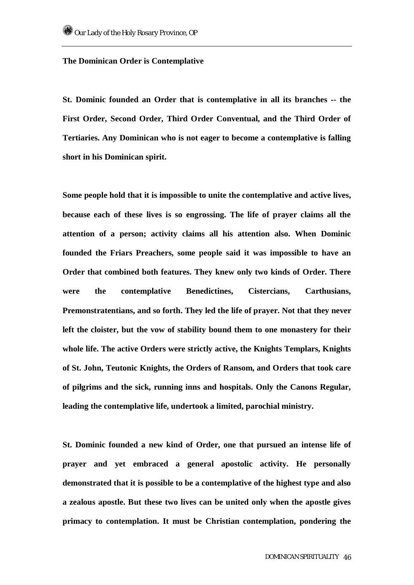## **The Dominican Order is Contemplative**

**St. Dominic founded an Order that is contemplative in all its branches -- the First Order, Second Order, Third Order Conventual, and the Third Order of Tertiaries. Any Dominican who is not eager to become a contemplative is falling short in his Dominican spirit.** 

**Some people hold that it is impossible to unite the contemplative and active lives, because each of these lives is so engrossing. The life of prayer claims all the attention of a person; activity claims all his attention also. When Dominic founded the Friars Preachers, some people said it was impossible to have an Order that combined both features. They knew only two kinds of Order. There were the contemplative Benedictines, Cistercians, Carthusians, Premonstratentians, and so forth. They led the life of prayer. Not that they never left the cloister, but the vow of stability bound them to one monastery for their whole life. The active Orders were strictly active, the Knights Templars, Knights of St. John, Teutonic Knights, the Orders of Ransom, and Orders that took care of pilgrims and the sick, running inns and hospitals. Only the Canons Regular, leading the contemplative life, undertook a limited, parochial ministry.** 

**St. Dominic founded a new kind of Order, one that pursued an intense life of prayer and yet embraced a general apostolic activity. He personally demonstrated that it is possible to be a contemplative of the highest type and also a zealous apostle. But these two lives can be united only when the apostle gives primacy to contemplation. It must be Christian contemplation, pondering the**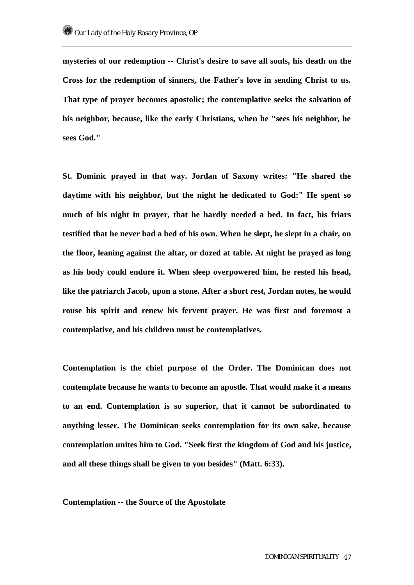**mysteries of our redemption -- Christ's desire to save all souls, his death on the Cross for the redemption of sinners, the Father's love in sending Christ to us. That type of prayer becomes apostolic; the contemplative seeks the salvation of his neighbor, because, like the early Christians, when he "sees his neighbor, he sees God."** 

**St. Dominic prayed in that way. Jordan of Saxony writes: "He shared the daytime with his neighbor, but the night he dedicated to God:" He spent so much of his night in prayer, that he hardly needed a bed. In fact, his friars testified that he never had a bed of his own. When he slept, he slept in a chair, on the floor, leaning against the altar, or dozed at table. At night he prayed as long as his body could endure it. When sleep overpowered him, he rested his head, like the patriarch Jacob, upon a stone. After a short rest, Jordan notes, he would rouse his spirit and renew his fervent prayer. He was first and foremost a contemplative, and his children must be contemplatives.** 

**Contemplation is the chief purpose of the Order. The Dominican does not contemplate because he wants to become an apostle. That would make it a means to an end. Contemplation is so superior, that it cannot be subordinated to anything lesser. The Dominican seeks contemplation for its own sake, because contemplation unites him to God. "Seek first the kingdom of God and his justice, and all these things shall be given to you besides" (Matt. 6:33).** 

#### **Contemplation -- the Source of the Apostolate**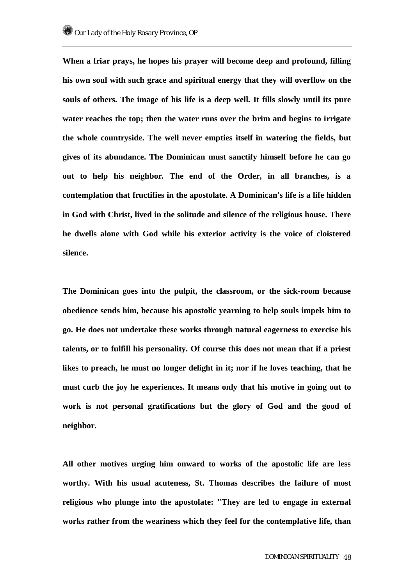**When a friar prays, he hopes his prayer will become deep and profound, filling his own soul with such grace and spiritual energy that they will overflow on the souls of others. The image of his life is a deep well. It fills slowly until its pure water reaches the top; then the water runs over the brim and begins to irrigate the whole countryside. The well never empties itself in watering the fields, but gives of its abundance. The Dominican must sanctify himself before he can go out to help his neighbor. The end of the Order, in all branches, is a contemplation that fructifies in the apostolate. A Dominican's life is a life hidden in God with Christ, lived in the solitude and silence of the religious house. There he dwells alone with God while his exterior activity is the voice of cloistered silence.** 

**The Dominican goes into the pulpit, the classroom, or the sick-room because obedience sends him, because his apostolic yearning to help souls impels him to go. He does not undertake these works through natural eagerness to exercise his talents, or to fulfill his personality. Of course this does not mean that if a priest likes to preach, he must no longer delight in it; nor if he loves teaching, that he must curb the joy he experiences. It means only that his motive in going out to work is not personal gratifications but the glory of God and the good of neighbor.** 

**All other motives urging him onward to works of the apostolic life are less worthy. With his usual acuteness, St. Thomas describes the failure of most religious who plunge into the apostolate: "They are led to engage in external works rather from the weariness which they feel for the contemplative life, than**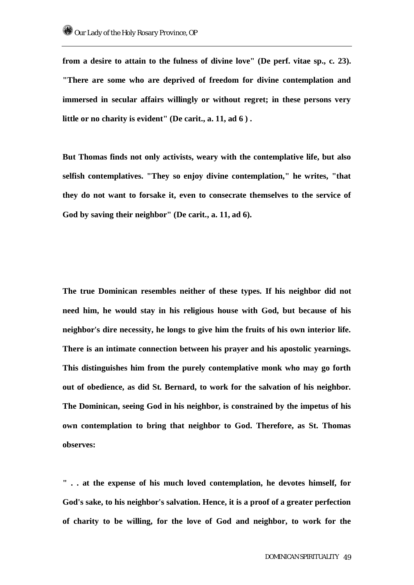**from a desire to attain to the fulness of divine love" (De perf. vitae sp., c. 23). "There are some who are deprived of freedom for divine contemplation and immersed in secular affairs willingly or without regret; in these persons very little or no charity is evident" (De carit., a. 11, ad 6 ) .** 

**But Thomas finds not only activists, weary with the contemplative life, but also selfish contemplatives. "They so enjoy divine contemplation," he writes, "that they do not want to forsake it, even to consecrate themselves to the service of God by saving their neighbor" (De carit., a. 11, ad 6).** 

**The true Dominican resembles neither of these types. If his neighbor did not need him, he would stay in his religious house with God, but because of his neighbor's dire necessity, he longs to give him the fruits of his own interior life. There is an intimate connection between his prayer and his apostolic yearnings. This distinguishes him from the purely contemplative monk who may go forth out of obedience, as did St. Bernard, to work for the salvation of his neighbor. The Dominican, seeing God in his neighbor, is constrained by the impetus of his own contemplation to bring that neighbor to God. Therefore, as St. Thomas observes:** 

**" . . at the expense of his much loved contemplation, he devotes himself, for God's sake, to his neighbor's salvation. Hence, it is a proof of a greater perfection of charity to be willing, for the love of God and neighbor, to work for the**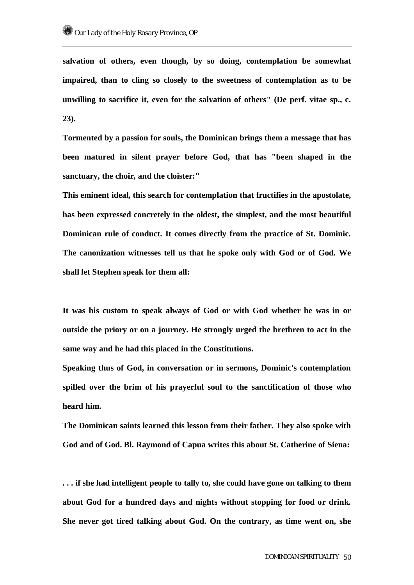**salvation of others, even though, by so doing, contemplation be somewhat impaired, than to cling so closely to the sweetness of contemplation as to be unwilling to sacrifice it, even for the salvation of others" (De perf. vitae sp., c. 23).** 

**Tormented by a passion for souls, the Dominican brings them a message that has been matured in silent prayer before God, that has "been shaped in the sanctuary, the choir, and the cloister:"** 

**This eminent ideal, this search for contemplation that fructifies in the apostolate, has been expressed concretely in the oldest, the simplest, and the most beautiful Dominican rule of conduct. It comes directly from the practice of St. Dominic. The canonization witnesses tell us that he spoke only with God or of God. We shall let Stephen speak for them all:** 

**It was his custom to speak always of God or with God whether he was in or outside the priory or on a journey. He strongly urged the brethren to act in the same way and he had this placed in the Constitutions.** 

**Speaking thus of God, in conversation or in sermons, Dominic's contemplation spilled over the brim of his prayerful soul to the sanctification of those who heard him.** 

**The Dominican saints learned this lesson from their father. They also spoke with God and of God. Bl. Raymond of Capua writes this about St. Catherine of Siena:** 

**. . . if she had intelligent people to tally to, she could have gone on talking to them about God for a hundred days and nights without stopping for food or drink. She never got tired talking about God. On the contrary, as time went on, she**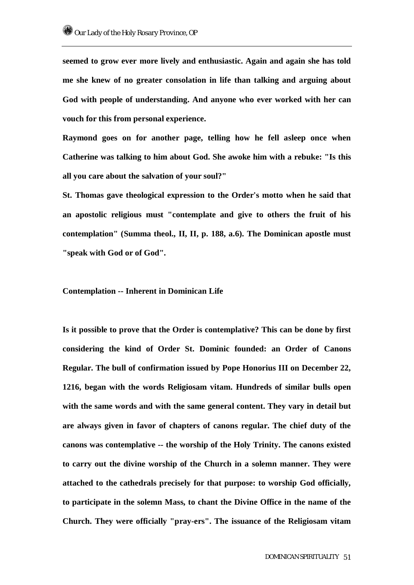**seemed to grow ever more lively and enthusiastic. Again and again she has told me she knew of no greater consolation in life than talking and arguing about God with people of understanding. And anyone who ever worked with her can vouch for this from personal experience.** 

**Raymond goes on for another page, telling how he fell asleep once when Catherine was talking to him about God. She awoke him with a rebuke: "Is this all you care about the salvation of your soul?"** 

**St. Thomas gave theological expression to the Order's motto when he said that an apostolic religious must "contemplate and give to others the fruit of his contemplation" (Summa theol., II, II, p. 188, a.6). The Dominican apostle must "speak with God or of God".** 

#### **Contemplation -- Inherent in Dominican Life**

**Is it possible to prove that the Order is contemplative? This can be done by first considering the kind of Order St. Dominic founded: an Order of Canons Regular. The bull of confirmation issued by Pope Honorius III on December 22, 1216, began with the words Religiosam vitam. Hundreds of similar bulls open with the same words and with the same general content. They vary in detail but are always given in favor of chapters of canons regular. The chief duty of the canons was contemplative -- the worship of the Holy Trinity. The canons existed to carry out the divine worship of the Church in a solemn manner. They were attached to the cathedrals precisely for that purpose: to worship God officially, to participate in the solemn Mass, to chant the Divine Office in the name of the Church. They were officially "pray-ers". The issuance of the Religiosam vitam**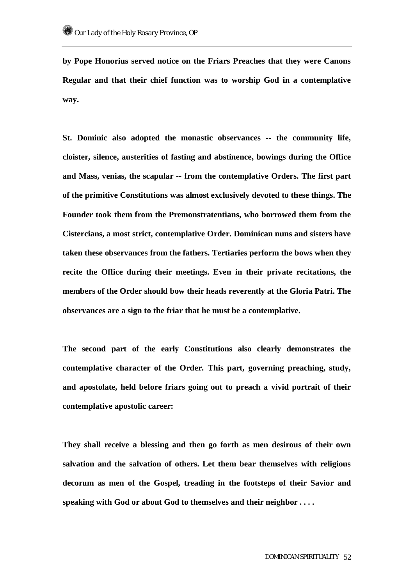**by Pope Honorius served notice on the Friars Preaches that they were Canons Regular and that their chief function was to worship God in a contemplative way.** 

**St. Dominic also adopted the monastic observances -- the community life, cloister, silence, austerities of fasting and abstinence, bowings during the Office and Mass, venias, the scapular -- from the contemplative Orders. The first part of the primitive Constitutions was almost exclusively devoted to these things. The Founder took them from the Premonstratentians, who borrowed them from the Cistercians, a most strict, contemplative Order. Dominican nuns and sisters have taken these observances from the fathers. Tertiaries perform the bows when they recite the Office during their meetings. Even in their private recitations, the members of the Order should bow their heads reverently at the Gloria Patri. The observances are a sign to the friar that he must be a contemplative.** 

**The second part of the early Constitutions also clearly demonstrates the contemplative character of the Order. This part, governing preaching, study, and apostolate, held before friars going out to preach a vivid portrait of their contemplative apostolic career:** 

**They shall receive a blessing and then go forth as men desirous of their own salvation and the salvation of others. Let them bear themselves with religious decorum as men of the Gospel, treading in the footsteps of their Savior and speaking with God or about God to themselves and their neighbor . . . .**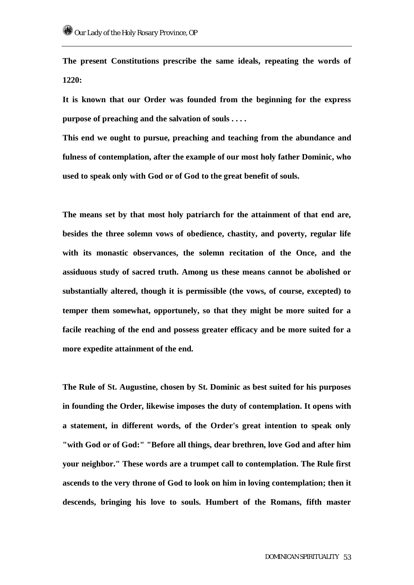**The present Constitutions prescribe the same ideals, repeating the words of 1220:** 

**It is known that our Order was founded from the beginning for the express purpose of preaching and the salvation of souls . . . .** 

**This end we ought to pursue, preaching and teaching from the abundance and fulness of contemplation, after the example of our most holy father Dominic, who used to speak only with God or of God to the great benefit of souls.** 

**The means set by that most holy patriarch for the attainment of that end are, besides the three solemn vows of obedience, chastity, and poverty, regular life with its monastic observances, the solemn recitation of the Once, and the assiduous study of sacred truth. Among us these means cannot be abolished or substantially altered, though it is permissible (the vows, of course, excepted) to temper them somewhat, opportunely, so that they might be more suited for a facile reaching of the end and possess greater efficacy and be more suited for a more expedite attainment of the end.** 

**The Rule of St. Augustine, chosen by St. Dominic as best suited for his purposes in founding the Order, likewise imposes the duty of contemplation. It opens with a statement, in different words, of the Order's great intention to speak only "with God or of God:" "Before all things, dear brethren, love God and after him your neighbor." These words are a trumpet call to contemplation. The Rule first ascends to the very throne of God to look on him in loving contemplation; then it descends, bringing his love to souls. Humbert of the Romans, fifth master**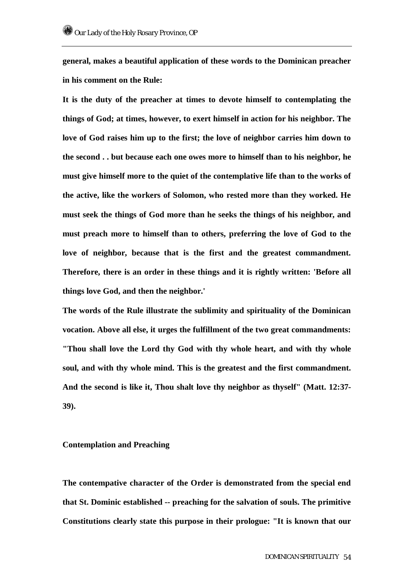**general, makes a beautiful application of these words to the Dominican preacher in his comment on the Rule:** 

**It is the duty of the preacher at times to devote himself to contemplating the things of God; at times, however, to exert himself in action for his neighbor. The love of God raises him up to the first; the love of neighbor carries him down to the second . . but because each one owes more to himself than to his neighbor, he must give himself more to the quiet of the contemplative life than to the works of the active, like the workers of Solomon, who rested more than they worked. He must seek the things of God more than he seeks the things of his neighbor, and must preach more to himself than to others, preferring the love of God to the love of neighbor, because that is the first and the greatest commandment. Therefore, there is an order in these things and it is rightly written: 'Before all things love God, and then the neighbor.'** 

**The words of the Rule illustrate the sublimity and spirituality of the Dominican vocation. Above all else, it urges the fulfillment of the two great commandments: "Thou shall love the Lord thy God with thy whole heart, and with thy whole soul, and with thy whole mind. This is the greatest and the first commandment. And the second is like it, Thou shalt love thy neighbor as thyself" (Matt. 12:37- 39).** 

#### **Contemplation and Preaching**

**The contempative character of the Order is demonstrated from the special end that St. Dominic established -- preaching for the salvation of souls. The primitive Constitutions clearly state this purpose in their prologue: "It is known that our**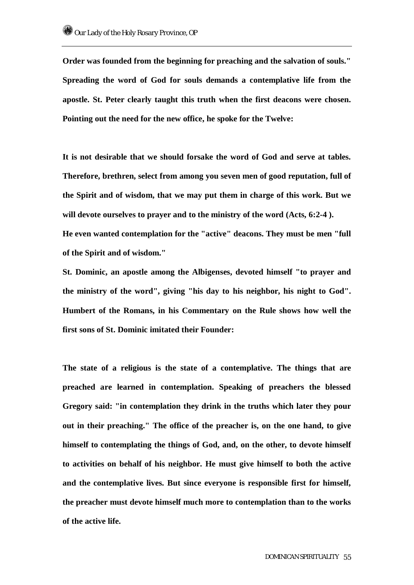**Order was founded from the beginning for preaching and the salvation of souls." Spreading the word of God for souls demands a contemplative life from the apostle. St. Peter clearly taught this truth when the first deacons were chosen. Pointing out the need for the new office, he spoke for the Twelve:** 

**It is not desirable that we should forsake the word of God and serve at tables. Therefore, brethren, select from among you seven men of good reputation, full of the Spirit and of wisdom, that we may put them in charge of this work. But we**  will devote ourselves to prayer and to the ministry of the word (Acts, 6:2-4). **He even wanted contemplation for the "active" deacons. They must be men "full of the Spirit and of wisdom."** 

**St. Dominic, an apostle among the Albigenses, devoted himself "to prayer and the ministry of the word", giving "his day to his neighbor, his night to God". Humbert of the Romans, in his Commentary on the Rule shows how well the first sons of St. Dominic imitated their Founder:** 

**The state of a religious is the state of a contemplative. The things that are preached are learned in contemplation. Speaking of preachers the blessed Gregory said: "in contemplation they drink in the truths which later they pour out in their preaching." The office of the preacher is, on the one hand, to give himself to contemplating the things of God, and, on the other, to devote himself to activities on behalf of his neighbor. He must give himself to both the active and the contemplative lives. But since everyone is responsible first for himself, the preacher must devote himself much more to contemplation than to the works of the active life.**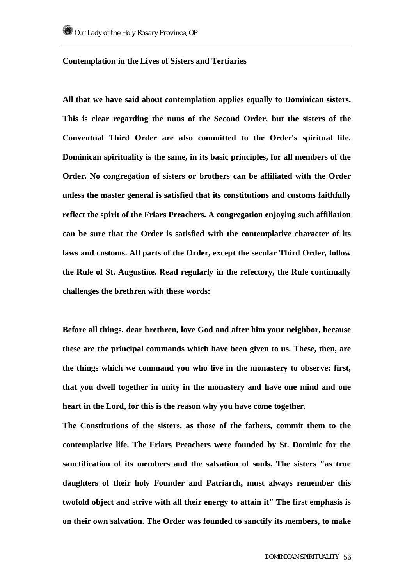#### **Contemplation in the Lives of Sisters and Tertiaries**

**All that we have said about contemplation applies equally to Dominican sisters. This is clear regarding the nuns of the Second Order, but the sisters of the Conventual Third Order are also committed to the Order's spiritual life. Dominican spirituality is the same, in its basic principles, for all members of the Order. No congregation of sisters or brothers can be affiliated with the Order unless the master general is satisfied that its constitutions and customs faithfully reflect the spirit of the Friars Preachers. A congregation enjoying such affiliation can be sure that the Order is satisfied with the contemplative character of its laws and customs. All parts of the Order, except the secular Third Order, follow the Rule of St. Augustine. Read regularly in the refectory, the Rule continually challenges the brethren with these words:** 

**Before all things, dear brethren, love God and after him your neighbor, because these are the principal commands which have been given to us. These, then, are the things which we command you who live in the monastery to observe: first, that you dwell together in unity in the monastery and have one mind and one heart in the Lord, for this is the reason why you have come together.** 

**The Constitutions of the sisters, as those of the fathers, commit them to the contemplative life. The Friars Preachers were founded by St. Dominic for the sanctification of its members and the salvation of souls. The sisters "as true daughters of their holy Founder and Patriarch, must always remember this twofold object and strive with all their energy to attain it" The first emphasis is on their own salvation. The Order was founded to sanctify its members, to make**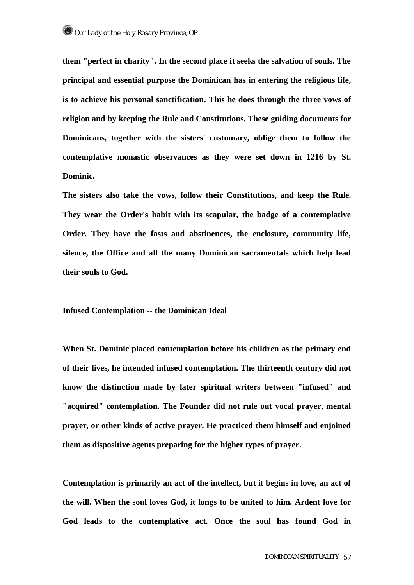**them "perfect in charity". In the second place it seeks the salvation of souls. The principal and essential purpose the Dominican has in entering the religious life, is to achieve his personal sanctification. This he does through the three vows of religion and by keeping the Rule and Constitutions. These guiding documents for Dominicans, together with the sisters' customary, oblige them to follow the contemplative monastic observances as they were set down in 1216 by St. Dominic.** 

**The sisters also take the vows, follow their Constitutions, and keep the Rule. They wear the Order's habit with its scapular, the badge of a contemplative Order. They have the fasts and abstinences, the enclosure, community life, silence, the Office and all the many Dominican sacramentals which help lead their souls to God.** 

#### **Infused Contemplation -- the Dominican Ideal**

**When St. Dominic placed contemplation before his children as the primary end of their lives, he intended infused contemplation. The thirteenth century did not know the distinction made by later spiritual writers between "infused" and "acquired" contemplation. The Founder did not rule out vocal prayer, mental prayer, or other kinds of active prayer. He practiced them himself and enjoined them as dispositive agents preparing for the higher types of prayer.** 

**Contemplation is primarily an act of the intellect, but it begins in love, an act of the will. When the soul loves God, it longs to be united to him. Ardent love for God leads to the contemplative act. Once the soul has found God in**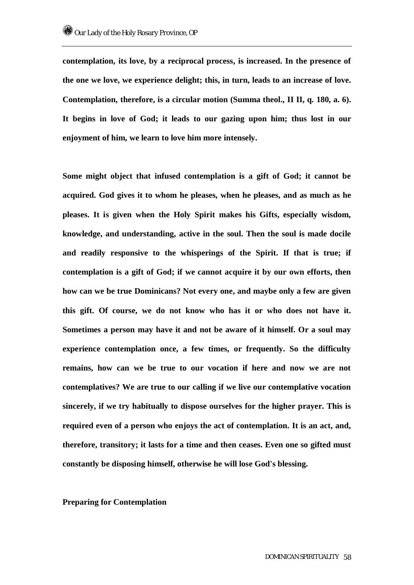**contemplation, its love, by a reciprocal process, is increased. In the presence of the one we love, we experience delight; this, in turn, leads to an increase of love. Contemplation, therefore, is a circular motion (Summa theol., II II, q. 180, a. 6). It begins in love of God; it leads to our gazing upon him; thus lost in our enjoyment of him, we learn to love him more intensely.** 

**Some might object that infused contemplation is a gift of God; it cannot be acquired. God gives it to whom he pleases, when he pleases, and as much as he pleases. It is given when the Holy Spirit makes his Gifts, especially wisdom, knowledge, and understanding, active in the soul. Then the soul is made docile and readily responsive to the whisperings of the Spirit. If that is true; if contemplation is a gift of God; if we cannot acquire it by our own efforts, then how can we be true Dominicans? Not every one, and maybe only a few are given this gift. Of course, we do not know who has it or who does not have it. Sometimes a person may have it and not be aware of it himself. Or a soul may experience contemplation once, a few times, or frequently. So the difficulty remains, how can we be true to our vocation if here and now we are not contemplatives? We are true to our calling if we live our contemplative vocation sincerely, if we try habitually to dispose ourselves for the higher prayer. This is required even of a person who enjoys the act of contemplation. It is an act, and, therefore, transitory; it lasts for a time and then ceases. Even one so gifted must constantly be disposing himself, otherwise he will lose God's blessing.** 

#### **Preparing for Contemplation**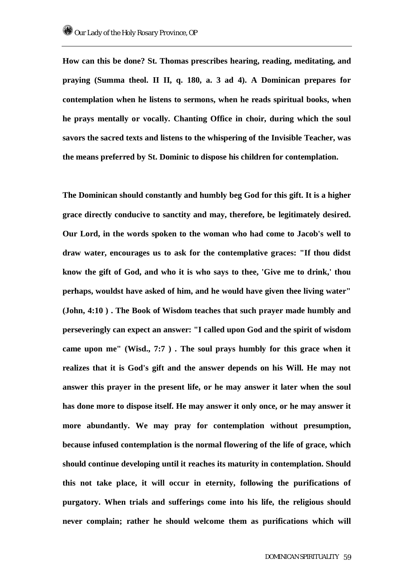**How can this be done? St. Thomas prescribes hearing, reading, meditating, and praying (Summa theol. II II, q. 180, a. 3 ad 4). A Dominican prepares for contemplation when he listens to sermons, when he reads spiritual books, when he prays mentally or vocally. Chanting Office in choir, during which the soul savors the sacred texts and listens to the whispering of the Invisible Teacher, was the means preferred by St. Dominic to dispose his children for contemplation.** 

**The Dominican should constantly and humbly beg God for this gift. It is a higher grace directly conducive to sanctity and may, therefore, be legitimately desired. Our Lord, in the words spoken to the woman who had come to Jacob's well to draw water, encourages us to ask for the contemplative graces: "If thou didst know the gift of God, and who it is who says to thee, 'Give me to drink,' thou perhaps, wouldst have asked of him, and he would have given thee living water" (John, 4:10 ) . The Book of Wisdom teaches that such prayer made humbly and perseveringly can expect an answer: "I called upon God and the spirit of wisdom came upon me" (Wisd., 7:7 ) . The soul prays humbly for this grace when it realizes that it is God's gift and the answer depends on his Will. He may not answer this prayer in the present life, or he may answer it later when the soul has done more to dispose itself. He may answer it only once, or he may answer it more abundantly. We may pray for contemplation without presumption, because infused contemplation is the normal flowering of the life of grace, which should continue developing until it reaches its maturity in contemplation. Should this not take place, it will occur in eternity, following the purifications of purgatory. When trials and sufferings come into his life, the religious should never complain; rather he should welcome them as purifications which will**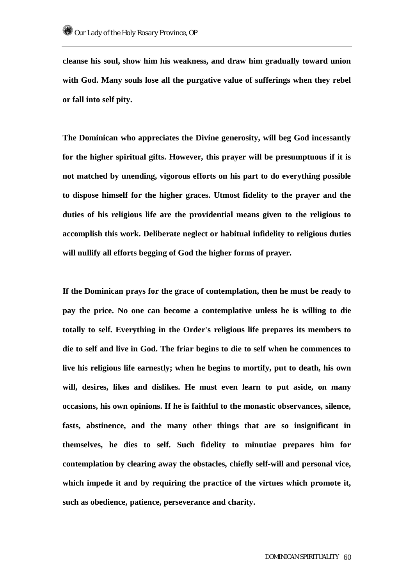**cleanse his soul, show him his weakness, and draw him gradually toward union with God. Many souls lose all the purgative value of sufferings when they rebel or fall into self pity.** 

**The Dominican who appreciates the Divine generosity, will beg God incessantly for the higher spiritual gifts. However, this prayer will be presumptuous if it is not matched by unending, vigorous efforts on his part to do everything possible to dispose himself for the higher graces. Utmost fidelity to the prayer and the duties of his religious life are the providential means given to the religious to accomplish this work. Deliberate neglect or habitual infidelity to religious duties will nullify all efforts begging of God the higher forms of prayer.** 

**If the Dominican prays for the grace of contemplation, then he must be ready to pay the price. No one can become a contemplative unless he is willing to die totally to self. Everything in the Order's religious life prepares its members to die to self and live in God. The friar begins to die to self when he commences to live his religious life earnestly; when he begins to mortify, put to death, his own will, desires, likes and dislikes. He must even learn to put aside, on many occasions, his own opinions. If he is faithful to the monastic observances, silence, fasts, abstinence, and the many other things that are so insignificant in themselves, he dies to self. Such fidelity to minutiae prepares him for contemplation by clearing away the obstacles, chiefly self-will and personal vice, which impede it and by requiring the practice of the virtues which promote it, such as obedience, patience, perseverance and charity.**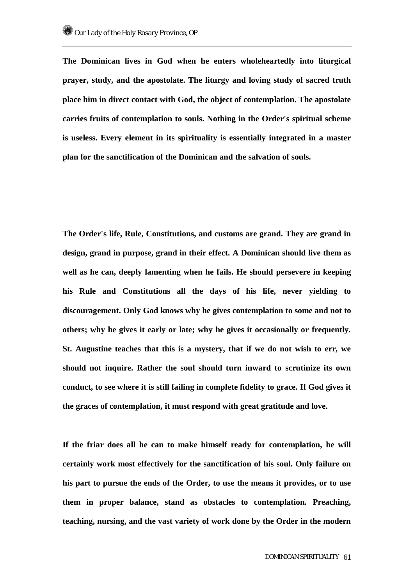**The Dominican lives in God when he enters wholeheartedly into liturgical prayer, study, and the apostolate. The liturgy and loving study of sacred truth place him in direct contact with God, the object of contemplation. The apostolate carries fruits of contemplation to souls. Nothing in the Order's spiritual scheme is useless. Every element in its spirituality is essentially integrated in a master plan for the sanctification of the Dominican and the salvation of souls.** 

**The Order's life, Rule, Constitutions, and customs are grand. They are grand in design, grand in purpose, grand in their effect. A Dominican should live them as well as he can, deeply lamenting when he fails. He should persevere in keeping his Rule and Constitutions all the days of his life, never yielding to discouragement. Only God knows why he gives contemplation to some and not to others; why he gives it early or late; why he gives it occasionally or frequently. St. Augustine teaches that this is a mystery, that if we do not wish to err, we should not inquire. Rather the soul should turn inward to scrutinize its own conduct, to see where it is still failing in complete fidelity to grace. If God gives it the graces of contemplation, it must respond with great gratitude and love.** 

**If the friar does all he can to make himself ready for contemplation, he will certainly work most effectively for the sanctification of his soul. Only failure on his part to pursue the ends of the Order, to use the means it provides, or to use them in proper balance, stand as obstacles to contemplation. Preaching, teaching, nursing, and the vast variety of work done by the Order in the modern**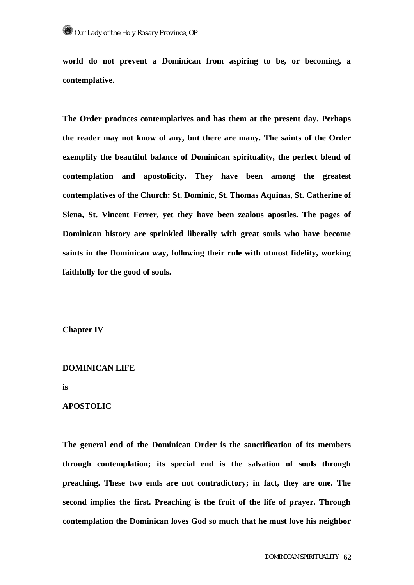**world do not prevent a Dominican from aspiring to be, or becoming, a contemplative.** 

**The Order produces contemplatives and has them at the present day. Perhaps the reader may not know of any, but there are many. The saints of the Order exemplify the beautiful balance of Dominican spirituality, the perfect blend of contemplation and apostolicity. They have been among the greatest contemplatives of the Church: St. Dominic, St. Thomas Aquinas, St. Catherine of Siena, St. Vincent Ferrer, yet they have been zealous apostles. The pages of Dominican history are sprinkled liberally with great souls who have become saints in the Dominican way, following their rule with utmost fidelity, working faithfully for the good of souls.** 

**Chapter IV** 

#### **DOMINICAN LIFE**

**is** 

# **APOSTOLIC**

**The general end of the Dominican Order is the sanctification of its members through contemplation; its special end is the salvation of souls through preaching. These two ends are not contradictory; in fact, they are one. The second implies the first. Preaching is the fruit of the life of prayer. Through contemplation the Dominican loves God so much that he must love his neighbor**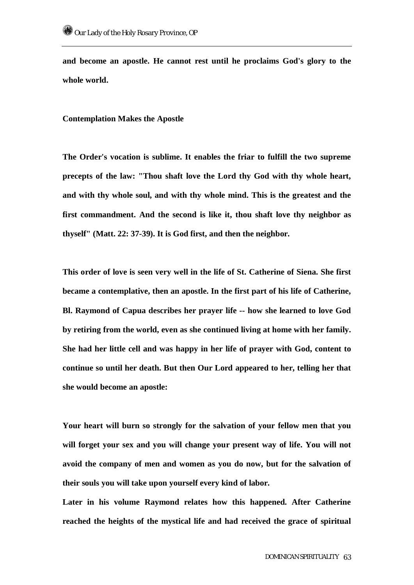**and become an apostle. He cannot rest until he proclaims God's glory to the whole world.** 

**Contemplation Makes the Apostle** 

**The Order's vocation is sublime. It enables the friar to fulfill the two supreme precepts of the law: "Thou shaft love the Lord thy God with thy whole heart, and with thy whole soul, and with thy whole mind. This is the greatest and the first commandment. And the second is like it, thou shaft love thy neighbor as thyself" (Matt. 22: 37-39). It is God first, and then the neighbor.** 

**This order of love is seen very well in the life of St. Catherine of Siena. She first became a contemplative, then an apostle. In the first part of his life of Catherine, Bl. Raymond of Capua describes her prayer life -- how she learned to love God by retiring from the world, even as she continued living at home with her family. She had her little cell and was happy in her life of prayer with God, content to continue so until her death. But then Our Lord appeared to her, telling her that she would become an apostle:** 

**Your heart will burn so strongly for the salvation of your fellow men that you will forget your sex and you will change your present way of life. You will not avoid the company of men and women as you do now, but for the salvation of their souls you will take upon yourself every kind of labor.** 

**Later in his volume Raymond relates how this happened. After Catherine reached the heights of the mystical life and had received the grace of spiritual**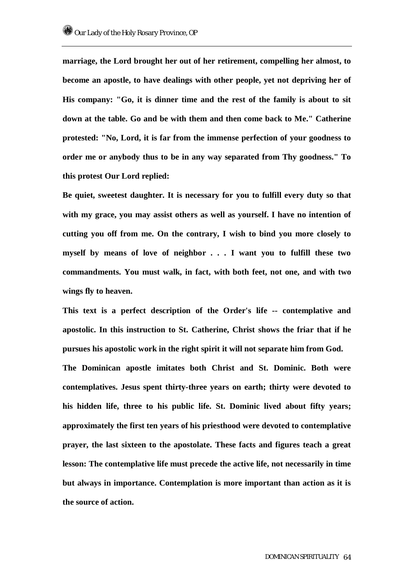**marriage, the Lord brought her out of her retirement, compelling her almost, to become an apostle, to have dealings with other people, yet not depriving her of His company: "Go, it is dinner time and the rest of the family is about to sit down at the table. Go and be with them and then come back to Me." Catherine protested: "No, Lord, it is far from the immense perfection of your goodness to order me or anybody thus to be in any way separated from Thy goodness." To this protest Our Lord replied:** 

**Be quiet, sweetest daughter. It is necessary for you to fulfill every duty so that with my grace, you may assist others as well as yourself. I have no intention of cutting you off from me. On the contrary, I wish to bind you more closely to myself by means of love of neighbor . . . I want you to fulfill these two commandments. You must walk, in fact, with both feet, not one, and with two wings fly to heaven.** 

**This text is a perfect description of the Order's life -- contemplative and apostolic. In this instruction to St. Catherine, Christ shows the friar that if he pursues his apostolic work in the right spirit it will not separate him from God. The Dominican apostle imitates both Christ and St. Dominic. Both were contemplatives. Jesus spent thirty-three years on earth; thirty were devoted to his hidden life, three to his public life. St. Dominic lived about fifty years; approximately the first ten years of his priesthood were devoted to contemplative prayer, the last sixteen to the apostolate. These facts and figures teach a great lesson: The contemplative life must precede the active life, not necessarily in time** 

**but always in importance. Contemplation is more important than action as it is** 

**the source of action.**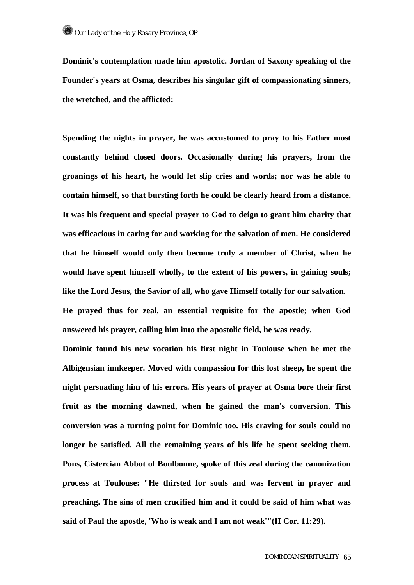**Dominic's contemplation made him apostolic. Jordan of Saxony speaking of the Founder's years at Osma, describes his singular gift of compassionating sinners, the wretched, and the afflicted:** 

**Spending the nights in prayer, he was accustomed to pray to his Father most constantly behind closed doors. Occasionally during his prayers, from the groanings of his heart, he would let slip cries and words; nor was he able to contain himself, so that bursting forth he could be clearly heard from a distance. It was his frequent and special prayer to God to deign to grant him charity that was efficacious in caring for and working for the salvation of men. He considered that he himself would only then become truly a member of Christ, when he would have spent himself wholly, to the extent of his powers, in gaining souls; like the Lord Jesus, the Savior of all, who gave Himself totally for our salvation. He prayed thus for zeal, an essential requisite for the apostle; when God answered his prayer, calling him into the apostolic field, he was ready.** 

**Dominic found his new vocation his first night in Toulouse when he met the Albigensian innkeeper. Moved with compassion for this lost sheep, he spent the night persuading him of his errors. His years of prayer at Osma bore their first fruit as the morning dawned, when he gained the man's conversion. This conversion was a turning point for Dominic too. His craving for souls could no longer be satisfied. All the remaining years of his life he spent seeking them. Pons, Cistercian Abbot of Boulbonne, spoke of this zeal during the canonization process at Toulouse: "He thirsted for souls and was fervent in prayer and preaching. The sins of men crucified him and it could be said of him what was said of Paul the apostle, 'Who is weak and I am not weak'"(II Cor. 11:29).**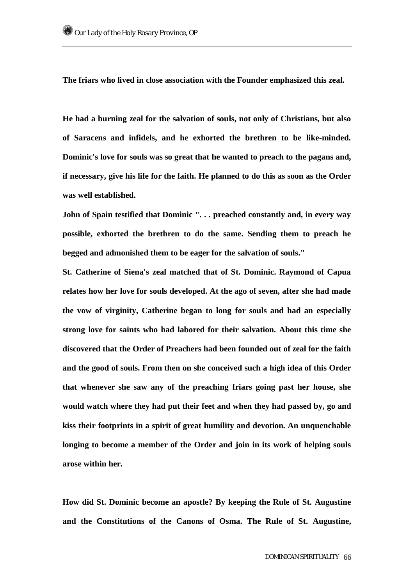**The friars who lived in close association with the Founder emphasized this zeal.** 

**He had a burning zeal for the salvation of souls, not only of Christians, but also of Saracens and infidels, and he exhorted the brethren to be like-minded. Dominic's love for souls was so great that he wanted to preach to the pagans and, if necessary, give his life for the faith. He planned to do this as soon as the Order was well established.** 

**John of Spain testified that Dominic ". . . preached constantly and, in every way possible, exhorted the brethren to do the same. Sending them to preach he begged and admonished them to be eager for the salvation of souls."** 

**St. Catherine of Siena's zeal matched that of St. Dominic. Raymond of Capua relates how her love for souls developed. At the ago of seven, after she had made the vow of virginity, Catherine began to long for souls and had an especially strong love for saints who had labored for their salvation. About this time she discovered that the Order of Preachers had been founded out of zeal for the faith and the good of souls. From then on she conceived such a high idea of this Order that whenever she saw any of the preaching friars going past her house, she would watch where they had put their feet and when they had passed by, go and kiss their footprints in a spirit of great humility and devotion. An unquenchable longing to become a member of the Order and join in its work of helping souls arose within her.** 

**How did St. Dominic become an apostle? By keeping the Rule of St. Augustine and the Constitutions of the Canons of Osma. The Rule of St. Augustine,**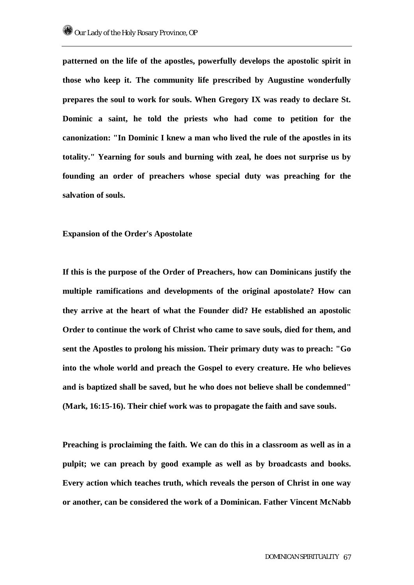**patterned on the life of the apostles, powerfully develops the apostolic spirit in those who keep it. The community life prescribed by Augustine wonderfully prepares the soul to work for souls. When Gregory IX was ready to declare St. Dominic a saint, he told the priests who had come to petition for the canonization: "In Dominic I knew a man who lived the rule of the apostles in its totality." Yearning for souls and burning with zeal, he does not surprise us by founding an order of preachers whose special duty was preaching for the salvation of souls.** 

**Expansion of the Order's Apostolate** 

**If this is the purpose of the Order of Preachers, how can Dominicans justify the multiple ramifications and developments of the original apostolate? How can they arrive at the heart of what the Founder did? He established an apostolic Order to continue the work of Christ who came to save souls, died for them, and sent the Apostles to prolong his mission. Their primary duty was to preach: "Go into the whole world and preach the Gospel to every creature. He who believes and is baptized shall be saved, but he who does not believe shall be condemned" (Mark, 16:15-16). Their chief work was to propagate the faith and save souls.** 

**Preaching is proclaiming the faith. We can do this in a classroom as well as in a pulpit; we can preach by good example as well as by broadcasts and books. Every action which teaches truth, which reveals the person of Christ in one way or another, can be considered the work of a Dominican. Father Vincent McNabb**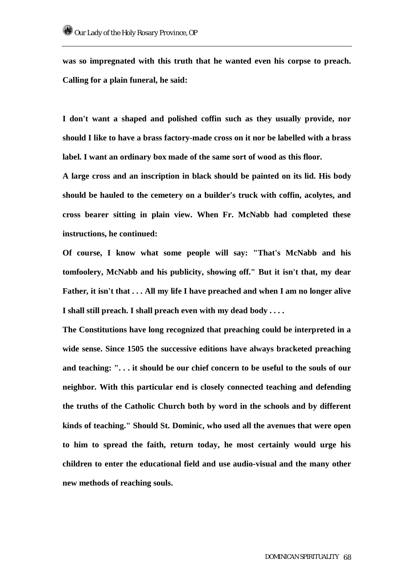**was so impregnated with this truth that he wanted even his corpse to preach. Calling for a plain funeral, he said:** 

**I don't want a shaped and polished coffin such as they usually provide, nor should I like to have a brass factory-made cross on it nor be labelled with a brass label. I want an ordinary box made of the same sort of wood as this floor.** 

**A large cross and an inscription in black should be painted on its lid. His body should be hauled to the cemetery on a builder's truck with coffin, acolytes, and cross bearer sitting in plain view. When Fr. McNabb had completed these instructions, he continued:** 

**Of course, I know what some people will say: "That's McNabb and his tomfoolery, McNabb and his publicity, showing off." But it isn't that, my dear Father, it isn't that . . . All my life I have preached and when I am no longer alive I shall still preach. I shall preach even with my dead body . . . .** 

**The Constitutions have long recognized that preaching could be interpreted in a wide sense. Since 1505 the successive editions have always bracketed preaching and teaching: ". . . it should be our chief concern to be useful to the souls of our neighbor. With this particular end is closely connected teaching and defending the truths of the Catholic Church both by word in the schools and by different kinds of teaching." Should St. Dominic, who used all the avenues that were open to him to spread the faith, return today, he most certainly would urge his children to enter the educational field and use audio-visual and the many other new methods of reaching souls.**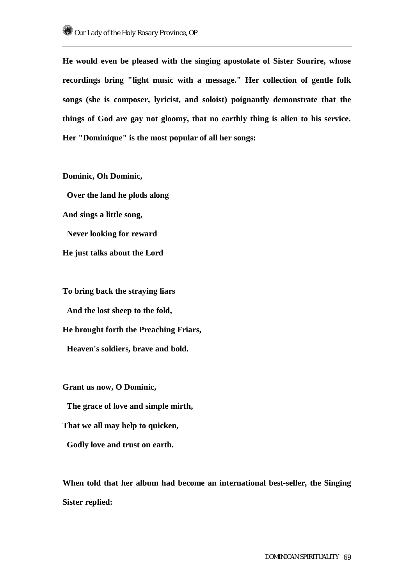**He would even be pleased with the singing apostolate of Sister Sourire, whose recordings bring "light music with a message." Her collection of gentle folk songs (she is composer, lyricist, and soloist) poignantly demonstrate that the things of God are gay not gloomy, that no earthly thing is alien to his service. Her "Dominique" is the most popular of all her songs:** 

**Dominic, Oh Dominic, Over the land he plods along And sings a little song, Never looking for reward He just talks about the Lord** 

**To bring back the straying liars And the lost sheep to the fold, He brought forth the Preaching Friars, Heaven's soldiers, brave and bold.** 

**Grant us now, O Dominic,** 

 **The grace of love and simple mirth,** 

**That we all may help to quicken,** 

 **Godly love and trust on earth.** 

**When told that her album had become an international best-seller, the Singing Sister replied:**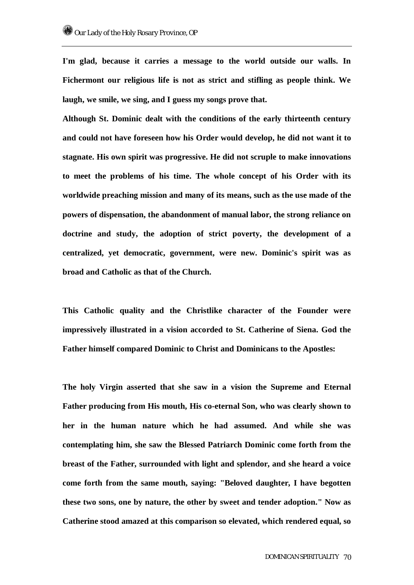**I'm glad, because it carries a message to the world outside our walls. In Fichermont our religious life is not as strict and stifling as people think. We laugh, we smile, we sing, and I guess my songs prove that.** 

**Although St. Dominic dealt with the conditions of the early thirteenth century and could not have foreseen how his Order would develop, he did not want it to stagnate. His own spirit was progressive. He did not scruple to make innovations to meet the problems of his time. The whole concept of his Order with its worldwide preaching mission and many of its means, such as the use made of the powers of dispensation, the abandonment of manual labor, the strong reliance on doctrine and study, the adoption of strict poverty, the development of a centralized, yet democratic, government, were new. Dominic's spirit was as broad and Catholic as that of the Church.** 

**This Catholic quality and the Christlike character of the Founder were impressively illustrated in a vision accorded to St. Catherine of Siena. God the Father himself compared Dominic to Christ and Dominicans to the Apostles:** 

**The holy Virgin asserted that she saw in a vision the Supreme and Eternal Father producing from His mouth, His co-eternal Son, who was clearly shown to her in the human nature which he had assumed. And while she was contemplating him, she saw the Blessed Patriarch Dominic come forth from the breast of the Father, surrounded with light and splendor, and she heard a voice come forth from the same mouth, saying: "Beloved daughter, I have begotten these two sons, one by nature, the other by sweet and tender adoption." Now as Catherine stood amazed at this comparison so elevated, which rendered equal, so**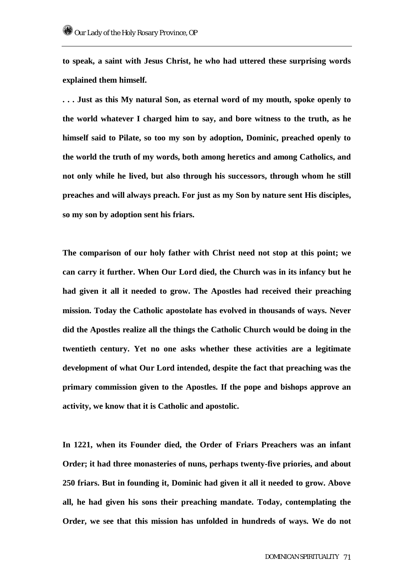**to speak, a saint with Jesus Christ, he who had uttered these surprising words explained them himself.** 

**. . . Just as this My natural Son, as eternal word of my mouth, spoke openly to the world whatever I charged him to say, and bore witness to the truth, as he himself said to Pilate, so too my son by adoption, Dominic, preached openly to the world the truth of my words, both among heretics and among Catholics, and not only while he lived, but also through his successors, through whom he still preaches and will always preach. For just as my Son by nature sent His disciples, so my son by adoption sent his friars.** 

**The comparison of our holy father with Christ need not stop at this point; we can carry it further. When Our Lord died, the Church was in its infancy but he had given it all it needed to grow. The Apostles had received their preaching mission. Today the Catholic apostolate has evolved in thousands of ways. Never did the Apostles realize all the things the Catholic Church would be doing in the twentieth century. Yet no one asks whether these activities are a legitimate development of what Our Lord intended, despite the fact that preaching was the primary commission given to the Apostles. If the pope and bishops approve an activity, we know that it is Catholic and apostolic.** 

**In 1221, when its Founder died, the Order of Friars Preachers was an infant Order; it had three monasteries of nuns, perhaps twenty-five priories, and about 250 friars. But in founding it, Dominic had given it all it needed to grow. Above all, he had given his sons their preaching mandate. Today, contemplating the Order, we see that this mission has unfolded in hundreds of ways. We do not**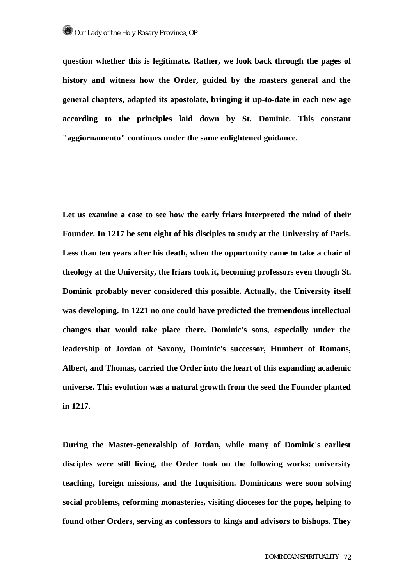**question whether this is legitimate. Rather, we look back through the pages of history and witness how the Order, guided by the masters general and the general chapters, adapted its apostolate, bringing it up-to-date in each new age according to the principles laid down by St. Dominic. This constant "aggiornamento" continues under the same enlightened guidance.** 

**Let us examine a case to see how the early friars interpreted the mind of their Founder. In 1217 he sent eight of his disciples to study at the University of Paris. Less than ten years after his death, when the opportunity came to take a chair of theology at the University, the friars took it, becoming professors even though St. Dominic probably never considered this possible. Actually, the University itself was developing. In 1221 no one could have predicted the tremendous intellectual changes that would take place there. Dominic's sons, especially under the leadership of Jordan of Saxony, Dominic's successor, Humbert of Romans, Albert, and Thomas, carried the Order into the heart of this expanding academic universe. This evolution was a natural growth from the seed the Founder planted in 1217.** 

**During the Master-generalship of Jordan, while many of Dominic's earliest disciples were still living, the Order took on the following works: university teaching, foreign missions, and the Inquisition. Dominicans were soon solving social problems, reforming monasteries, visiting dioceses for the pope, helping to found other Orders, serving as confessors to kings and advisors to bishops. They**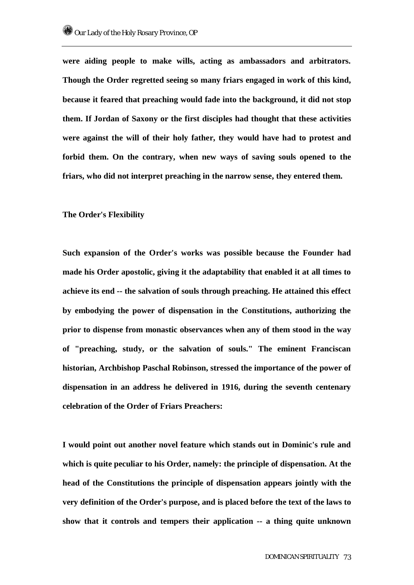**were aiding people to make wills, acting as ambassadors and arbitrators. Though the Order regretted seeing so many friars engaged in work of this kind, because it feared that preaching would fade into the background, it did not stop them. If Jordan of Saxony or the first disciples had thought that these activities were against the will of their holy father, they would have had to protest and forbid them. On the contrary, when new ways of saving souls opened to the friars, who did not interpret preaching in the narrow sense, they entered them.** 

### **The Order's Flexibility**

**Such expansion of the Order's works was possible because the Founder had made his Order apostolic, giving it the adaptability that enabled it at all times to achieve its end -- the salvation of souls through preaching. He attained this effect by embodying the power of dispensation in the Constitutions, authorizing the prior to dispense from monastic observances when any of them stood in the way of "preaching, study, or the salvation of souls." The eminent Franciscan historian, Archbishop Paschal Robinson, stressed the importance of the power of dispensation in an address he delivered in 1916, during the seventh centenary celebration of the Order of Friars Preachers:** 

**I would point out another novel feature which stands out in Dominic's rule and which is quite peculiar to his Order, namely: the principle of dispensation. At the head of the Constitutions the principle of dispensation appears jointly with the very definition of the Order's purpose, and is placed before the text of the laws to show that it controls and tempers their application -- a thing quite unknown**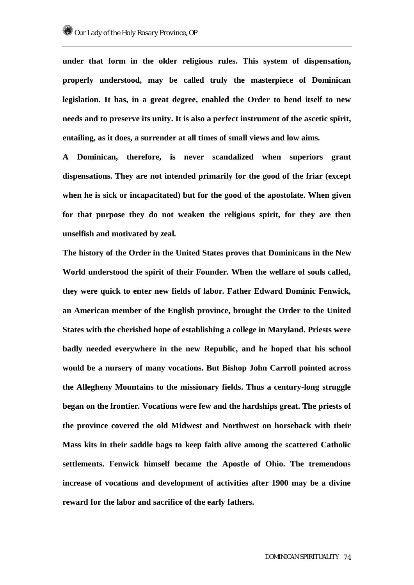**under that form in the older religious rules. This system of dispensation, properly understood, may be called truly the masterpiece of Dominican legislation. It has, in a great degree, enabled the Order to bend itself to new needs and to preserve its unity. It is also a perfect instrument of the ascetic spirit, entailing, as it does, a surrender at all times of small views and low aims.** 

**A Dominican, therefore, is never scandalized when superiors grant dispensations. They are not intended primarily for the good of the friar (except when he is sick or incapacitated) but for the good of the apostolate. When given for that purpose they do not weaken the religious spirit, for they are then unselfish and motivated by zeal.** 

**The history of the Order in the United States proves that Dominicans in the New World understood the spirit of their Founder. When the welfare of souls called, they were quick to enter new fields of labor. Father Edward Dominic Fenwick, an American member of the English province, brought the Order to the United States with the cherished hope of establishing a college in Maryland. Priests were badly needed everywhere in the new Republic, and he hoped that his school would be a nursery of many vocations. But Bishop John Carroll pointed across the Allegheny Mountains to the missionary fields. Thus a century-long struggle began on the frontier. Vocations were few and the hardships great. The priests of the province covered the old Midwest and Northwest on horseback with their Mass kits in their saddle bags to keep faith alive among the scattered Catholic settlements. Fenwick himself became the Apostle of Ohio. The tremendous increase of vocations and development of activities after 1900 may be a divine reward for the labor and sacrifice of the early fathers.**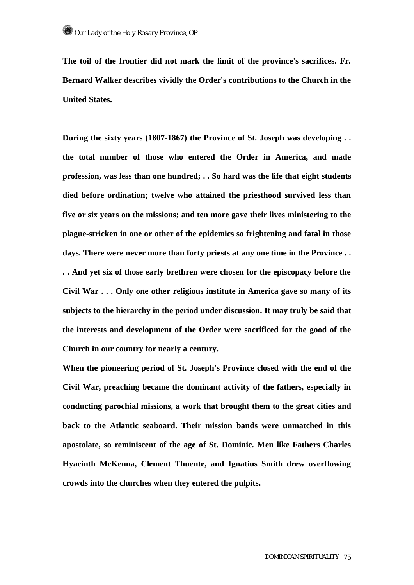**The toil of the frontier did not mark the limit of the province's sacrifices. Fr. Bernard Walker describes vividly the Order's contributions to the Church in the United States.** 

**During the sixty years (1807-1867) the Province of St. Joseph was developing . . the total number of those who entered the Order in America, and made profession, was less than one hundred; . . So hard was the life that eight students died before ordination; twelve who attained the priesthood survived less than five or six years on the missions; and ten more gave their lives ministering to the plague-stricken in one or other of the epidemics so frightening and fatal in those days. There were never more than forty priests at any one time in the Province . . . . And yet six of those early brethren were chosen for the episcopacy before the Civil War . . . Only one other religious institute in America gave so many of its subjects to the hierarchy in the period under discussion. It may truly be said that the interests and development of the Order were sacrificed for the good of the Church in our country for nearly a century.** 

**When the pioneering period of St. Joseph's Province closed with the end of the Civil War, preaching became the dominant activity of the fathers, especially in conducting parochial missions, a work that brought them to the great cities and back to the Atlantic seaboard. Their mission bands were unmatched in this apostolate, so reminiscent of the age of St. Dominic. Men like Fathers Charles Hyacinth McKenna, Clement Thuente, and Ignatius Smith drew overflowing crowds into the churches when they entered the pulpits.**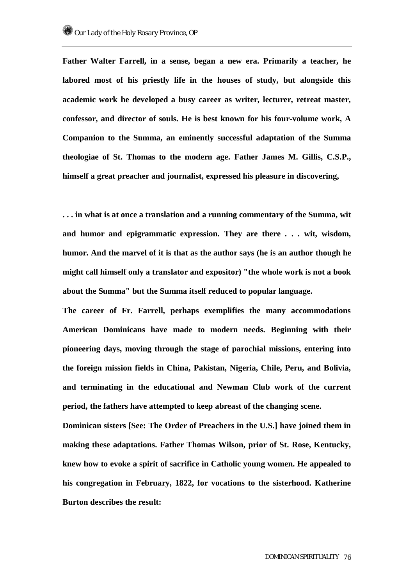**Father Walter Farrell, in a sense, began a new era. Primarily a teacher, he labored most of his priestly life in the houses of study, but alongside this academic work he developed a busy career as writer, lecturer, retreat master, confessor, and director of souls. He is best known for his four-volume work, A Companion to the Summa, an eminently successful adaptation of the Summa theologiae of St. Thomas to the modern age. Father James M. Gillis, C.S.P., himself a great preacher and journalist, expressed his pleasure in discovering,** 

**. . . in what is at once a translation and a running commentary of the Summa, wit and humor and epigrammatic expression. They are there . . . wit, wisdom, humor. And the marvel of it is that as the author says (he is an author though he might call himself only a translator and expositor) "the whole work is not a book about the Summa" but the Summa itself reduced to popular language.** 

**The career of Fr. Farrell, perhaps exemplifies the many accommodations American Dominicans have made to modern needs. Beginning with their pioneering days, moving through the stage of parochial missions, entering into the foreign mission fields in China, Pakistan, Nigeria, Chile, Peru, and Bolivia, and terminating in the educational and Newman Club work of the current period, the fathers have attempted to keep abreast of the changing scene.** 

**Dominican sisters [See: The Order of Preachers in the U.S.] have joined them in making these adaptations. Father Thomas Wilson, prior of St. Rose, Kentucky, knew how to evoke a spirit of sacrifice in Catholic young women. He appealed to his congregation in February, 1822, for vocations to the sisterhood. Katherine Burton describes the result:**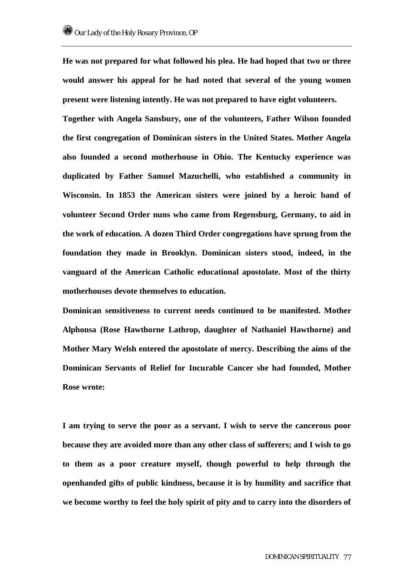**He was not prepared for what followed his plea. He had hoped that two or three would answer his appeal for he had noted that several of the young women present were listening intently. He was not prepared to have eight volunteers.** 

**Together with Angela Sansbury, one of the volunteers, Father Wilson founded the first congregation of Dominican sisters in the United States. Mother Angela also founded a second motherhouse in Ohio. The Kentucky experience was duplicated by Father Samuel Mazuchelli, who established a community in Wisconsin. In 1853 the American sisters were joined by a heroic band of volunteer Second Order nuns who came from Regensburg, Germany, to aid in the work of education. A dozen Third Order congregations have sprung from the foundation they made in Brooklyn. Dominican sisters stood, indeed, in the vanguard of the American Catholic educational apostolate. Most of the thirty motherhouses devote themselves to education.** 

**Dominican sensitiveness to current needs continued to be manifested. Mother Alphonsa (Rose Hawthorne Lathrop, daughter of Nathaniel Hawthorne) and Mother Mary Welsh entered the apostolate of mercy. Describing the aims of the Dominican Servants of Relief for Incurable Cancer she had founded, Mother Rose wrote:** 

**I am trying to serve the poor as a servant. I wish to serve the cancerous poor because they are avoided more than any other class of sufferers; and I wish to go to them as a poor creature myself, though powerful to help through the openhanded gifts of public kindness, because it is by humility and sacrifice that we become worthy to feel the holy spirit of pity and to carry into the disorders of**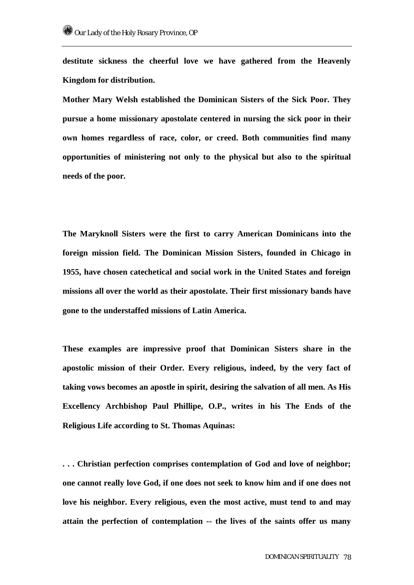**destitute sickness the cheerful love we have gathered from the Heavenly Kingdom for distribution.** 

**Mother Mary Welsh established the Dominican Sisters of the Sick Poor. They pursue a home missionary apostolate centered in nursing the sick poor in their own homes regardless of race, color, or creed. Both communities find many opportunities of ministering not only to the physical but also to the spiritual needs of the poor.** 

**The Maryknoll Sisters were the first to carry American Dominicans into the foreign mission field. The Dominican Mission Sisters, founded in Chicago in 1955, have chosen catechetical and social work in the United States and foreign missions all over the world as their apostolate. Their first missionary bands have gone to the understaffed missions of Latin America.** 

**These examples are impressive proof that Dominican Sisters share in the apostolic mission of their Order. Every religious, indeed, by the very fact of taking vows becomes an apostle in spirit, desiring the salvation of all men. As His Excellency Archbishop Paul Phillipe, O.P., writes in his The Ends of the Religious Life according to St. Thomas Aquinas:** 

**. . . Christian perfection comprises contemplation of God and love of neighbor; one cannot really love God, if one does not seek to know him and if one does not love his neighbor. Every religious, even the most active, must tend to and may attain the perfection of contemplation -- the lives of the saints offer us many**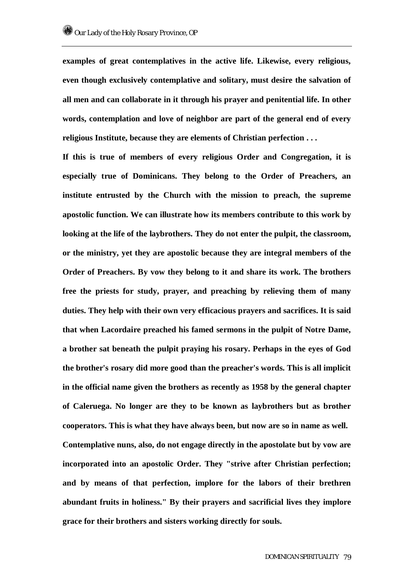**examples of great contemplatives in the active life. Likewise, every religious, even though exclusively contemplative and solitary, must desire the salvation of all men and can collaborate in it through his prayer and penitential life. In other words, contemplation and love of neighbor are part of the general end of every religious Institute, because they are elements of Christian perfection . . .** 

**If this is true of members of every religious Order and Congregation, it is especially true of Dominicans. They belong to the Order of Preachers, an institute entrusted by the Church with the mission to preach, the supreme apostolic function. We can illustrate how its members contribute to this work by looking at the life of the laybrothers. They do not enter the pulpit, the classroom, or the ministry, yet they are apostolic because they are integral members of the Order of Preachers. By vow they belong to it and share its work. The brothers free the priests for study, prayer, and preaching by relieving them of many duties. They help with their own very efficacious prayers and sacrifices. It is said that when Lacordaire preached his famed sermons in the pulpit of Notre Dame, a brother sat beneath the pulpit praying his rosary. Perhaps in the eyes of God the brother's rosary did more good than the preacher's words. This is all implicit in the official name given the brothers as recently as 1958 by the general chapter of Caleruega. No longer are they to be known as laybrothers but as brother cooperators. This is what they have always been, but now are so in name as well. Contemplative nuns, also, do not engage directly in the apostolate but by vow are incorporated into an apostolic Order. They "strive after Christian perfection; and by means of that perfection, implore for the labors of their brethren abundant fruits in holiness." By their prayers and sacrificial lives they implore grace for their brothers and sisters working directly for souls.**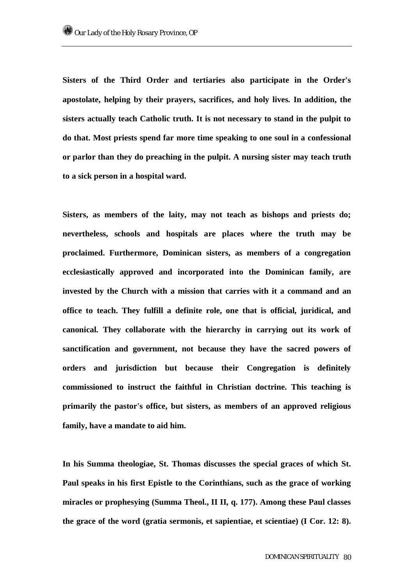**Sisters of the Third Order and tertiaries also participate in the Order's apostolate, helping by their prayers, sacrifices, and holy lives. In addition, the sisters actually teach Catholic truth. It is not necessary to stand in the pulpit to do that. Most priests spend far more time speaking to one soul in a confessional or parlor than they do preaching in the pulpit. A nursing sister may teach truth to a sick person in a hospital ward.** 

**Sisters, as members of the laity, may not teach as bishops and priests do; nevertheless, schools and hospitals are places where the truth may be proclaimed. Furthermore, Dominican sisters, as members of a congregation ecclesiastically approved and incorporated into the Dominican family, are invested by the Church with a mission that carries with it a command and an office to teach. They fulfill a definite role, one that is official, juridical, and canonical. They collaborate with the hierarchy in carrying out its work of sanctification and government, not because they have the sacred powers of orders and jurisdiction but because their Congregation is definitely commissioned to instruct the faithful in Christian doctrine. This teaching is primarily the pastor's office, but sisters, as members of an approved religious family, have a mandate to aid him.** 

**In his Summa theologiae, St. Thomas discusses the special graces of which St. Paul speaks in his first Epistle to the Corinthians, such as the grace of working miracles or prophesying (Summa Theol., II II, q. 177). Among these Paul classes the grace of the word (gratia sermonis, et sapientiae, et scientiae) (I Cor. 12: 8).**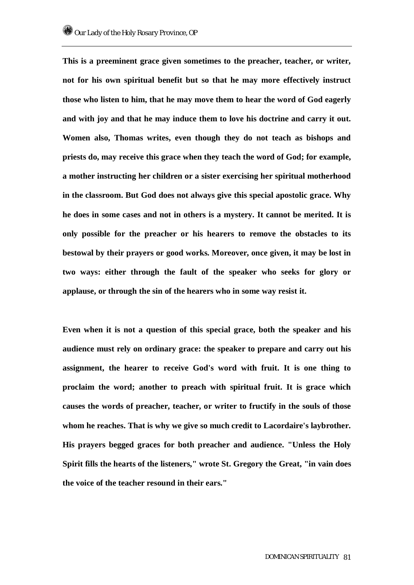**This is a preeminent grace given sometimes to the preacher, teacher, or writer, not for his own spiritual benefit but so that he may more effectively instruct those who listen to him, that he may move them to hear the word of God eagerly and with joy and that he may induce them to love his doctrine and carry it out. Women also, Thomas writes, even though they do not teach as bishops and priests do, may receive this grace when they teach the word of God; for example, a mother instructing her children or a sister exercising her spiritual motherhood in the classroom. But God does not always give this special apostolic grace. Why he does in some cases and not in others is a mystery. It cannot be merited. It is only possible for the preacher or his hearers to remove the obstacles to its bestowal by their prayers or good works. Moreover, once given, it may be lost in two ways: either through the fault of the speaker who seeks for glory or applause, or through the sin of the hearers who in some way resist it.** 

**Even when it is not a question of this special grace, both the speaker and his audience must rely on ordinary grace: the speaker to prepare and carry out his assignment, the hearer to receive God's word with fruit. It is one thing to proclaim the word; another to preach with spiritual fruit. It is grace which causes the words of preacher, teacher, or writer to fructify in the souls of those whom he reaches. That is why we give so much credit to Lacordaire's laybrother. His prayers begged graces for both preacher and audience. "Unless the Holy Spirit fills the hearts of the listeners," wrote St. Gregory the Great, "in vain does the voice of the teacher resound in their ears."**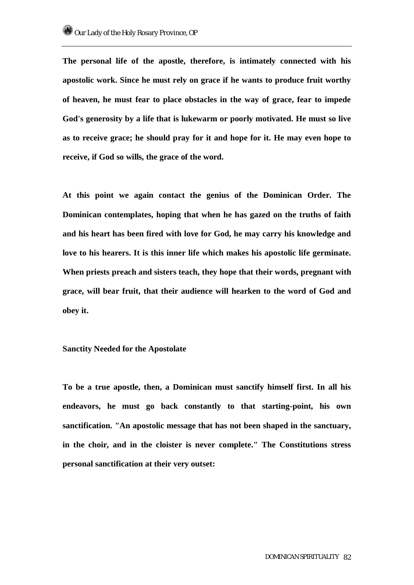**The personal life of the apostle, therefore, is intimately connected with his apostolic work. Since he must rely on grace if he wants to produce fruit worthy of heaven, he must fear to place obstacles in the way of grace, fear to impede God's generosity by a life that is lukewarm or poorly motivated. He must so live as to receive grace; he should pray for it and hope for it. He may even hope to receive, if God so wills, the grace of the word.** 

**At this point we again contact the genius of the Dominican Order. The Dominican contemplates, hoping that when he has gazed on the truths of faith and his heart has been fired with love for God, he may carry his knowledge and love to his hearers. It is this inner life which makes his apostolic life germinate. When priests preach and sisters teach, they hope that their words, pregnant with grace, will bear fruit, that their audience will hearken to the word of God and obey it.** 

### **Sanctity Needed for the Apostolate**

**To be a true apostle, then, a Dominican must sanctify himself first. In all his endeavors, he must go back constantly to that starting-point, his own sanctification. "An apostolic message that has not been shaped in the sanctuary, in the choir, and in the cloister is never complete." The Constitutions stress personal sanctification at their very outset:**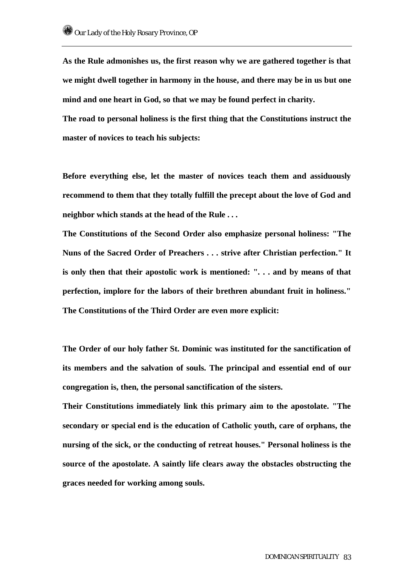**As the Rule admonishes us, the first reason why we are gathered together is that we might dwell together in harmony in the house, and there may be in us but one mind and one heart in God, so that we may be found perfect in charity.** 

**The road to personal holiness is the first thing that the Constitutions instruct the master of novices to teach his subjects:** 

**Before everything else, let the master of novices teach them and assiduously recommend to them that they totally fulfill the precept about the love of God and neighbor which stands at the head of the Rule . . .** 

**The Constitutions of the Second Order also emphasize personal holiness: "The Nuns of the Sacred Order of Preachers . . . strive after Christian perfection." It is only then that their apostolic work is mentioned: ". . . and by means of that perfection, implore for the labors of their brethren abundant fruit in holiness." The Constitutions of the Third Order are even more explicit:** 

**The Order of our holy father St. Dominic was instituted for the sanctification of its members and the salvation of souls. The principal and essential end of our congregation is, then, the personal sanctification of the sisters.** 

**Their Constitutions immediately link this primary aim to the apostolate. "The secondary or special end is the education of Catholic youth, care of orphans, the nursing of the sick, or the conducting of retreat houses." Personal holiness is the source of the apostolate. A saintly life clears away the obstacles obstructing the graces needed for working among souls.**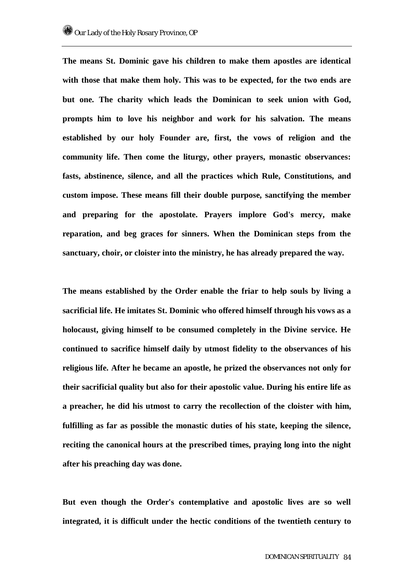**The means St. Dominic gave his children to make them apostles are identical with those that make them holy. This was to be expected, for the two ends are but one. The charity which leads the Dominican to seek union with God, prompts him to love his neighbor and work for his salvation. The means established by our holy Founder are, first, the vows of religion and the community life. Then come the liturgy, other prayers, monastic observances: fasts, abstinence, silence, and all the practices which Rule, Constitutions, and custom impose. These means fill their double purpose, sanctifying the member and preparing for the apostolate. Prayers implore God's mercy, make reparation, and beg graces for sinners. When the Dominican steps from the sanctuary, choir, or cloister into the ministry, he has already prepared the way.** 

**The means established by the Order enable the friar to help souls by living a sacrificial life. He imitates St. Dominic who offered himself through his vows as a holocaust, giving himself to be consumed completely in the Divine service. He continued to sacrifice himself daily by utmost fidelity to the observances of his religious life. After he became an apostle, he prized the observances not only for their sacrificial quality but also for their apostolic value. During his entire life as a preacher, he did his utmost to carry the recollection of the cloister with him, fulfilling as far as possible the monastic duties of his state, keeping the silence, reciting the canonical hours at the prescribed times, praying long into the night after his preaching day was done.** 

**But even though the Order's contemplative and apostolic lives are so well integrated, it is difficult under the hectic conditions of the twentieth century to**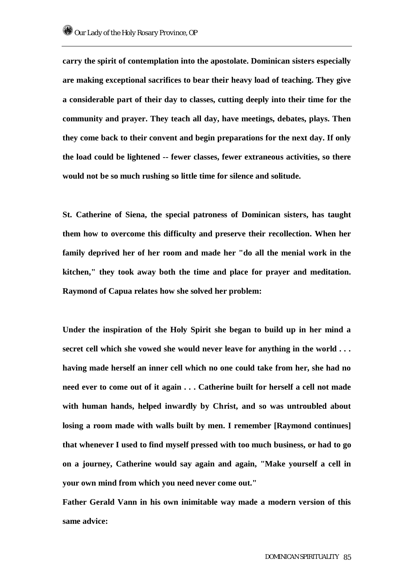**carry the spirit of contemplation into the apostolate. Dominican sisters especially are making exceptional sacrifices to bear their heavy load of teaching. They give a considerable part of their day to classes, cutting deeply into their time for the community and prayer. They teach all day, have meetings, debates, plays. Then they come back to their convent and begin preparations for the next day. If only the load could be lightened -- fewer classes, fewer extraneous activities, so there would not be so much rushing so little time for silence and solitude.** 

**St. Catherine of Siena, the special patroness of Dominican sisters, has taught them how to overcome this difficulty and preserve their recollection. When her family deprived her of her room and made her "do all the menial work in the kitchen," they took away both the time and place for prayer and meditation. Raymond of Capua relates how she solved her problem:** 

**Under the inspiration of the Holy Spirit she began to build up in her mind a secret cell which she vowed she would never leave for anything in the world . . . having made herself an inner cell which no one could take from her, she had no need ever to come out of it again . . . Catherine built for herself a cell not made with human hands, helped inwardly by Christ, and so was untroubled about losing a room made with walls built by men. I remember [Raymond continues] that whenever I used to find myself pressed with too much business, or had to go on a journey, Catherine would say again and again, "Make yourself a cell in your own mind from which you need never come out."** 

**Father Gerald Vann in his own inimitable way made a modern version of this same advice:**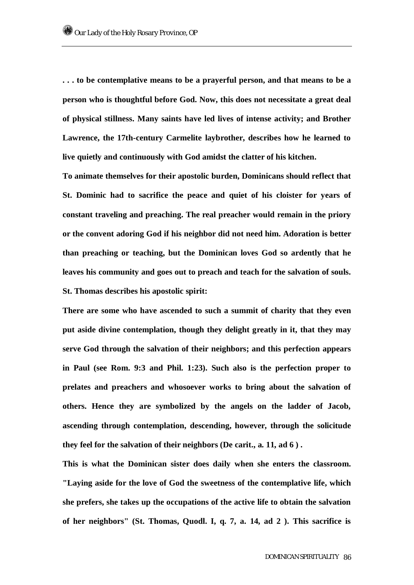**. . . to be contemplative means to be a prayerful person, and that means to be a person who is thoughtful before God. Now, this does not necessitate a great deal of physical stillness. Many saints have led lives of intense activity; and Brother Lawrence, the 17th-century Carmelite laybrother, describes how he learned to live quietly and continuously with God amidst the clatter of his kitchen.** 

**To animate themselves for their apostolic burden, Dominicans should reflect that St. Dominic had to sacrifice the peace and quiet of his cloister for years of constant traveling and preaching. The real preacher would remain in the priory or the convent adoring God if his neighbor did not need him. Adoration is better than preaching or teaching, but the Dominican loves God so ardently that he leaves his community and goes out to preach and teach for the salvation of souls. St. Thomas describes his apostolic spirit:** 

**There are some who have ascended to such a summit of charity that they even put aside divine contemplation, though they delight greatly in it, that they may serve God through the salvation of their neighbors; and this perfection appears in Paul (see Rom. 9:3 and Phil. 1:23). Such also is the perfection proper to prelates and preachers and whosoever works to bring about the salvation of others. Hence they are symbolized by the angels on the ladder of Jacob, ascending through contemplation, descending, however, through the solicitude they feel for the salvation of their neighbors (De carit., a. 11, ad 6 ) .** 

**This is what the Dominican sister does daily when she enters the classroom. "Laying aside for the love of God the sweetness of the contemplative life, which she prefers, she takes up the occupations of the active life to obtain the salvation of her neighbors" (St. Thomas, Quodl. I, q. 7, a. 14, ad 2 ). This sacrifice is**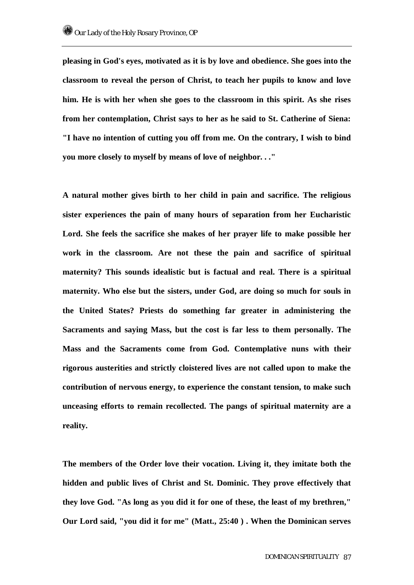**pleasing in God's eyes, motivated as it is by love and obedience. She goes into the classroom to reveal the person of Christ, to teach her pupils to know and love him. He is with her when she goes to the classroom in this spirit. As she rises from her contemplation, Christ says to her as he said to St. Catherine of Siena: "I have no intention of cutting you off from me. On the contrary, I wish to bind you more closely to myself by means of love of neighbor. . ."** 

**A natural mother gives birth to her child in pain and sacrifice. The religious sister experiences the pain of many hours of separation from her Eucharistic Lord. She feels the sacrifice she makes of her prayer life to make possible her work in the classroom. Are not these the pain and sacrifice of spiritual maternity? This sounds idealistic but is factual and real. There is a spiritual maternity. Who else but the sisters, under God, are doing so much for souls in the United States? Priests do something far greater in administering the Sacraments and saying Mass, but the cost is far less to them personally. The Mass and the Sacraments come from God. Contemplative nuns with their rigorous austerities and strictly cloistered lives are not called upon to make the contribution of nervous energy, to experience the constant tension, to make such unceasing efforts to remain recollected. The pangs of spiritual maternity are a reality.** 

**The members of the Order love their vocation. Living it, they imitate both the hidden and public lives of Christ and St. Dominic. They prove effectively that they love God. "As long as you did it for one of these, the least of my brethren," Our Lord said, "you did it for me" (Matt., 25:40 ) . When the Dominican serves**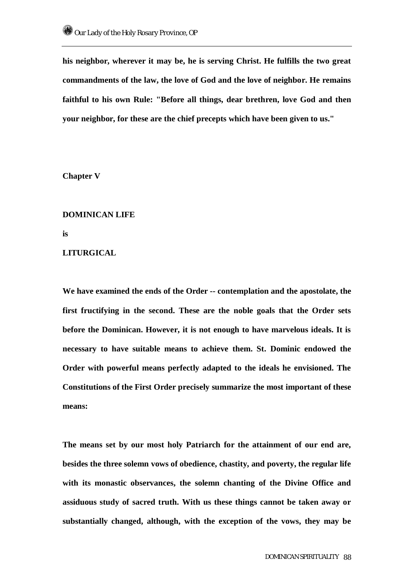**his neighbor, wherever it may be, he is serving Christ. He fulfills the two great commandments of the law, the love of God and the love of neighbor. He remains faithful to his own Rule: "Before all things, dear brethren, love God and then your neighbor, for these are the chief precepts which have been given to us."** 

**Chapter V** 

### **DOMINICAN LIFE**

**is** 

# **LITURGICAL**

**We have examined the ends of the Order -- contemplation and the apostolate, the first fructifying in the second. These are the noble goals that the Order sets before the Dominican. However, it is not enough to have marvelous ideals. It is necessary to have suitable means to achieve them. St. Dominic endowed the Order with powerful means perfectly adapted to the ideals he envisioned. The Constitutions of the First Order precisely summarize the most important of these means:** 

**The means set by our most holy Patriarch for the attainment of our end are, besides the three solemn vows of obedience, chastity, and poverty, the regular life with its monastic observances, the solemn chanting of the Divine Office and assiduous study of sacred truth. With us these things cannot be taken away or substantially changed, although, with the exception of the vows, they may be**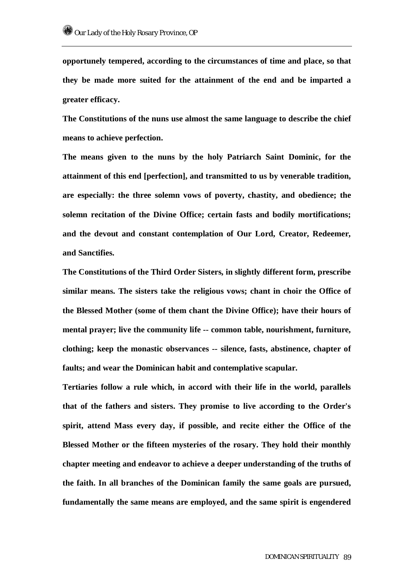**opportunely tempered, according to the circumstances of time and place, so that they be made more suited for the attainment of the end and be imparted a greater efficacy.** 

**The Constitutions of the nuns use almost the same language to describe the chief means to achieve perfection.** 

**The means given to the nuns by the holy Patriarch Saint Dominic, for the attainment of this end [perfection], and transmitted to us by venerable tradition, are especially: the three solemn vows of poverty, chastity, and obedience; the solemn recitation of the Divine Office; certain fasts and bodily mortifications; and the devout and constant contemplation of Our Lord, Creator, Redeemer, and Sanctifies.** 

**The Constitutions of the Third Order Sisters, in slightly different form, prescribe similar means. The sisters take the religious vows; chant in choir the Office of the Blessed Mother (some of them chant the Divine Office); have their hours of mental prayer; live the community life -- common table, nourishment, furniture, clothing; keep the monastic observances -- silence, fasts, abstinence, chapter of faults; and wear the Dominican habit and contemplative scapular.** 

**Tertiaries follow a rule which, in accord with their life in the world, parallels that of the fathers and sisters. They promise to live according to the Order's spirit, attend Mass every day, if possible, and recite either the Office of the Blessed Mother or the fifteen mysteries of the rosary. They hold their monthly chapter meeting and endeavor to achieve a deeper understanding of the truths of the faith. In all branches of the Dominican family the same goals are pursued, fundamentally the same means are employed, and the same spirit is engendered**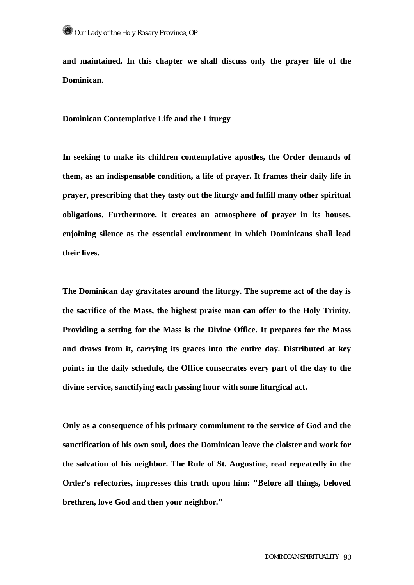**and maintained. In this chapter we shall discuss only the prayer life of the Dominican.** 

**Dominican Contemplative Life and the Liturgy** 

**In seeking to make its children contemplative apostles, the Order demands of them, as an indispensable condition, a life of prayer. It frames their daily life in prayer, prescribing that they tasty out the liturgy and fulfill many other spiritual obligations. Furthermore, it creates an atmosphere of prayer in its houses, enjoining silence as the essential environment in which Dominicans shall lead their lives.** 

**The Dominican day gravitates around the liturgy. The supreme act of the day is the sacrifice of the Mass, the highest praise man can offer to the Holy Trinity. Providing a setting for the Mass is the Divine Office. It prepares for the Mass and draws from it, carrying its graces into the entire day. Distributed at key points in the daily schedule, the Office consecrates every part of the day to the divine service, sanctifying each passing hour with some liturgical act.** 

**Only as a consequence of his primary commitment to the service of God and the sanctification of his own soul, does the Dominican leave the cloister and work for the salvation of his neighbor. The Rule of St. Augustine, read repeatedly in the Order's refectories, impresses this truth upon him: "Before all things, beloved brethren, love God and then your neighbor."**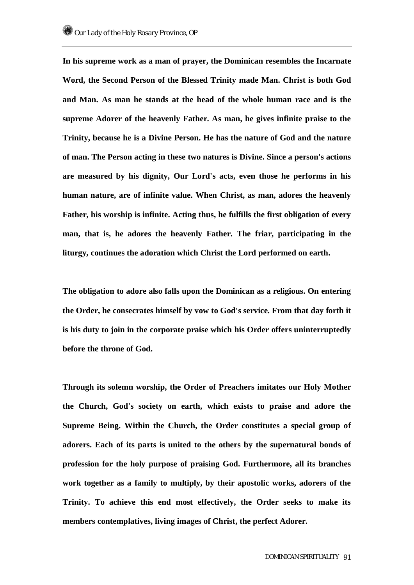**In his supreme work as a man of prayer, the Dominican resembles the Incarnate Word, the Second Person of the Blessed Trinity made Man. Christ is both God and Man. As man he stands at the head of the whole human race and is the supreme Adorer of the heavenly Father. As man, he gives infinite praise to the Trinity, because he is a Divine Person. He has the nature of God and the nature of man. The Person acting in these two natures is Divine. Since a person's actions are measured by his dignity, Our Lord's acts, even those he performs in his human nature, are of infinite value. When Christ, as man, adores the heavenly Father, his worship is infinite. Acting thus, he fulfills the first obligation of every man, that is, he adores the heavenly Father. The friar, participating in the liturgy, continues the adoration which Christ the Lord performed on earth.** 

**The obligation to adore also falls upon the Dominican as a religious. On entering the Order, he consecrates himself by vow to God's service. From that day forth it is his duty to join in the corporate praise which his Order offers uninterruptedly before the throne of God.** 

**Through its solemn worship, the Order of Preachers imitates our Holy Mother the Church, God's society on earth, which exists to praise and adore the Supreme Being. Within the Church, the Order constitutes a special group of adorers. Each of its parts is united to the others by the supernatural bonds of profession for the holy purpose of praising God. Furthermore, all its branches work together as a family to multiply, by their apostolic works, adorers of the Trinity. To achieve this end most effectively, the Order seeks to make its members contemplatives, living images of Christ, the perfect Adorer.**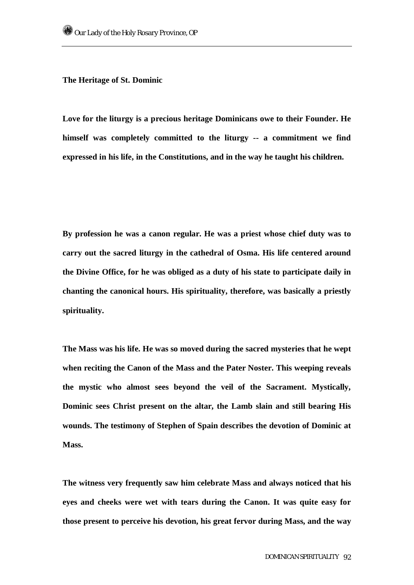#### **The Heritage of St. Dominic**

**Love for the liturgy is a precious heritage Dominicans owe to their Founder. He himself was completely committed to the liturgy -- a commitment we find expressed in his life, in the Constitutions, and in the way he taught his children.** 

**By profession he was a canon regular. He was a priest whose chief duty was to carry out the sacred liturgy in the cathedral of Osma. His life centered around the Divine Office, for he was obliged as a duty of his state to participate daily in chanting the canonical hours. His spirituality, therefore, was basically a priestly spirituality.** 

**The Mass was his life. He was so moved during the sacred mysteries that he wept when reciting the Canon of the Mass and the Pater Noster. This weeping reveals the mystic who almost sees beyond the veil of the Sacrament. Mystically, Dominic sees Christ present on the altar, the Lamb slain and still bearing His wounds. The testimony of Stephen of Spain describes the devotion of Dominic at Mass.** 

**The witness very frequently saw him celebrate Mass and always noticed that his eyes and cheeks were wet with tears during the Canon. It was quite easy for those present to perceive his devotion, his great fervor during Mass, and the way**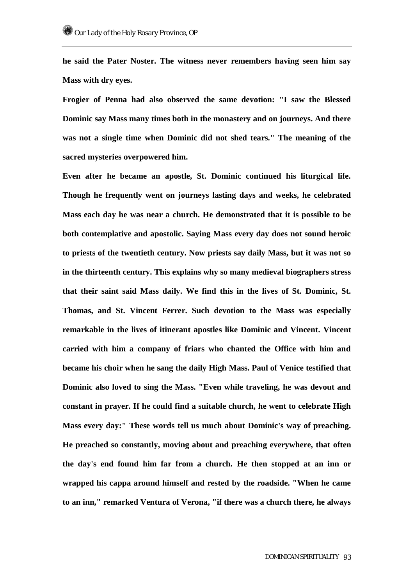**he said the Pater Noster. The witness never remembers having seen him say Mass with dry eyes.** 

**Frogier of Penna had also observed the same devotion: "I saw the Blessed Dominic say Mass many times both in the monastery and on journeys. And there was not a single time when Dominic did not shed tears." The meaning of the sacred mysteries overpowered him.** 

**Even after he became an apostle, St. Dominic continued his liturgical life. Though he frequently went on journeys lasting days and weeks, he celebrated Mass each day he was near a church. He demonstrated that it is possible to be both contemplative and apostolic. Saying Mass every day does not sound heroic to priests of the twentieth century. Now priests say daily Mass, but it was not so in the thirteenth century. This explains why so many medieval biographers stress that their saint said Mass daily. We find this in the lives of St. Dominic, St. Thomas, and St. Vincent Ferrer. Such devotion to the Mass was especially remarkable in the lives of itinerant apostles like Dominic and Vincent. Vincent carried with him a company of friars who chanted the Office with him and became his choir when he sang the daily High Mass. Paul of Venice testified that Dominic also loved to sing the Mass. "Even while traveling, he was devout and constant in prayer. If he could find a suitable church, he went to celebrate High Mass every day:" These words tell us much about Dominic's way of preaching. He preached so constantly, moving about and preaching everywhere, that often the day's end found him far from a church. He then stopped at an inn or wrapped his cappa around himself and rested by the roadside. "When he came to an inn," remarked Ventura of Verona, "if there was a church there, he always**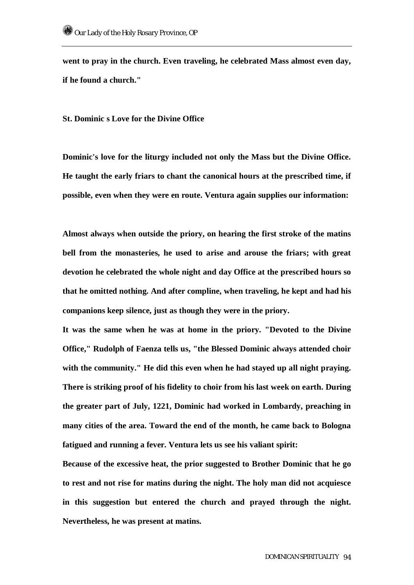**went to pray in the church. Even traveling, he celebrated Mass almost even day, if he found a church."** 

**St. Dominic s Love for the Divine Office** 

**Dominic's love for the liturgy included not only the Mass but the Divine Office. He taught the early friars to chant the canonical hours at the prescribed time, if possible, even when they were en route. Ventura again supplies our information:** 

**Almost always when outside the priory, on hearing the first stroke of the matins bell from the monasteries, he used to arise and arouse the friars; with great devotion he celebrated the whole night and day Office at the prescribed hours so that he omitted nothing. And after compline, when traveling, he kept and had his companions keep silence, just as though they were in the priory.** 

**It was the same when he was at home in the priory. "Devoted to the Divine Office," Rudolph of Faenza tells us, "the Blessed Dominic always attended choir with the community." He did this even when he had stayed up all night praying. There is striking proof of his fidelity to choir from his last week on earth. During the greater part of July, 1221, Dominic had worked in Lombardy, preaching in many cities of the area. Toward the end of the month, he came back to Bologna fatigued and running a fever. Ventura lets us see his valiant spirit:** 

**Because of the excessive heat, the prior suggested to Brother Dominic that he go to rest and not rise for matins during the night. The holy man did not acquiesce in this suggestion but entered the church and prayed through the night. Nevertheless, he was present at matins.**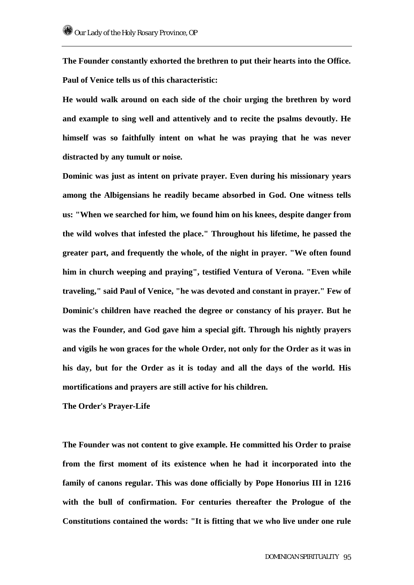**The Founder constantly exhorted the brethren to put their hearts into the Office. Paul of Venice tells us of this characteristic:** 

**He would walk around on each side of the choir urging the brethren by word and example to sing well and attentively and to recite the psalms devoutly. He himself was so faithfully intent on what he was praying that he was never distracted by any tumult or noise.** 

**Dominic was just as intent on private prayer. Even during his missionary years among the Albigensians he readily became absorbed in God. One witness tells us: "When we searched for him, we found him on his knees, despite danger from the wild wolves that infested the place." Throughout his lifetime, he passed the greater part, and frequently the whole, of the night in prayer. "We often found him in church weeping and praying", testified Ventura of Verona. "Even while traveling," said Paul of Venice, "he was devoted and constant in prayer." Few of Dominic's children have reached the degree or constancy of his prayer. But he was the Founder, and God gave him a special gift. Through his nightly prayers and vigils he won graces for the whole Order, not only for the Order as it was in his day, but for the Order as it is today and all the days of the world. His mortifications and prayers are still active for his children.** 

**The Order's Prayer-Life** 

**The Founder was not content to give example. He committed his Order to praise from the first moment of its existence when he had it incorporated into the family of canons regular. This was done officially by Pope Honorius III in 1216 with the bull of confirmation. For centuries thereafter the Prologue of the Constitutions contained the words: "It is fitting that we who live under one rule**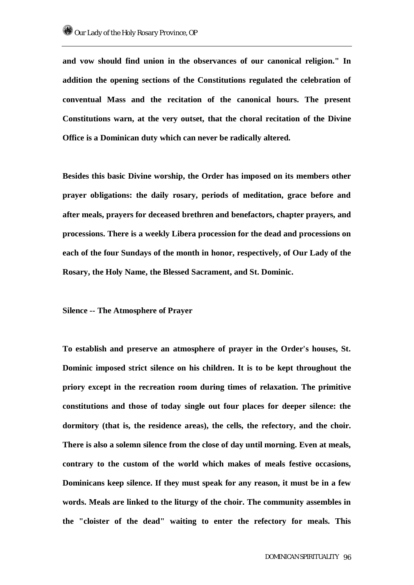**and vow should find union in the observances of our canonical religion." In addition the opening sections of the Constitutions regulated the celebration of conventual Mass and the recitation of the canonical hours. The present Constitutions warn, at the very outset, that the choral recitation of the Divine Office is a Dominican duty which can never be radically altered.** 

**Besides this basic Divine worship, the Order has imposed on its members other prayer obligations: the daily rosary, periods of meditation, grace before and after meals, prayers for deceased brethren and benefactors, chapter prayers, and processions. There is a weekly Libera procession for the dead and processions on each of the four Sundays of the month in honor, respectively, of Our Lady of the Rosary, the Holy Name, the Blessed Sacrament, and St. Dominic.** 

**Silence -- The Atmosphere of Prayer** 

**To establish and preserve an atmosphere of prayer in the Order's houses, St. Dominic imposed strict silence on his children. It is to be kept throughout the priory except in the recreation room during times of relaxation. The primitive constitutions and those of today single out four places for deeper silence: the dormitory (that is, the residence areas), the cells, the refectory, and the choir. There is also a solemn silence from the close of day until morning. Even at meals, contrary to the custom of the world which makes of meals festive occasions, Dominicans keep silence. If they must speak for any reason, it must be in a few words. Meals are linked to the liturgy of the choir. The community assembles in the "cloister of the dead" waiting to enter the refectory for meals. This**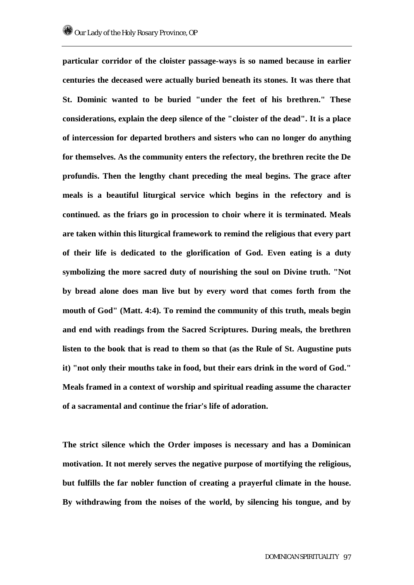**particular corridor of the cloister passage-ways is so named because in earlier centuries the deceased were actually buried beneath its stones. It was there that St. Dominic wanted to be buried "under the feet of his brethren." These considerations, explain the deep silence of the "cloister of the dead". It is a place of intercession for departed brothers and sisters who can no longer do anything for themselves. As the community enters the refectory, the brethren recite the De profundis. Then the lengthy chant preceding the meal begins. The grace after meals is a beautiful liturgical service which begins in the refectory and is continued. as the friars go in procession to choir where it is terminated. Meals are taken within this liturgical framework to remind the religious that every part of their life is dedicated to the glorification of God. Even eating is a duty symbolizing the more sacred duty of nourishing the soul on Divine truth. "Not by bread alone does man live but by every word that comes forth from the mouth of God" (Matt. 4:4). To remind the community of this truth, meals begin and end with readings from the Sacred Scriptures. During meals, the brethren listen to the book that is read to them so that (as the Rule of St. Augustine puts it) "not only their mouths take in food, but their ears drink in the word of God." Meals framed in a context of worship and spiritual reading assume the character of a sacramental and continue the friar's life of adoration.** 

**The strict silence which the Order imposes is necessary and has a Dominican motivation. It not merely serves the negative purpose of mortifying the religious, but fulfills the far nobler function of creating a prayerful climate in the house. By withdrawing from the noises of the world, by silencing his tongue, and by**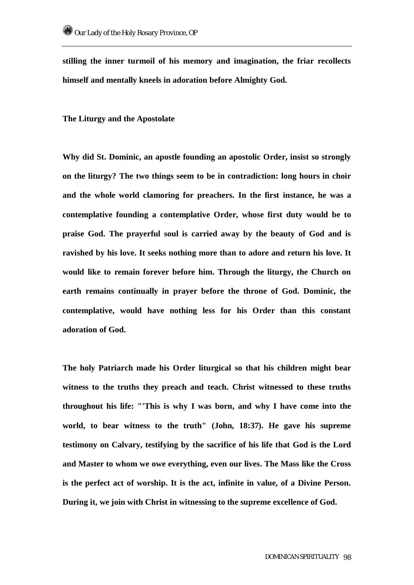**stilling the inner turmoil of his memory and imagination, the friar recollects himself and mentally kneels in adoration before Almighty God.** 

**The Liturgy and the Apostolate** 

**Why did St. Dominic, an apostle founding an apostolic Order, insist so strongly on the liturgy? The two things seem to be in contradiction: long hours in choir and the whole world clamoring for preachers. In the first instance, he was a contemplative founding a contemplative Order, whose first duty would be to praise God. The prayerful soul is carried away by the beauty of God and is ravished by his love. It seeks nothing more than to adore and return his love. It would like to remain forever before him. Through the liturgy, the Church on earth remains continually in prayer before the throne of God. Dominic, the contemplative, would have nothing less for his Order than this constant adoration of God.** 

**The holy Patriarch made his Order liturgical so that his children might bear witness to the truths they preach and teach. Christ witnessed to these truths throughout his life: "'This is why I was born, and why I have come into the world, to bear witness to the truth" (John, 18:37). He gave his supreme testimony on Calvary, testifying by the sacrifice of his life that God is the Lord and Master to whom we owe everything, even our lives. The Mass like the Cross is the perfect act of worship. It is the act, infinite in value, of a Divine Person. During it, we join with Christ in witnessing to the supreme excellence of God.**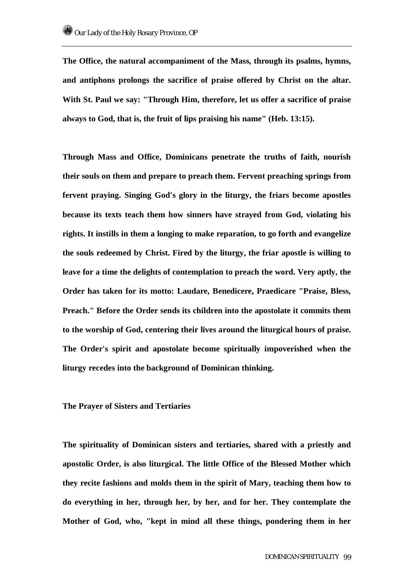**The Office, the natural accompaniment of the Mass, through its psalms, hymns, and antiphons prolongs the sacrifice of praise offered by Christ on the altar. With St. Paul we say: "Through Him, therefore, let us offer a sacrifice of praise always to God, that is, the fruit of lips praising his name" (Heb. 13:15).** 

**Through Mass and Office, Dominicans penetrate the truths of faith, nourish their souls on them and prepare to preach them. Fervent preaching springs from fervent praying. Singing God's glory in the liturgy, the friars become apostles because its texts teach them how sinners have strayed from God, violating his rights. It instills in them a longing to make reparation, to go forth and evangelize the souls redeemed by Christ. Fired by the liturgy, the friar apostle is willing to leave for a time the delights of contemplation to preach the word. Very aptly, the Order has taken for its motto: Laudare, Benedicere, Praedicare "Praise, Bless, Preach." Before the Order sends its children into the apostolate it commits them to the worship of God, centering their lives around the liturgical hours of praise. The Order's spirit and apostolate become spiritually impoverished when the liturgy recedes into the background of Dominican thinking.** 

# **The Prayer of Sisters and Tertiaries**

**The spirituality of Dominican sisters and tertiaries, shared with a priestly and apostolic Order, is also liturgical. The little Office of the Blessed Mother which they recite fashions and molds them in the spirit of Mary, teaching them how to do everything in her, through her, by her, and for her. They contemplate the Mother of God, who, "kept in mind all these things, pondering them in her**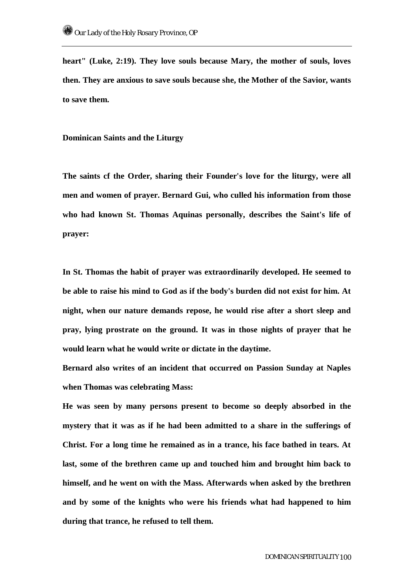**heart" (Luke, 2:19). They love souls because Mary, the mother of souls, loves then. They are anxious to save souls because she, the Mother of the Savior, wants to save them.** 

**Dominican Saints and the Liturgy** 

**The saints cf the Order, sharing their Founder's love for the liturgy, were all men and women of prayer. Bernard Gui, who culled his information from those who had known St. Thomas Aquinas personally, describes the Saint's life of prayer:** 

**In St. Thomas the habit of prayer was extraordinarily developed. He seemed to be able to raise his mind to God as if the body's burden did not exist for him. At night, when our nature demands repose, he would rise after a short sleep and pray, lying prostrate on the ground. It was in those nights of prayer that he would learn what he would write or dictate in the daytime.** 

**Bernard also writes of an incident that occurred on Passion Sunday at Naples when Thomas was celebrating Mass:** 

**He was seen by many persons present to become so deeply absorbed in the mystery that it was as if he had been admitted to a share in the sufferings of Christ. For a long time he remained as in a trance, his face bathed in tears. At last, some of the brethren came up and touched him and brought him back to himself, and he went on with the Mass. Afterwards when asked by the brethren and by some of the knights who were his friends what had happened to him during that trance, he refused to tell them.**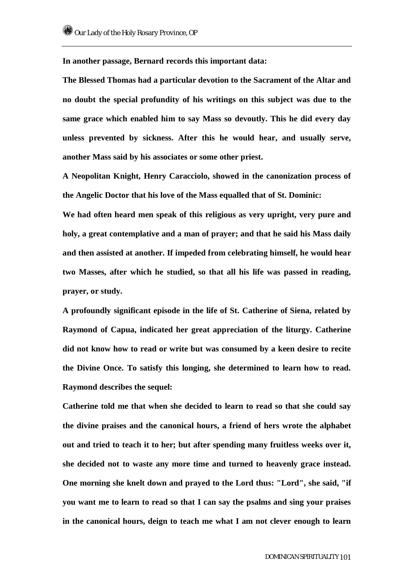**In another passage, Bernard records this important data:** 

**The Blessed Thomas had a particular devotion to the Sacrament of the Altar and no doubt the special profundity of his writings on this subject was due to the same grace which enabled him to say Mass so devoutly. This he did every day unless prevented by sickness. After this he would hear, and usually serve, another Mass said by his associates or some other priest.** 

**A Neopolitan Knight, Henry Caracciolo, showed in the canonization process of the Angelic Doctor that his love of the Mass equalled that of St. Dominic:** 

**We had often heard men speak of this religious as very upright, very pure and holy, a great contemplative and a man of prayer; and that he said his Mass daily and then assisted at another. If impeded from celebrating himself, he would hear two Masses, after which he studied, so that all his life was passed in reading, prayer, or study.** 

**A profoundly significant episode in the life of St. Catherine of Siena, related by Raymond of Capua, indicated her great appreciation of the liturgy. Catherine did not know how to read or write but was consumed by a keen desire to recite the Divine Once. To satisfy this longing, she determined to learn how to read. Raymond describes the sequel:** 

**Catherine told me that when she decided to learn to read so that she could say the divine praises and the canonical hours, a friend of hers wrote the alphabet out and tried to teach it to her; but after spending many fruitless weeks over it, she decided not to waste any more time and turned to heavenly grace instead. One morning she knelt down and prayed to the Lord thus: "Lord", she said, "if you want me to learn to read so that I can say the psalms and sing your praises in the canonical hours, deign to teach me what I am not clever enough to learn**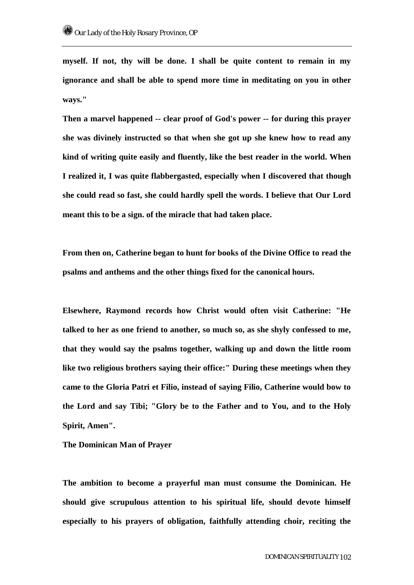**myself. If not, thy will be done. I shall be quite content to remain in my ignorance and shall be able to spend more time in meditating on you in other ways."** 

**Then a marvel happened -- clear proof of God's power -- for during this prayer she was divinely instructed so that when she got up she knew how to read any kind of writing quite easily and fluently, like the best reader in the world. When I realized it, I was quite flabbergasted, especially when I discovered that though she could read so fast, she could hardly spell the words. I believe that Our Lord meant this to be a sign. of the miracle that had taken place.** 

**From then on, Catherine began to hunt for books of the Divine Office to read the psalms and anthems and the other things fixed for the canonical hours.** 

**Elsewhere, Raymond records how Christ would often visit Catherine: "He talked to her as one friend to another, so much so, as she shyly confessed to me, that they would say the psalms together, walking up and down the little room like two religious brothers saying their office:" During these meetings when they came to the Gloria Patri et Filio, instead of saying Filio, Catherine would bow to the Lord and say Tibi; "Glory be to the Father and to You, and to the Holy Spirit, Amen".** 

**The Dominican Man of Prayer** 

**The ambition to become a prayerful man must consume the Dominican. He should give scrupulous attention to his spiritual life, should devote himself especially to his prayers of obligation, faithfully attending choir, reciting the**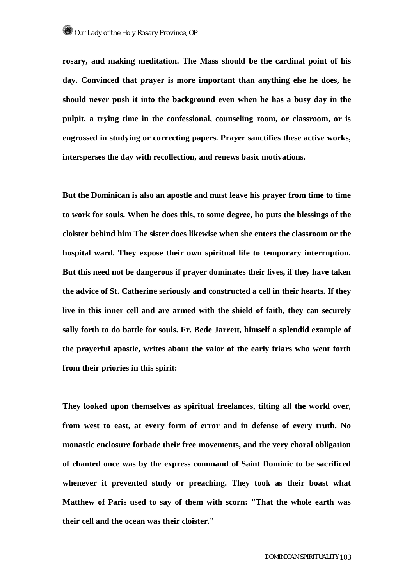**rosary, and making meditation. The Mass should be the cardinal point of his day. Convinced that prayer is more important than anything else he does, he should never push it into the background even when he has a busy day in the pulpit, a trying time in the confessional, counseling room, or classroom, or is engrossed in studying or correcting papers. Prayer sanctifies these active works, intersperses the day with recollection, and renews basic motivations.** 

**But the Dominican is also an apostle and must leave his prayer from time to time to work for souls. When he does this, to some degree, ho puts the blessings of the cloister behind him The sister does likewise when she enters the classroom or the hospital ward. They expose their own spiritual life to temporary interruption. But this need not be dangerous if prayer dominates their lives, if they have taken the advice of St. Catherine seriously and constructed a cell in their hearts. If they live in this inner cell and are armed with the shield of faith, they can securely sally forth to do battle for souls. Fr. Bede Jarrett, himself a splendid example of the prayerful apostle, writes about the valor of the early friars who went forth from their priories in this spirit:** 

**They looked upon themselves as spiritual freelances, tilting all the world over, from west to east, at every form of error and in defense of every truth. No monastic enclosure forbade their free movements, and the very choral obligation of chanted once was by the express command of Saint Dominic to be sacrificed whenever it prevented study or preaching. They took as their boast what Matthew of Paris used to say of them with scorn: "That the whole earth was their cell and the ocean was their cloister."**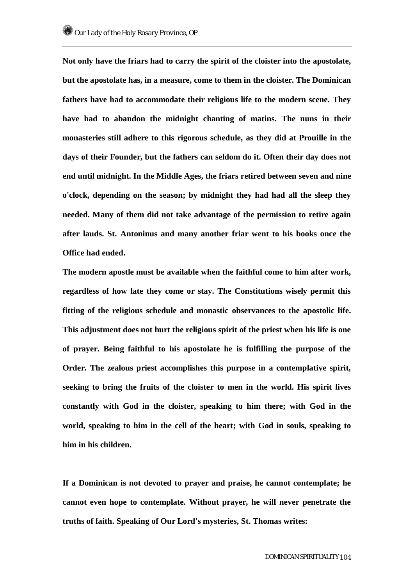**Not only have the friars had to carry the spirit of the cloister into the apostolate, but the apostolate has, in a measure, come to them in the cloister. The Dominican fathers have had to accommodate their religious life to the modern scene. They have had to abandon the midnight chanting of matins. The nuns in their monasteries still adhere to this rigorous schedule, as they did at Prouille in the days of their Founder, but the fathers can seldom do it. Often their day does not end until midnight. In the Middle Ages, the friars retired between seven and nine o'clock, depending on the season; by midnight they had had all the sleep they needed. Many of them did not take advantage of the permission to retire again after lauds. St. Antoninus and many another friar went to his books once the Office had ended.** 

**The modern apostle must be available when the faithful come to him after work, regardless of how late they come or stay. The Constitutions wisely permit this fitting of the religious schedule and monastic observances to the apostolic life. This adjustment does not hurt the religious spirit of the priest when his life is one of prayer. Being faithful to his apostolate he is fulfilling the purpose of the Order. The zealous priest accomplishes this purpose in a contemplative spirit, seeking to bring the fruits of the cloister to men in the world. His spirit lives constantly with God in the cloister, speaking to him there; with God in the world, speaking to him in the cell of the heart; with God in souls, speaking to him in his children.** 

**If a Dominican is not devoted to prayer and praise, he cannot contemplate; he cannot even hope to contemplate. Without prayer, he will never penetrate the truths of faith. Speaking of Our Lord's mysteries, St. Thomas writes:**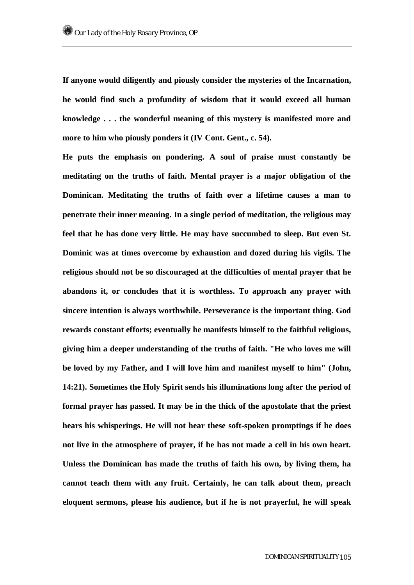**If anyone would diligently and piously consider the mysteries of the Incarnation, he would find such a profundity of wisdom that it would exceed all human knowledge . . . the wonderful meaning of this mystery is manifested more and more to him who piously ponders it (IV Cont. Gent., c. 54).** 

**He puts the emphasis on pondering. A soul of praise must constantly be meditating on the truths of faith. Mental prayer is a major obligation of the Dominican. Meditating the truths of faith over a lifetime causes a man to penetrate their inner meaning. In a single period of meditation, the religious may feel that he has done very little. He may have succumbed to sleep. But even St. Dominic was at times overcome by exhaustion and dozed during his vigils. The religious should not be so discouraged at the difficulties of mental prayer that he abandons it, or concludes that it is worthless. To approach any prayer with sincere intention is always worthwhile. Perseverance is the important thing. God rewards constant efforts; eventually he manifests himself to the faithful religious, giving him a deeper understanding of the truths of faith. "He who loves me will be loved by my Father, and I will love him and manifest myself to him" (John, 14:21). Sometimes the Holy Spirit sends his illuminations long after the period of formal prayer has passed. It may be in the thick of the apostolate that the priest hears his whisperings. He will not hear these soft-spoken promptings if he does not live in the atmosphere of prayer, if he has not made a cell in his own heart. Unless the Dominican has made the truths of faith his own, by living them, ha cannot teach them with any fruit. Certainly, he can talk about them, preach eloquent sermons, please his audience, but if he is not prayerful, he will speak**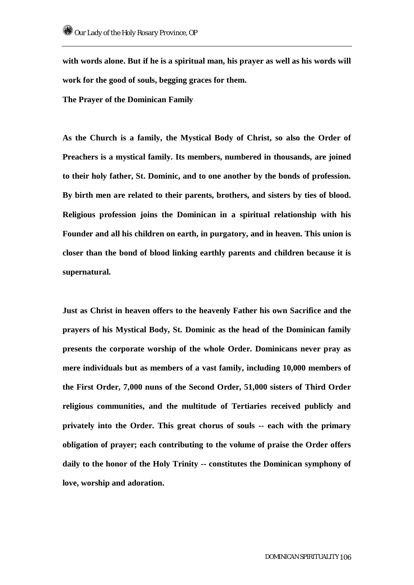**with words alone. But if he is a spiritual man, his prayer as well as his words will work for the good of souls, begging graces for them.** 

**The Prayer of the Dominican Family** 

**As the Church is a family, the Mystical Body of Christ, so also the Order of Preachers is a mystical family. Its members, numbered in thousands, are joined to their holy father, St. Dominic, and to one another by the bonds of profession. By birth men are related to their parents, brothers, and sisters by ties of blood. Religious profession joins the Dominican in a spiritual relationship with his Founder and all his children on earth, in purgatory, and in heaven. This union is closer than the bond of blood linking earthly parents and children because it is supernatural.** 

**Just as Christ in heaven offers to the heavenly Father his own Sacrifice and the prayers of his Mystical Body, St. Dominic as the head of the Dominican family presents the corporate worship of the whole Order. Dominicans never pray as mere individuals but as members of a vast family, including 10,000 members of the First Order, 7,000 nuns of the Second Order, 51,000 sisters of Third Order religious communities, and the multitude of Tertiaries received publicly and privately into the Order. This great chorus of souls -- each with the primary obligation of prayer; each contributing to the volume of praise the Order offers daily to the honor of the Holy Trinity -- constitutes the Dominican symphony of love, worship and adoration.**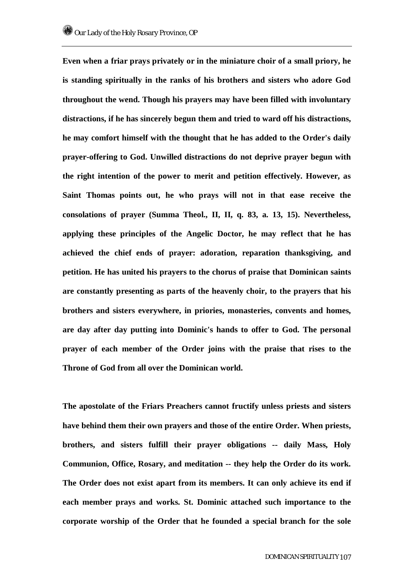**Even when a friar prays privately or in the miniature choir of a small priory, he is standing spiritually in the ranks of his brothers and sisters who adore God throughout the wend. Though his prayers may have been filled with involuntary distractions, if he has sincerely begun them and tried to ward off his distractions, he may comfort himself with the thought that he has added to the Order's daily prayer-offering to God. Unwilled distractions do not deprive prayer begun with the right intention of the power to merit and petition effectively. However, as Saint Thomas points out, he who prays will not in that ease receive the consolations of prayer (Summa Theol., II, II, q. 83, a. 13, 15). Nevertheless, applying these principles of the Angelic Doctor, he may reflect that he has achieved the chief ends of prayer: adoration, reparation thanksgiving, and petition. He has united his prayers to the chorus of praise that Dominican saints are constantly presenting as parts of the heavenly choir, to the prayers that his brothers and sisters everywhere, in priories, monasteries, convents and homes, are day after day putting into Dominic's hands to offer to God. The personal prayer of each member of the Order joins with the praise that rises to the Throne of God from all over the Dominican world.** 

**The apostolate of the Friars Preachers cannot fructify unless priests and sisters have behind them their own prayers and those of the entire Order. When priests, brothers, and sisters fulfill their prayer obligations -- daily Mass, Holy Communion, Office, Rosary, and meditation -- they help the Order do its work. The Order does not exist apart from its members. It can only achieve its end if each member prays and works. St. Dominic attached such importance to the corporate worship of the Order that he founded a special branch for the sole**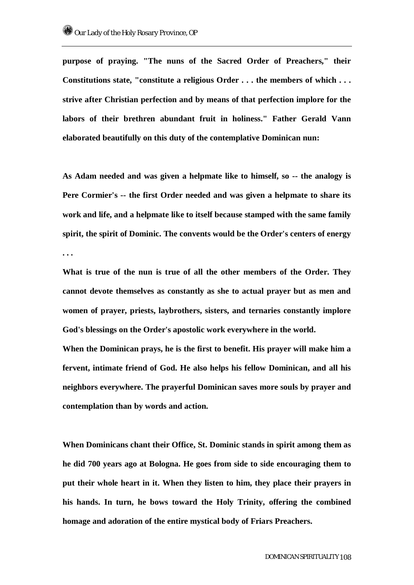**purpose of praying. "The nuns of the Sacred Order of Preachers," their Constitutions state, "constitute a religious Order . . . the members of which . . . strive after Christian perfection and by means of that perfection implore for the labors of their brethren abundant fruit in holiness." Father Gerald Vann elaborated beautifully on this duty of the contemplative Dominican nun:** 

**As Adam needed and was given a helpmate like to himself, so -- the analogy is Pere Cormier's -- the first Order needed and was given a helpmate to share its work and life, and a helpmate like to itself because stamped with the same family spirit, the spirit of Dominic. The convents would be the Order's centers of energy . . .** 

**What is true of the nun is true of all the other members of the Order. They cannot devote themselves as constantly as she to actual prayer but as men and women of prayer, priests, laybrothers, sisters, and ternaries constantly implore God's blessings on the Order's apostolic work everywhere in the world.** 

**When the Dominican prays, he is the first to benefit. His prayer will make him a fervent, intimate friend of God. He also helps his fellow Dominican, and all his neighbors everywhere. The prayerful Dominican saves more souls by prayer and contemplation than by words and action.** 

**When Dominicans chant their Office, St. Dominic stands in spirit among them as he did 700 years ago at Bologna. He goes from side to side encouraging them to put their whole heart in it. When they listen to him, they place their prayers in his hands. In turn, he bows toward the Holy Trinity, offering the combined homage and adoration of the entire mystical body of Friars Preachers.**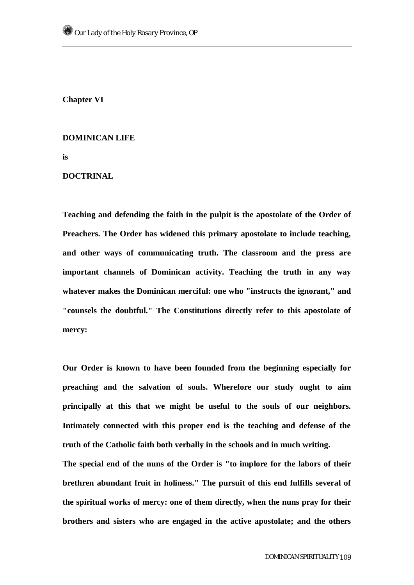**Chapter VI** 

## **DOMINICAN LIFE**

**is** 

## **DOCTRINAL**

**Teaching and defending the faith in the pulpit is the apostolate of the Order of Preachers. The Order has widened this primary apostolate to include teaching, and other ways of communicating truth. The classroom and the press are important channels of Dominican activity. Teaching the truth in any way whatever makes the Dominican merciful: one who "instructs the ignorant," and "counsels the doubtful." The Constitutions directly refer to this apostolate of mercy:** 

**Our Order is known to have been founded from the beginning especially for preaching and the salvation of souls. Wherefore our study ought to aim principally at this that we might be useful to the souls of our neighbors. Intimately connected with this proper end is the teaching and defense of the truth of the Catholic faith both verbally in the schools and in much writing.** 

**The special end of the nuns of the Order is "to implore for the labors of their brethren abundant fruit in holiness." The pursuit of this end fulfills several of the spiritual works of mercy: one of them directly, when the nuns pray for their brothers and sisters who are engaged in the active apostolate; and the others**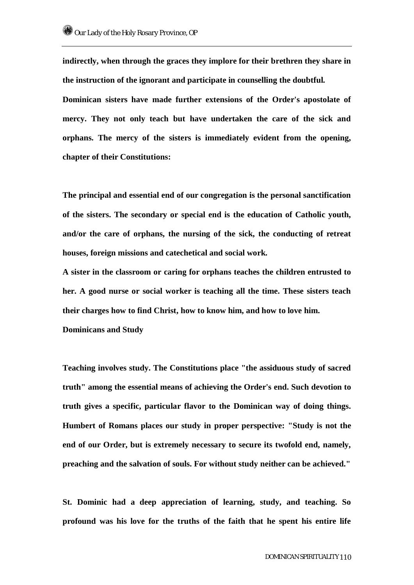**indirectly, when through the graces they implore for their brethren they share in the instruction of the ignorant and participate in counselling the doubtful. Dominican sisters have made further extensions of the Order's apostolate of mercy. They not only teach but have undertaken the care of the sick and orphans. The mercy of the sisters is immediately evident from the opening, chapter of their Constitutions:** 

**The principal and essential end of our congregation is the personal sanctification of the sisters. The secondary or special end is the education of Catholic youth, and/or the care of orphans, the nursing of the sick, the conducting of retreat houses, foreign missions and catechetical and social work.** 

**A sister in the classroom or caring for orphans teaches the children entrusted to her. A good nurse or social worker is teaching all the time. These sisters teach their charges how to find Christ, how to know him, and how to love him. Dominicans and Study** 

**Teaching involves study. The Constitutions place "the assiduous study of sacred truth" among the essential means of achieving the Order's end. Such devotion to truth gives a specific, particular flavor to the Dominican way of doing things. Humbert of Romans places our study in proper perspective: "Study is not the end of our Order, but is extremely necessary to secure its twofold end, namely, preaching and the salvation of souls. For without study neither can be achieved."** 

**St. Dominic had a deep appreciation of learning, study, and teaching. So profound was his love for the truths of the faith that he spent his entire life**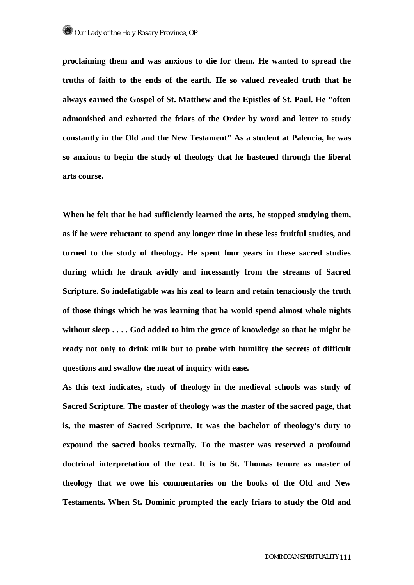**proclaiming them and was anxious to die for them. He wanted to spread the truths of faith to the ends of the earth. He so valued revealed truth that he always earned the Gospel of St. Matthew and the Epistles of St. Paul. He "often admonished and exhorted the friars of the Order by word and letter to study constantly in the Old and the New Testament" As a student at Palencia, he was so anxious to begin the study of theology that he hastened through the liberal arts course.** 

**When he felt that he had sufficiently learned the arts, he stopped studying them, as if he were reluctant to spend any longer time in these less fruitful studies, and turned to the study of theology. He spent four years in these sacred studies during which he drank avidly and incessantly from the streams of Sacred Scripture. So indefatigable was his zeal to learn and retain tenaciously the truth of those things which he was learning that ha would spend almost whole nights without sleep . . . . God added to him the grace of knowledge so that he might be ready not only to drink milk but to probe with humility the secrets of difficult questions and swallow the meat of inquiry with ease.** 

**As this text indicates, study of theology in the medieval schools was study of Sacred Scripture. The master of theology was the master of the sacred page, that is, the master of Sacred Scripture. It was the bachelor of theology's duty to expound the sacred books textually. To the master was reserved a profound doctrinal interpretation of the text. It is to St. Thomas tenure as master of theology that we owe his commentaries on the books of the Old and New Testaments. When St. Dominic prompted the early friars to study the Old and**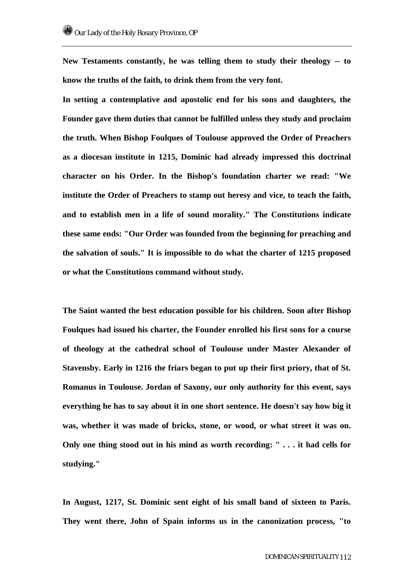**New Testaments constantly, he was telling them to study their theology -- to know the truths of the faith, to drink them from the very font.** 

**In setting a contemplative and apostolic end for his sons and daughters, the Founder gave them duties that cannot be fulfilled unless they study and proclaim the truth. When Bishop Foulques of Toulouse approved the Order of Preachers as a diocesan institute in 1215, Dominic had already impressed this doctrinal character on his Order. In the Bishop's foundation charter we read: "We institute the Order of Preachers to stamp out heresy and vice, to teach the faith, and to establish men in a life of sound morality." The Constitutions indicate these same ends: "Our Order was founded from the beginning for preaching and the salvation of souls." It is impossible to do what the charter of 1215 proposed or what the Constitutions command without study.** 

**The Saint wanted the best education possible for his children. Soon after Bishop Foulques had issued his charter, the Founder enrolled his first sons for a course of theology at the cathedral school of Toulouse under Master Alexander of Stavensby. Early in 1216 the friars began to put up their first priory, that of St. Romanus in Toulouse. Jordan of Saxony, our only authority for this event, says everything he has to say about it in one short sentence. He doesn't say how big it was, whether it was made of bricks, stone, or wood, or what street it was on. Only one thing stood out in his mind as worth recording: " . . . it had cells for studying."** 

**In August, 1217, St. Dominic sent eight of his small band of sixteen to Paris. They went there, John of Spain informs us in the canonization process, "to**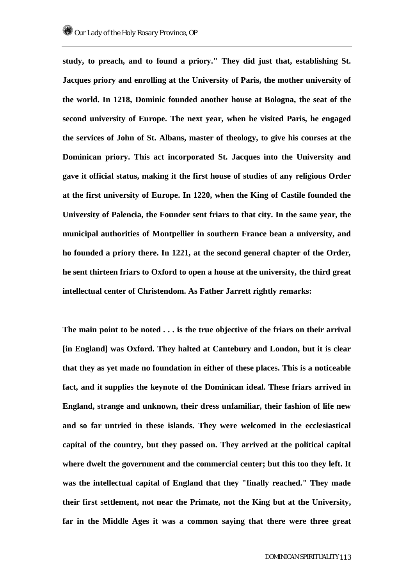**study, to preach, and to found a priory." They did just that, establishing St. Jacques priory and enrolling at the University of Paris, the mother university of the world. In 1218, Dominic founded another house at Bologna, the seat of the second university of Europe. The next year, when he visited Paris, he engaged the services of John of St. Albans, master of theology, to give his courses at the Dominican priory. This act incorporated St. Jacques into the University and gave it official status, making it the first house of studies of any religious Order at the first university of Europe. In 1220, when the King of Castile founded the University of Palencia, the Founder sent friars to that city. In the same year, the municipal authorities of Montpellier in southern France bean a university, and ho founded a priory there. In 1221, at the second general chapter of the Order, he sent thirteen friars to Oxford to open a house at the university, the third great intellectual center of Christendom. As Father Jarrett rightly remarks:** 

**The main point to be noted . . . is the true objective of the friars on their arrival [in England] was Oxford. They halted at Cantebury and London, but it is clear that they as yet made no foundation in either of these places. This is a noticeable fact, and it supplies the keynote of the Dominican ideal. These friars arrived in England, strange and unknown, their dress unfamiliar, their fashion of life new and so far untried in these islands. They were welcomed in the ecclesiastical capital of the country, but they passed on. They arrived at the political capital where dwelt the government and the commercial center; but this too they left. It was the intellectual capital of England that they "finally reached." They made their first settlement, not near the Primate, not the King but at the University, far in the Middle Ages it was a common saying that there were three great**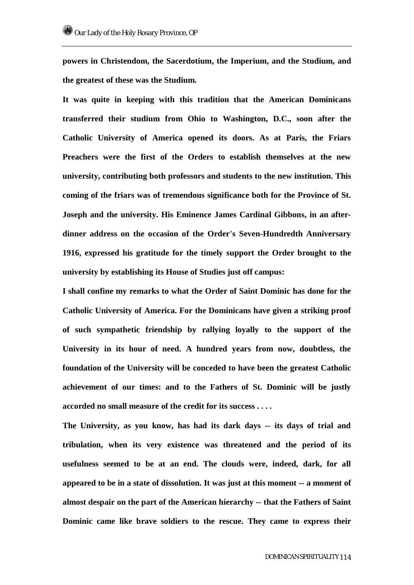**powers in Christendom, the Sacerdotium, the Imperium, and the Studium, and the greatest of these was the Studium.** 

**It was quite in keeping with this tradition that the American Dominicans transferred their studium from Ohio to Washington, D.C., soon after the Catholic University of America opened its doors. As at Paris, the Friars Preachers were the first of the Orders to establish themselves at the new university, contributing both professors and students to the new institution. This coming of the friars was of tremendous significance both for the Province of St. Joseph and the university. His Eminence James Cardinal Gibbons, in an afterdinner address on the occasion of the Order's Seven-Hundredth Anniversary 1916, expressed his gratitude for the timely support the Order brought to the university by establishing its House of Studies just off campus:** 

**I shall confine my remarks to what the Order of Saint Dominic has done for the Catholic University of America. For the Dominicans have given a striking proof of such sympathetic friendship by rallying loyally to the support of the University in its hour of need. A hundred years from now, doubtless, the foundation of the University will be conceded to have been the greatest Catholic achievement of our times: and to the Fathers of St. Dominic will be justly accorded no small measure of the credit for its success . . . .** 

**The University, as you know, has had its dark days -- its days of trial and tribulation, when its very existence was threatened and the period of its usefulness seemed to be at an end. The clouds were, indeed, dark, for all appeared to be in a state of dissolution. It was just at this moment -- a moment of almost despair on the part of the American hierarchy -- that the Fathers of Saint Dominic came like brave soldiers to the rescue. They came to express their**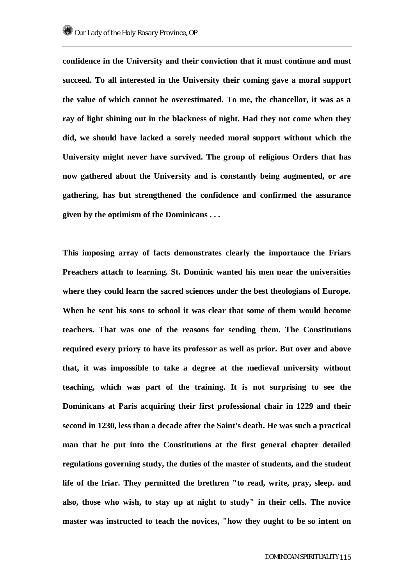**confidence in the University and their conviction that it must continue and must succeed. To all interested in the University their coming gave a moral support the value of which cannot be overestimated. To me, the chancellor, it was as a ray of light shining out in the blackness of night. Had they not come when they did, we should have lacked a sorely needed moral support without which the University might never have survived. The group of religious Orders that has now gathered about the University and is constantly being augmented, or are gathering, has but strengthened the confidence and confirmed the assurance given by the optimism of the Dominicans . . .** 

**This imposing array of facts demonstrates clearly the importance the Friars Preachers attach to learning. St. Dominic wanted his men near the universities where they could learn the sacred sciences under the best theologians of Europe. When he sent his sons to school it was clear that some of them would become teachers. That was one of the reasons for sending them. The Constitutions required every priory to have its professor as well as prior. But over and above that, it was impossible to take a degree at the medieval university without teaching, which was part of the training. It is not surprising to see the Dominicans at Paris acquiring their first professional chair in 1229 and their second in 1230, less than a decade after the Saint's death. He was such a practical man that he put into the Constitutions at the first general chapter detailed regulations governing study, the duties of the master of students, and the student life of the friar. They permitted the brethren "to read, write, pray, sleep. and also, those who wish, to stay up at night to study" in their cells. The novice master was instructed to teach the novices, "how they ought to be so intent on**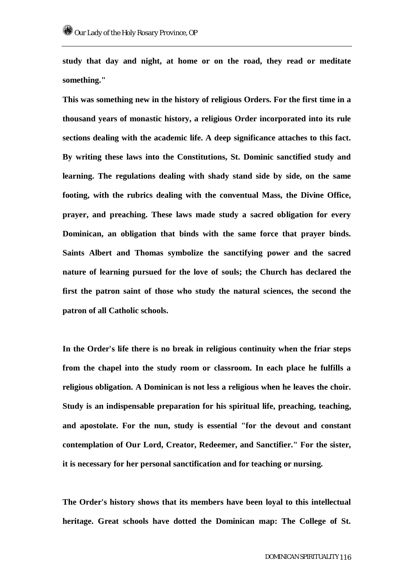**study that day and night, at home or on the road, they read or meditate something."** 

**This was something new in the history of religious Orders. For the first time in a thousand years of monastic history, a religious Order incorporated into its rule sections dealing with the academic life. A deep significance attaches to this fact. By writing these laws into the Constitutions, St. Dominic sanctified study and learning. The regulations dealing with shady stand side by side, on the same footing, with the rubrics dealing with the conventual Mass, the Divine Office, prayer, and preaching. These laws made study a sacred obligation for every Dominican, an obligation that binds with the same force that prayer binds. Saints Albert and Thomas symbolize the sanctifying power and the sacred nature of learning pursued for the love of souls; the Church has declared the first the patron saint of those who study the natural sciences, the second the patron of all Catholic schools.** 

**In the Order's life there is no break in religious continuity when the friar steps from the chapel into the study room or classroom. In each place he fulfills a religious obligation. A Dominican is not less a religious when he leaves the choir. Study is an indispensable preparation for his spiritual life, preaching, teaching, and apostolate. For the nun, study is essential "for the devout and constant contemplation of Our Lord, Creator, Redeemer, and Sanctifier." For the sister, it is necessary for her personal sanctification and for teaching or nursing.** 

**The Order's history shows that its members have been loyal to this intellectual heritage. Great schools have dotted the Dominican map: The College of St.**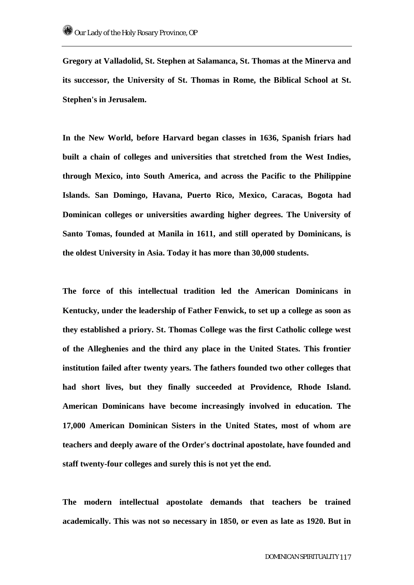**Gregory at Valladolid, St. Stephen at Salamanca, St. Thomas at the Minerva and its successor, the University of St. Thomas in Rome, the Biblical School at St. Stephen's in Jerusalem.** 

**In the New World, before Harvard began classes in 1636, Spanish friars had built a chain of colleges and universities that stretched from the West Indies, through Mexico, into South America, and across the Pacific to the Philippine Islands. San Domingo, Havana, Puerto Rico, Mexico, Caracas, Bogota had Dominican colleges or universities awarding higher degrees. The University of Santo Tomas, founded at Manila in 1611, and still operated by Dominicans, is the oldest University in Asia. Today it has more than 30,000 students.** 

**The force of this intellectual tradition led the American Dominicans in Kentucky, under the leadership of Father Fenwick, to set up a college as soon as they established a priory. St. Thomas College was the first Catholic college west of the Alleghenies and the third any place in the United States. This frontier institution failed after twenty years. The fathers founded two other colleges that had short lives, but they finally succeeded at Providence, Rhode Island. American Dominicans have become increasingly involved in education. The 17,000 American Dominican Sisters in the United States, most of whom are teachers and deeply aware of the Order's doctrinal apostolate, have founded and staff twenty-four colleges and surely this is not yet the end.** 

**The modern intellectual apostolate demands that teachers be trained academically. This was not so necessary in 1850, or even as late as 1920. But in**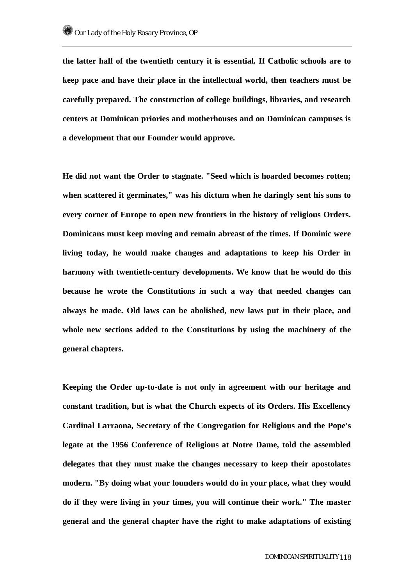**the latter half of the twentieth century it is essential. If Catholic schools are to keep pace and have their place in the intellectual world, then teachers must be carefully prepared. The construction of college buildings, libraries, and research centers at Dominican priories and motherhouses and on Dominican campuses is a development that our Founder would approve.** 

**He did not want the Order to stagnate. "Seed which is hoarded becomes rotten; when scattered it germinates," was his dictum when he daringly sent his sons to every corner of Europe to open new frontiers in the history of religious Orders. Dominicans must keep moving and remain abreast of the times. If Dominic were living today, he would make changes and adaptations to keep his Order in harmony with twentieth-century developments. We know that he would do this because he wrote the Constitutions in such a way that needed changes can always be made. Old laws can be abolished, new laws put in their place, and whole new sections added to the Constitutions by using the machinery of the general chapters.** 

**Keeping the Order up-to-date is not only in agreement with our heritage and constant tradition, but is what the Church expects of its Orders. His Excellency Cardinal Larraona, Secretary of the Congregation for Religious and the Pope's legate at the 1956 Conference of Religious at Notre Dame, told the assembled delegates that they must make the changes necessary to keep their apostolates modern. "By doing what your founders would do in your place, what they would do if they were living in your times, you will continue their work." The master general and the general chapter have the right to make adaptations of existing**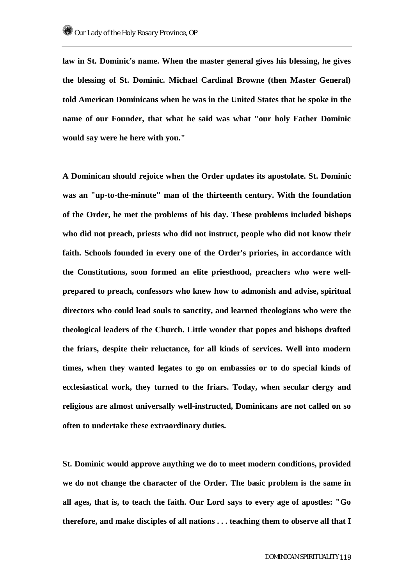**law in St. Dominic's name. When the master general gives his blessing, he gives the blessing of St. Dominic. Michael Cardinal Browne (then Master General) told American Dominicans when he was in the United States that he spoke in the name of our Founder, that what he said was what "our holy Father Dominic would say were he here with you."** 

**A Dominican should rejoice when the Order updates its apostolate. St. Dominic was an "up-to-the-minute" man of the thirteenth century. With the foundation of the Order, he met the problems of his day. These problems included bishops who did not preach, priests who did not instruct, people who did not know their faith. Schools founded in every one of the Order's priories, in accordance with the Constitutions, soon formed an elite priesthood, preachers who were wellprepared to preach, confessors who knew how to admonish and advise, spiritual directors who could lead souls to sanctity, and learned theologians who were the theological leaders of the Church. Little wonder that popes and bishops drafted the friars, despite their reluctance, for all kinds of services. Well into modern times, when they wanted legates to go on embassies or to do special kinds of ecclesiastical work, they turned to the friars. Today, when secular clergy and religious are almost universally well-instructed, Dominicans are not called on so often to undertake these extraordinary duties.** 

**St. Dominic would approve anything we do to meet modern conditions, provided we do not change the character of the Order. The basic problem is the same in all ages, that is, to teach the faith. Our Lord says to every age of apostles: "Go therefore, and make disciples of all nations . . . teaching them to observe all that I**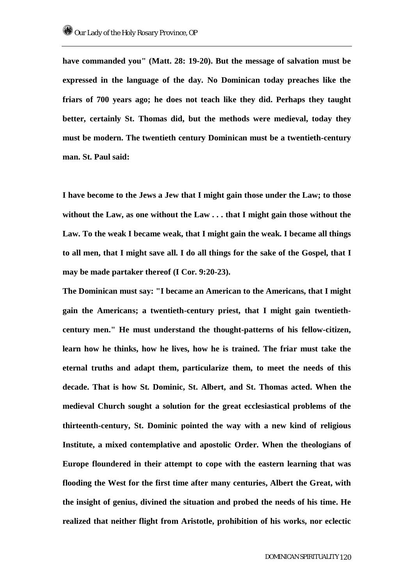**have commanded you" (Matt. 28: 19-20). But the message of salvation must be expressed in the language of the day. No Dominican today preaches like the friars of 700 years ago; he does not teach like they did. Perhaps they taught better, certainly St. Thomas did, but the methods were medieval, today they must be modern. The twentieth century Dominican must be a twentieth-century man. St. Paul said:** 

**I have become to the Jews a Jew that I might gain those under the Law; to those without the Law, as one without the Law . . . that I might gain those without the Law. To the weak I became weak, that I might gain the weak. I became all things to all men, that I might save all. I do all things for the sake of the Gospel, that I may be made partaker thereof (I Cor. 9:20-23).** 

**The Dominican must say: "I became an American to the Americans, that I might gain the Americans; a twentieth-century priest, that I might gain twentiethcentury men." He must understand the thought-patterns of his fellow-citizen, learn how he thinks, how he lives, how he is trained. The friar must take the eternal truths and adapt them, particularize them, to meet the needs of this decade. That is how St. Dominic, St. Albert, and St. Thomas acted. When the medieval Church sought a solution for the great ecclesiastical problems of the thirteenth-century, St. Dominic pointed the way with a new kind of religious Institute, a mixed contemplative and apostolic Order. When the theologians of Europe floundered in their attempt to cope with the eastern learning that was flooding the West for the first time after many centuries, Albert the Great, with the insight of genius, divined the situation and probed the needs of his time. He realized that neither flight from Aristotle, prohibition of his works, nor eclectic**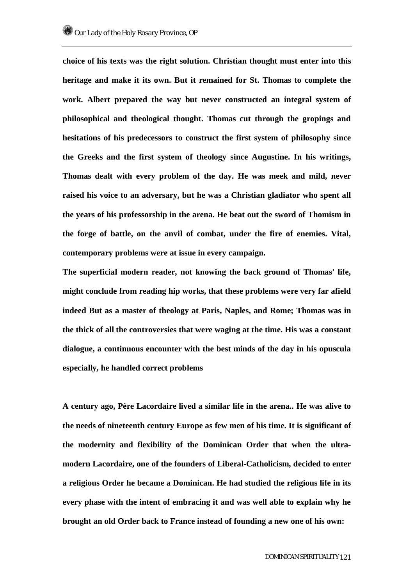**choice of his texts was the right solution. Christian thought must enter into this heritage and make it its own. But it remained for St. Thomas to complete the work. Albert prepared the way but never constructed an integral system of philosophical and theological thought. Thomas cut through the gropings and hesitations of his predecessors to construct the first system of philosophy since the Greeks and the first system of theology since Augustine. In his writings, Thomas dealt with every problem of the day. He was meek and mild, never raised his voice to an adversary, but he was a Christian gladiator who spent all the years of his professorship in the arena. He beat out the sword of Thomism in the forge of battle, on the anvil of combat, under the fire of enemies. Vital, contemporary problems were at issue in every campaign.** 

**The superficial modern reader, not knowing the back ground of Thomas' life, might conclude from reading hip works, that these problems were very far afield indeed But as a master of theology at Paris, Naples, and Rome; Thomas was in the thick of all the controversies that were waging at the time. His was a constant dialogue, a continuous encounter with the best minds of the day in his opuscula especially, he handled correct problems** 

**A century ago, Père Lacordaire lived a similar life in the arena.. He was alive to the needs of nineteenth century Europe as few men of his time. It is significant of the modernity and flexibility of the Dominican Order that when the ultramodern Lacordaire, one of the founders of Liberal-Catholicism, decided to enter a religious Order he became a Dominican. He had studied the religious life in its every phase with the intent of embracing it and was well able to explain why he brought an old Order back to France instead of founding a new one of his own:**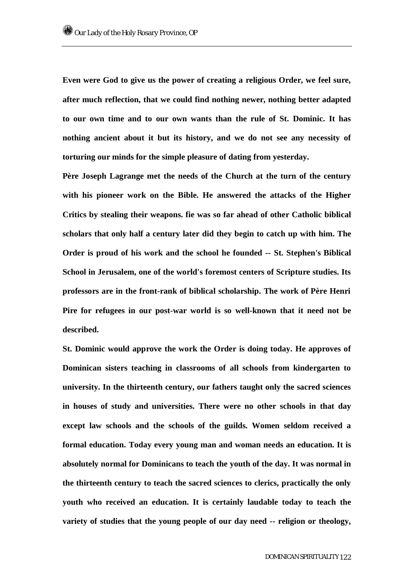**Even were God to give us the power of creating a religious Order, we feel sure, after much reflection, that we could find nothing newer, nothing better adapted to our own time and to our own wants than the rule of St. Dominic. It has nothing ancient about it but its history, and we do not see any necessity of torturing our minds for the simple pleasure of dating from yesterday.** 

**Père Joseph Lagrange met the needs of the Church at the turn of the century with his pioneer work on the Bible. He answered the attacks of the Higher Critics by stealing their weapons. fie was so far ahead of other Catholic biblical scholars that only half a century later did they begin to catch up with him. The Order is proud of his work and the school he founded -- St. Stephen's Biblical School in Jerusalem, one of the world's foremost centers of Scripture studies. Its professors are in the front-rank of biblical scholarship. The work of Père Henri Pire for refugees in our post-war world is so well-known that it need not be described.** 

**St. Dominic would approve the work the Order is doing today. He approves of Dominican sisters teaching in classrooms of all schools from kindergarten to university. In the thirteenth century, our fathers taught only the sacred sciences in houses of study and universities. There were no other schools in that day except law schools and the schools of the guilds. Women seldom received a formal education. Today every young man and woman needs an education. It is absolutely normal for Dominicans to teach the youth of the day. It was normal in the thirteenth century to teach the sacred sciences to clerics, practically the only youth who received an education. It is certainly laudable today to teach the variety of studies that the young people of our day need -- religion or theology,**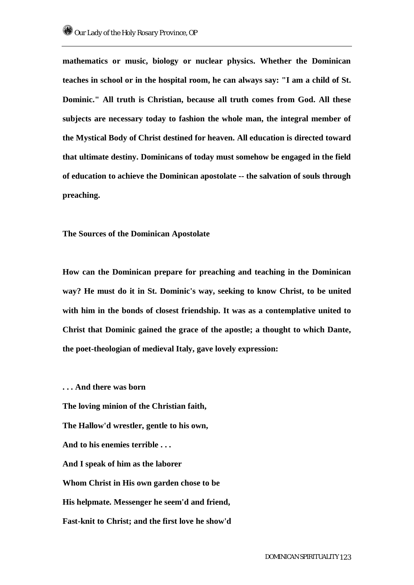**mathematics or music, biology or nuclear physics. Whether the Dominican teaches in school or in the hospital room, he can always say: "I am a child of St. Dominic." All truth is Christian, because all truth comes from God. All these subjects are necessary today to fashion the whole man, the integral member of the Mystical Body of Christ destined for heaven. All education is directed toward that ultimate destiny. Dominicans of today must somehow be engaged in the field of education to achieve the Dominican apostolate -- the salvation of souls through preaching.** 

**The Sources of the Dominican Apostolate** 

**How can the Dominican prepare for preaching and teaching in the Dominican way? He must do it in St. Dominic's way, seeking to know Christ, to be united with him in the bonds of closest friendship. It was as a contemplative united to Christ that Dominic gained the grace of the apostle; a thought to which Dante, the poet-theologian of medieval Italy, gave lovely expression:** 

**. . . And there was born** 

**The loving minion of the Christian faith,** 

**The Hallow'd wrestler, gentle to his own,** 

**And to his enemies terrible . . .** 

**And I speak of him as the laborer** 

**Whom Christ in His own garden chose to be** 

**His helpmate. Messenger he seem'd and friend,** 

**Fast-knit to Christ; and the first love he show'd**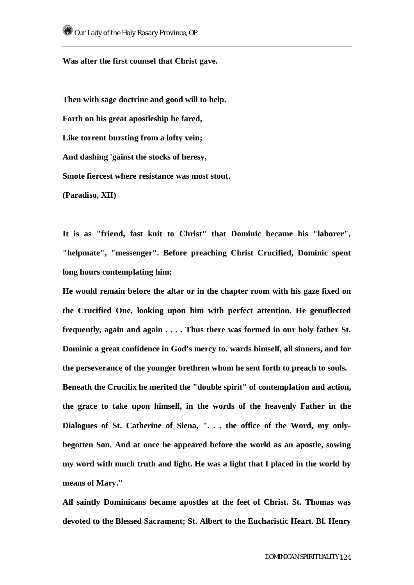**Was after the first counsel that Christ gave.** 

**Then with sage doctrine and good will to help. Forth on his great apostleship he fared, Like torrent bursting from a lofty vein; And dashing 'gainst the stocks of heresy, Smote fiercest where resistance was most stout. (Paradiso, XII)** 

**It is as "friend, fast knit to Christ" that Dominic became his "laborer", "helpmate", "messenger". Before preaching Christ Crucified, Dominic spent long hours contemplating him:** 

**He would remain before the altar or in the chapter room with his gaze fixed on the Crucified One, looking upon him with perfect attention. He genuflected frequently, again and again . . . . Thus there was formed in our holy father St. Dominic a great confidence in God's mercy to. wards himself, all sinners, and for the perseverance of the younger brethren whom he sent forth to preach to souls. Beneath the Crucifix he merited the "double spirit" of contemplation and action, the grace to take upon himself, in the words of the heavenly Father in the Dialogues of St. Catherine of Siena, ". . . the office of the Word, my onlybegotten Son. And at once he appeared before the world as an apostle, sowing my word with much truth and light. He was a light that I placed in the world by means of Mary."** 

**All saintly Dominicans became apostles at the feet of Christ. St. Thomas was devoted to the Blessed Sacrament; St. Albert to the Eucharistic Heart. Bl. Henry**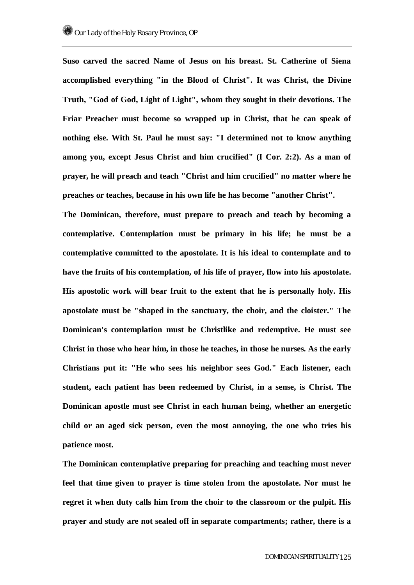**Suso carved the sacred Name of Jesus on his breast. St. Catherine of Siena accomplished everything "in the Blood of Christ". It was Christ, the Divine Truth, "God of God, Light of Light", whom they sought in their devotions. The Friar Preacher must become so wrapped up in Christ, that he can speak of nothing else. With St. Paul he must say: "I determined not to know anything among you, except Jesus Christ and him crucified" (I Cor. 2:2). As a man of prayer, he will preach and teach "Christ and him crucified" no matter where he preaches or teaches, because in his own life he has become "another Christ".** 

**The Dominican, therefore, must prepare to preach and teach by becoming a contemplative. Contemplation must be primary in his life; he must be a contemplative committed to the apostolate. It is his ideal to contemplate and to have the fruits of his contemplation, of his life of prayer, flow into his apostolate. His apostolic work will bear fruit to the extent that he is personally holy. His apostolate must be "shaped in the sanctuary, the choir, and the cloister." The Dominican's contemplation must be Christlike and redemptive. He must see Christ in those who hear him, in those he teaches, in those he nurses. As the early Christians put it: "He who sees his neighbor sees God." Each listener, each student, each patient has been redeemed by Christ, in a sense, is Christ. The Dominican apostle must see Christ in each human being, whether an energetic child or an aged sick person, even the most annoying, the one who tries his patience most.** 

**The Dominican contemplative preparing for preaching and teaching must never feel that time given to prayer is time stolen from the apostolate. Nor must he regret it when duty calls him from the choir to the classroom or the pulpit. His prayer and study are not sealed off in separate compartments; rather, there is a**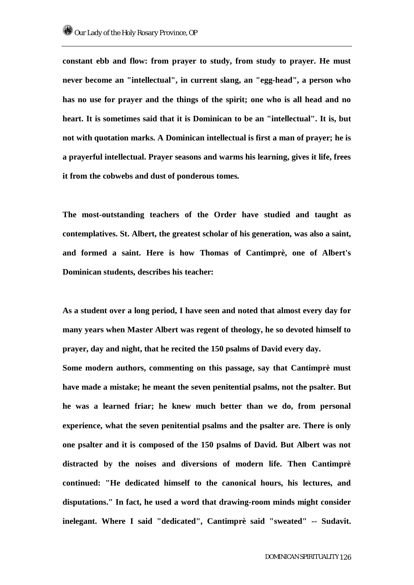**constant ebb and flow: from prayer to study, from study to prayer. He must never become an "intellectual", in current slang, an "egg-head", a person who has no use for prayer and the things of the spirit; one who is all head and no heart. It is sometimes said that it is Dominican to be an "intellectual". It is, but not with quotation marks. A Dominican intellectual is first a man of prayer; he is a prayerful intellectual. Prayer seasons and warms his learning, gives it life, frees it from the cobwebs and dust of ponderous tomes.** 

**The most-outstanding teachers of the Order have studied and taught as contemplatives. St. Albert, the greatest scholar of his generation, was also a saint, and formed a saint. Here is how Thomas of Cantimprè, one of Albert's Dominican students, describes his teacher:** 

**As a student over a long period, I have seen and noted that almost every day for many years when Master Albert was regent of theology, he so devoted himself to prayer, day and night, that he recited the 150 psalms of David every day.** 

**Some modern authors, commenting on this passage, say that Cantimprè must have made a mistake; he meant the seven penitential psalms, not the psalter. But he was a learned friar; he knew much better than we do, from personal experience, what the seven penitential psalms and the psalter are. There is only one psalter and it is composed of the 150 psalms of David. But Albert was not distracted by the noises and diversions of modern life. Then Cantimprè continued: "He dedicated himself to the canonical hours, his lectures, and disputations." In fact, he used a word that drawing-room minds might consider inelegant. Where I said "dedicated", Cantimprè said "sweated" -- Sudavit.**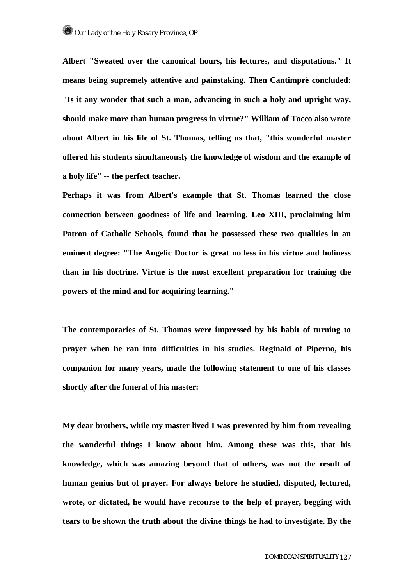**Albert "Sweated over the canonical hours, his lectures, and disputations." It means being supremely attentive and painstaking. Then Cantimprè concluded: "Is it any wonder that such a man, advancing in such a holy and upright way, should make more than human progress in virtue?" William of Tocco also wrote about Albert in his life of St. Thomas, telling us that, "this wonderful master offered his students simultaneously the knowledge of wisdom and the example of a holy life" -- the perfect teacher.** 

**Perhaps it was from Albert's example that St. Thomas learned the close connection between goodness of life and learning. Leo XIII, proclaiming him Patron of Catholic Schools, found that he possessed these two qualities in an eminent degree: "The Angelic Doctor is great no less in his virtue and holiness than in his doctrine. Virtue is the most excellent preparation for training the powers of the mind and for acquiring learning."** 

**The contemporaries of St. Thomas were impressed by his habit of turning to prayer when he ran into difficulties in his studies. Reginald of Piperno, his companion for many years, made the following statement to one of his classes shortly after the funeral of his master:** 

**My dear brothers, while my master lived I was prevented by him from revealing the wonderful things I know about him. Among these was this, that his knowledge, which was amazing beyond that of others, was not the result of human genius but of prayer. For always before he studied, disputed, lectured, wrote, or dictated, he would have recourse to the help of prayer, begging with tears to be shown the truth about the divine things he had to investigate. By the**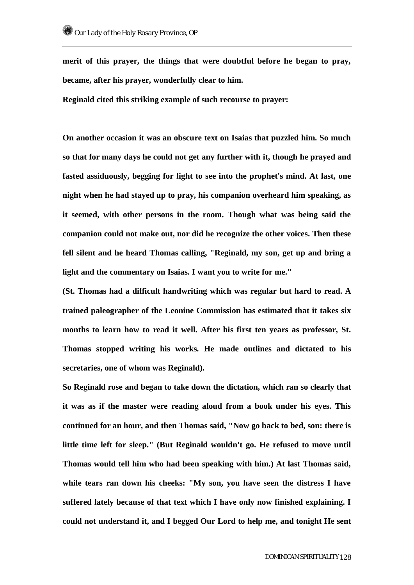**merit of this prayer, the things that were doubtful before he began to pray, became, after his prayer, wonderfully clear to him.** 

**Reginald cited this striking example of such recourse to prayer:** 

**On another occasion it was an obscure text on Isaias that puzzled him. So much so that for many days he could not get any further with it, though he prayed and fasted assiduously, begging for light to see into the prophet's mind. At last, one night when he had stayed up to pray, his companion overheard him speaking, as it seemed, with other persons in the room. Though what was being said the companion could not make out, nor did he recognize the other voices. Then these fell silent and he heard Thomas calling, "Reginald, my son, get up and bring a light and the commentary on Isaias. I want you to write for me."** 

**(St. Thomas had a difficult handwriting which was regular but hard to read. A trained paleographer of the Leonine Commission has estimated that it takes six months to learn how to read it well. After his first ten years as professor, St. Thomas stopped writing his works. He made outlines and dictated to his secretaries, one of whom was Reginald).** 

**So Reginald rose and began to take down the dictation, which ran so clearly that it was as if the master were reading aloud from a book under his eyes. This continued for an hour, and then Thomas said, "Now go back to bed, son: there is little time left for sleep." (But Reginald wouldn't go. He refused to move until Thomas would tell him who had been speaking with him.) At last Thomas said, while tears ran down his cheeks: "My son, you have seen the distress I have suffered lately because of that text which I have only now finished explaining. I could not understand it, and I begged Our Lord to help me, and tonight He sent**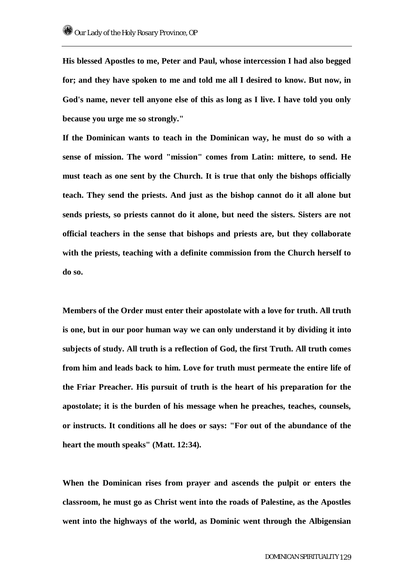**His blessed Apostles to me, Peter and Paul, whose intercession I had also begged for; and they have spoken to me and told me all I desired to know. But now, in God's name, never tell anyone else of this as long as I live. I have told you only because you urge me so strongly."** 

**If the Dominican wants to teach in the Dominican way, he must do so with a sense of mission. The word "mission" comes from Latin: mittere, to send. He must teach as one sent by the Church. It is true that only the bishops officially teach. They send the priests. And just as the bishop cannot do it all alone but sends priests, so priests cannot do it alone, but need the sisters. Sisters are not official teachers in the sense that bishops and priests are, but they collaborate with the priests, teaching with a definite commission from the Church herself to do so.** 

**Members of the Order must enter their apostolate with a love for truth. All truth is one, but in our poor human way we can only understand it by dividing it into subjects of study. All truth is a reflection of God, the first Truth. All truth comes from him and leads back to him. Love for truth must permeate the entire life of the Friar Preacher. His pursuit of truth is the heart of his preparation for the apostolate; it is the burden of his message when he preaches, teaches, counsels, or instructs. It conditions all he does or says: "For out of the abundance of the heart the mouth speaks" (Matt. 12:34).** 

**When the Dominican rises from prayer and ascends the pulpit or enters the classroom, he must go as Christ went into the roads of Palestine, as the Apostles went into the highways of the world, as Dominic went through the Albigensian**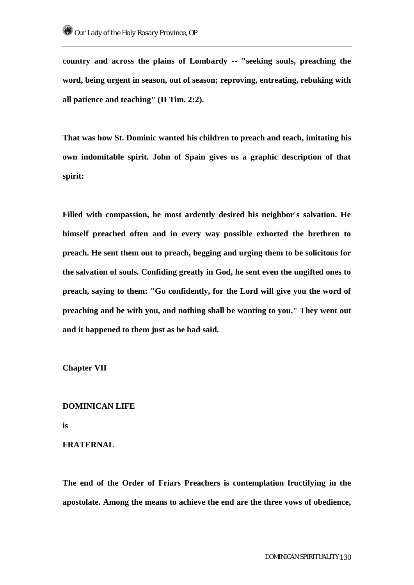**country and across the plains of Lombardy -- "seeking souls, preaching the word, being urgent in season, out of season; reproving, entreating, rebuking with all patience and teaching" (II Tim. 2:2).** 

**That was how St. Dominic wanted his children to preach and teach, imitating his own indomitable spirit. John of Spain gives us a graphic description of that spirit:** 

**Filled with compassion, he most ardently desired his neighbor's salvation. He himself preached often and in every way possible exhorted the brethren to preach. He sent them out to preach, begging and urging them to be solicitous for the salvation of souls. Confiding greatly in God, he sent even the ungifted ones to preach, saying to them: "Go confidently, for the Lord will give you the word of preaching and be with you, and nothing shall be wanting to you." They went out and it happened to them just as he had said.** 

**Chapter VII** 

# **DOMINICAN LIFE**

**is** 

## **FRATERNAL**

**The end of the Order of Friars Preachers is contemplation fructifying in the apostolate. Among the means to achieve the end are the three vows of obedience,**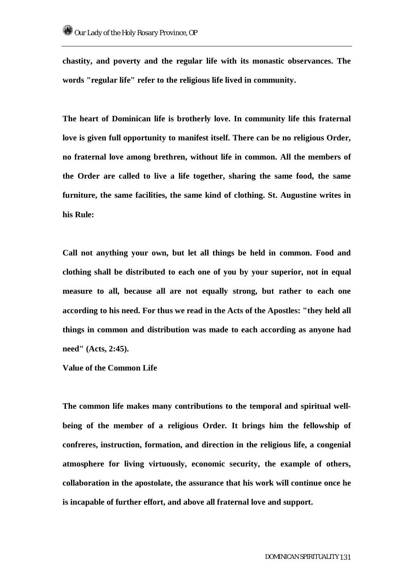**chastity, and poverty and the regular life with its monastic observances. The words "regular life" refer to the religious life lived in community.** 

**The heart of Dominican life is brotherly love. In community life this fraternal love is given full opportunity to manifest itself. There can be no religious Order, no fraternal love among brethren, without life in common. All the members of the Order are called to live a life together, sharing the same food, the same furniture, the same facilities, the same kind of clothing. St. Augustine writes in his Rule:** 

**Call not anything your own, but let all things be held in common. Food and clothing shall be distributed to each one of you by your superior, not in equal measure to all, because all are not equally strong, but rather to each one according to his need. For thus we read in the Acts of the Apostles: "they held all things in common and distribution was made to each according as anyone had need" (Acts, 2:45).** 

**Value of the Common Life** 

**The common life makes many contributions to the temporal and spiritual wellbeing of the member of a religious Order. It brings him the fellowship of confreres, instruction, formation, and direction in the religious life, a congenial atmosphere for living virtuously, economic security, the example of others, collaboration in the apostolate, the assurance that his work will continue once he is incapable of further effort, and above all fraternal love and support.**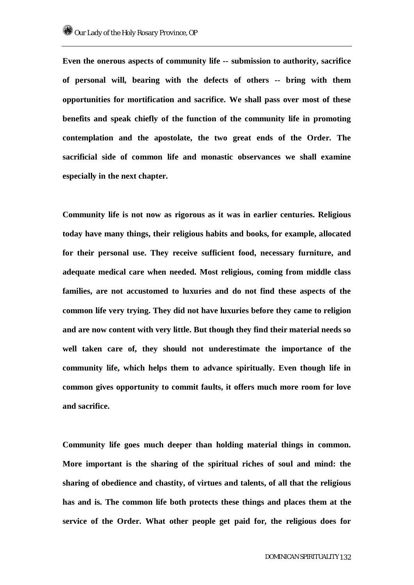**Even the onerous aspects of community life -- submission to authority, sacrifice of personal will, bearing with the defects of others -- bring with them opportunities for mortification and sacrifice. We shall pass over most of these benefits and speak chiefly of the function of the community life in promoting contemplation and the apostolate, the two great ends of the Order. The sacrificial side of common life and monastic observances we shall examine especially in the next chapter.** 

**Community life is not now as rigorous as it was in earlier centuries. Religious today have many things, their religious habits and books, for example, allocated for their personal use. They receive sufficient food, necessary furniture, and adequate medical care when needed. Most religious, coming from middle class families, are not accustomed to luxuries and do not find these aspects of the common life very trying. They did not have luxuries before they came to religion and are now content with very little. But though they find their material needs so well taken care of, they should not underestimate the importance of the community life, which helps them to advance spiritually. Even though life in common gives opportunity to commit faults, it offers much more room for love and sacrifice.** 

**Community life goes much deeper than holding material things in common. More important is the sharing of the spiritual riches of soul and mind: the sharing of obedience and chastity, of virtues and talents, of all that the religious has and is. The common life both protects these things and places them at the service of the Order. What other people get paid for, the religious does for**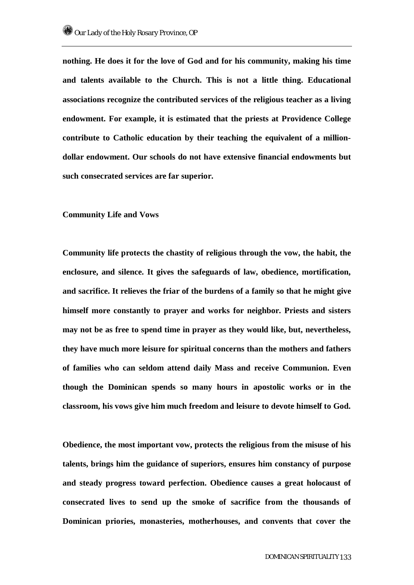**nothing. He does it for the love of God and for his community, making his time and talents available to the Church. This is not a little thing. Educational associations recognize the contributed services of the religious teacher as a living endowment. For example, it is estimated that the priests at Providence College contribute to Catholic education by their teaching the equivalent of a milliondollar endowment. Our schools do not have extensive financial endowments but such consecrated services are far superior.** 

#### **Community Life and Vows**

**Community life protects the chastity of religious through the vow, the habit, the enclosure, and silence. It gives the safeguards of law, obedience, mortification, and sacrifice. It relieves the friar of the burdens of a family so that he might give himself more constantly to prayer and works for neighbor. Priests and sisters may not be as free to spend time in prayer as they would like, but, nevertheless, they have much more leisure for spiritual concerns than the mothers and fathers of families who can seldom attend daily Mass and receive Communion. Even though the Dominican spends so many hours in apostolic works or in the classroom, his vows give him much freedom and leisure to devote himself to God.** 

**Obedience, the most important vow, protects the religious from the misuse of his talents, brings him the guidance of superiors, ensures him constancy of purpose and steady progress toward perfection. Obedience causes a great holocaust of consecrated lives to send up the smoke of sacrifice from the thousands of Dominican priories, monasteries, motherhouses, and convents that cover the**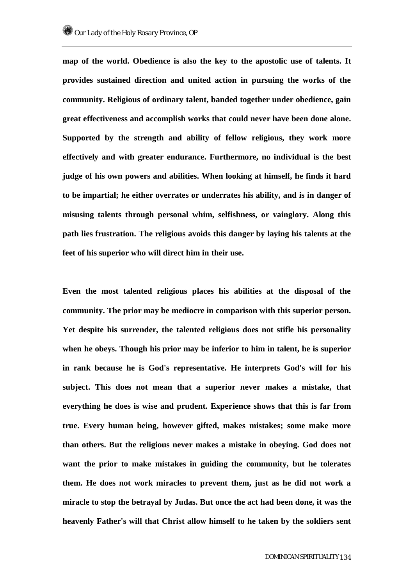**map of the world. Obedience is also the key to the apostolic use of talents. It provides sustained direction and united action in pursuing the works of the community. Religious of ordinary talent, banded together under obedience, gain great effectiveness and accomplish works that could never have been done alone. Supported by the strength and ability of fellow religious, they work more effectively and with greater endurance. Furthermore, no individual is the best judge of his own powers and abilities. When looking at himself, he finds it hard to be impartial; he either overrates or underrates his ability, and is in danger of misusing talents through personal whim, selfishness, or vainglory. Along this path lies frustration. The religious avoids this danger by laying his talents at the feet of his superior who will direct him in their use.** 

**Even the most talented religious places his abilities at the disposal of the community. The prior may be mediocre in comparison with this superior person. Yet despite his surrender, the talented religious does not stifle his personality when he obeys. Though his prior may be inferior to him in talent, he is superior in rank because he is God's representative. He interprets God's will for his subject. This does not mean that a superior never makes a mistake, that everything he does is wise and prudent. Experience shows that this is far from true. Every human being, however gifted, makes mistakes; some make more than others. But the religious never makes a mistake in obeying. God does not want the prior to make mistakes in guiding the community, but he tolerates them. He does not work miracles to prevent them, just as he did not work a miracle to stop the betrayal by Judas. But once the act had been done, it was the heavenly Father's will that Christ allow himself to he taken by the soldiers sent**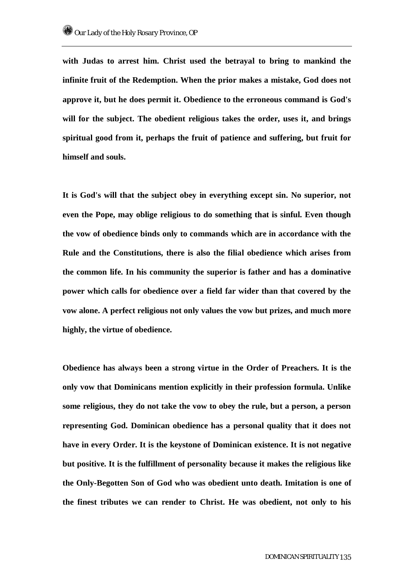**with Judas to arrest him. Christ used the betrayal to bring to mankind the infinite fruit of the Redemption. When the prior makes a mistake, God does not approve it, but he does permit it. Obedience to the erroneous command is God's will for the subject. The obedient religious takes the order, uses it, and brings spiritual good from it, perhaps the fruit of patience and suffering, but fruit for himself and souls.** 

**It is God's will that the subject obey in everything except sin. No superior, not even the Pope, may oblige religious to do something that is sinful. Even though the vow of obedience binds only to commands which are in accordance with the Rule and the Constitutions, there is also the filial obedience which arises from the common life. In his community the superior is father and has a dominative power which calls for obedience over a field far wider than that covered by the vow alone. A perfect religious not only values the vow but prizes, and much more highly, the virtue of obedience.** 

**Obedience has always been a strong virtue in the Order of Preachers. It is the only vow that Dominicans mention explicitly in their profession formula. Unlike some religious, they do not take the vow to obey the rule, but a person, a person representing God. Dominican obedience has a personal quality that it does not have in every Order. It is the keystone of Dominican existence. It is not negative but positive. It is the fulfillment of personality because it makes the religious like the Only-Begotten Son of God who was obedient unto death. Imitation is one of the finest tributes we can render to Christ. He was obedient, not only to his**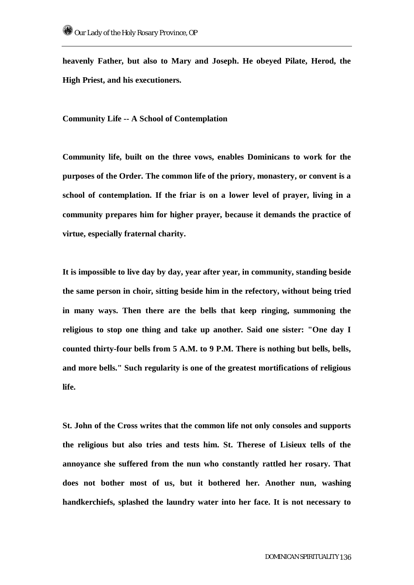**heavenly Father, but also to Mary and Joseph. He obeyed Pilate, Herod, the High Priest, and his executioners.** 

**Community Life -- A School of Contemplation** 

**Community life, built on the three vows, enables Dominicans to work for the purposes of the Order. The common life of the priory, monastery, or convent is a school of contemplation. If the friar is on a lower level of prayer, living in a community prepares him for higher prayer, because it demands the practice of virtue, especially fraternal charity.** 

**It is impossible to live day by day, year after year, in community, standing beside the same person in choir, sitting beside him in the refectory, without being tried in many ways. Then there are the bells that keep ringing, summoning the religious to stop one thing and take up another. Said one sister: "One day I counted thirty-four bells from 5 A.M. to 9 P.M. There is nothing but bells, bells, and more bells." Such regularity is one of the greatest mortifications of religious life.** 

**St. John of the Cross writes that the common life not only consoles and supports the religious but also tries and tests him. St. Therese of Lisieux tells of the annoyance she suffered from the nun who constantly rattled her rosary. That does not bother most of us, but it bothered her. Another nun, washing handkerchiefs, splashed the laundry water into her face. It is not necessary to**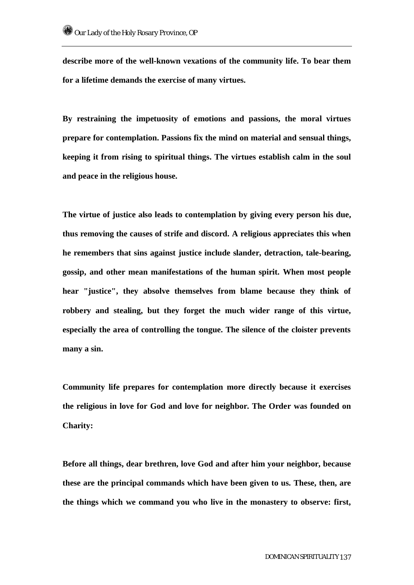**describe more of the well-known vexations of the community life. To bear them for a lifetime demands the exercise of many virtues.** 

**By restraining the impetuosity of emotions and passions, the moral virtues prepare for contemplation. Passions fix the mind on material and sensual things, keeping it from rising to spiritual things. The virtues establish calm in the soul and peace in the religious house.** 

**The virtue of justice also leads to contemplation by giving every person his due, thus removing the causes of strife and discord. A religious appreciates this when he remembers that sins against justice include slander, detraction, tale-bearing, gossip, and other mean manifestations of the human spirit. When most people hear "justice", they absolve themselves from blame because they think of robbery and stealing, but they forget the much wider range of this virtue, especially the area of controlling the tongue. The silence of the cloister prevents many a sin.** 

**Community life prepares for contemplation more directly because it exercises the religious in love for God and love for neighbor. The Order was founded on Charity:** 

**Before all things, dear brethren, love God and after him your neighbor, because these are the principal commands which have been given to us. These, then, are the things which we command you who live in the monastery to observe: first,**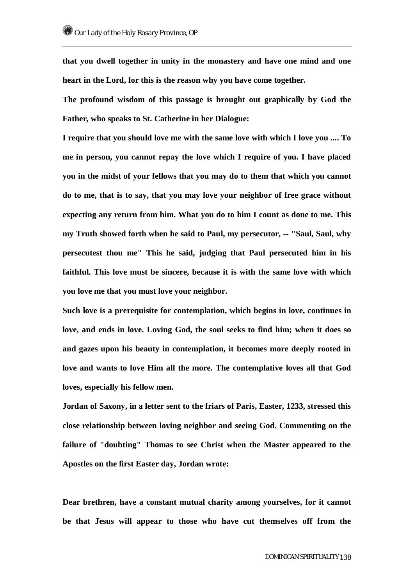**that you dwell together in unity in the monastery and have one mind and one heart in the Lord, for this is the reason why you have come together.** 

**The profound wisdom of this passage is brought out graphically by God the Father, who speaks to St. Catherine in her Dialogue:** 

**I require that you should love me with the same love with which I love you .... To me in person, you cannot repay the love which I require of you. I have placed you in the midst of your fellows that you may do to them that which you cannot do to me, that is to say, that you may love your neighbor of free grace without expecting any return from him. What you do to him I count as done to me. This my Truth showed forth when he said to Paul, my persecutor, -- "Saul, Saul, why persecutest thou me" This he said, judging that Paul persecuted him in his faithful. This love must be sincere, because it is with the same love with which you love me that you must love your neighbor.** 

**Such love is a prerequisite for contemplation, which begins in love, continues in love, and ends in love. Loving God, the soul seeks to find him; when it does so and gazes upon his beauty in contemplation, it becomes more deeply rooted in love and wants to love Him all the more. The contemplative loves all that God loves, especially his fellow men.** 

**Jordan of Saxony, in a letter sent to the friars of Paris, Easter, 1233, stressed this close relationship between loving neighbor and seeing God. Commenting on the failure of "doubting" Thomas to see Christ when the Master appeared to the Apostles on the first Easter day, Jordan wrote:** 

**Dear brethren, have a constant mutual charity among yourselves, for it cannot be that Jesus will appear to those who have cut themselves off from the**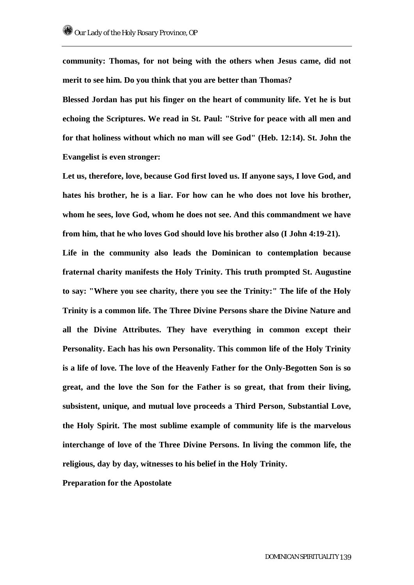**community: Thomas, for not being with the others when Jesus came, did not merit to see him. Do you think that you are better than Thomas?** 

**Blessed Jordan has put his finger on the heart of community life. Yet he is but echoing the Scriptures. We read in St. Paul: "Strive for peace with all men and for that holiness without which no man will see God" (Heb. 12:14). St. John the Evangelist is even stronger:** 

**Let us, therefore, love, because God first loved us. If anyone says, I love God, and hates his brother, he is a liar. For how can he who does not love his brother, whom he sees, love God, whom he does not see. And this commandment we have from him, that he who loves God should love his brother also (I John 4:19-21).** 

**Life in the community also leads the Dominican to contemplation because fraternal charity manifests the Holy Trinity. This truth prompted St. Augustine to say: "Where you see charity, there you see the Trinity:" The life of the Holy Trinity is a common life. The Three Divine Persons share the Divine Nature and all the Divine Attributes. They have everything in common except their Personality. Each has his own Personality. This common life of the Holy Trinity is a life of love. The love of the Heavenly Father for the Only-Begotten Son is so great, and the love the Son for the Father is so great, that from their living, subsistent, unique, and mutual love proceeds a Third Person, Substantial Love, the Holy Spirit. The most sublime example of community life is the marvelous interchange of love of the Three Divine Persons. In living the common life, the religious, day by day, witnesses to his belief in the Holy Trinity.** 

**Preparation for the Apostolate**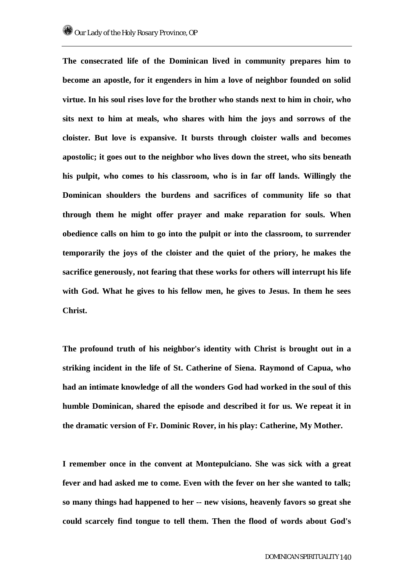**The consecrated life of the Dominican lived in community prepares him to become an apostle, for it engenders in him a love of neighbor founded on solid virtue. In his soul rises love for the brother who stands next to him in choir, who sits next to him at meals, who shares with him the joys and sorrows of the cloister. But love is expansive. It bursts through cloister walls and becomes apostolic; it goes out to the neighbor who lives down the street, who sits beneath his pulpit, who comes to his classroom, who is in far off lands. Willingly the Dominican shoulders the burdens and sacrifices of community life so that through them he might offer prayer and make reparation for souls. When obedience calls on him to go into the pulpit or into the classroom, to surrender temporarily the joys of the cloister and the quiet of the priory, he makes the sacrifice generously, not fearing that these works for others will interrupt his life with God. What he gives to his fellow men, he gives to Jesus. In them he sees Christ.** 

**The profound truth of his neighbor's identity with Christ is brought out in a striking incident in the life of St. Catherine of Siena. Raymond of Capua, who had an intimate knowledge of all the wonders God had worked in the soul of this humble Dominican, shared the episode and described it for us. We repeat it in the dramatic version of Fr. Dominic Rover, in his play: Catherine, My Mother.** 

**I remember once in the convent at Montepulciano. She was sick with a great fever and had asked me to come. Even with the fever on her she wanted to talk; so many things had happened to her -- new visions, heavenly favors so great she could scarcely find tongue to tell them. Then the flood of words about God's**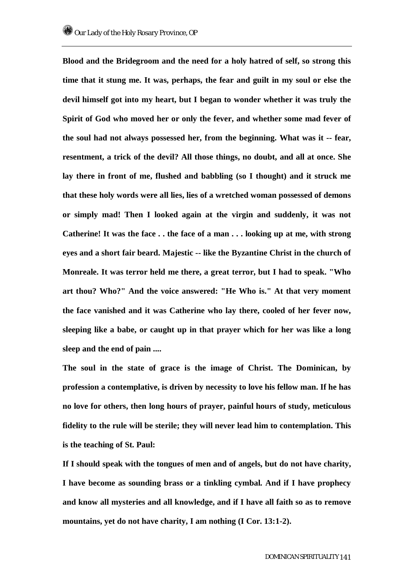**Blood and the Bridegroom and the need for a holy hatred of self, so strong this time that it stung me. It was, perhaps, the fear and guilt in my soul or else the devil himself got into my heart, but I began to wonder whether it was truly the Spirit of God who moved her or only the fever, and whether some mad fever of the soul had not always possessed her, from the beginning. What was it -- fear, resentment, a trick of the devil? All those things, no doubt, and all at once. She lay there in front of me, flushed and babbling (so I thought) and it struck me that these holy words were all lies, lies of a wretched woman possessed of demons or simply mad! Then I looked again at the virgin and suddenly, it was not Catherine! It was the face . . the face of a man . . . looking up at me, with strong eyes and a short fair beard. Majestic -- like the Byzantine Christ in the church of Monreale. It was terror held me there, a great terror, but I had to speak. "Who art thou? Who?" And the voice answered: "He Who is." At that very moment the face vanished and it was Catherine who lay there, cooled of her fever now, sleeping like a babe, or caught up in that prayer which for her was like a long sleep and the end of pain ....** 

**The soul in the state of grace is the image of Christ. The Dominican, by profession a contemplative, is driven by necessity to love his fellow man. If he has no love for others, then long hours of prayer, painful hours of study, meticulous fidelity to the rule will be sterile; they will never lead him to contemplation. This is the teaching of St. Paul:** 

**If I should speak with the tongues of men and of angels, but do not have charity, I have become as sounding brass or a tinkling cymbal. And if I have prophecy and know all mysteries and all knowledge, and if I have all faith so as to remove mountains, yet do not have charity, I am nothing (I Cor. 13:1-2).**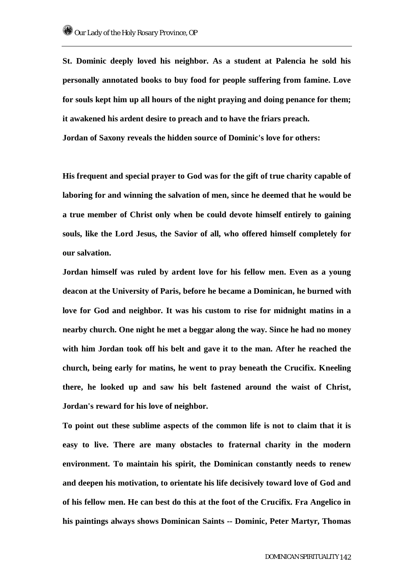**St. Dominic deeply loved his neighbor. As a student at Palencia he sold his personally annotated books to buy food for people suffering from famine. Love for souls kept him up all hours of the night praying and doing penance for them; it awakened his ardent desire to preach and to have the friars preach. Jordan of Saxony reveals the hidden source of Dominic's love for others:** 

**His frequent and special prayer to God was for the gift of true charity capable of laboring for and winning the salvation of men, since he deemed that he would be a true member of Christ only when be could devote himself entirely to gaining souls, like the Lord Jesus, the Savior of all, who offered himself completely for our salvation.** 

**Jordan himself was ruled by ardent love for his fellow men. Even as a young deacon at the University of Paris, before he became a Dominican, he burned with love for God and neighbor. It was his custom to rise for midnight matins in a nearby church. One night he met a beggar along the way. Since he had no money with him Jordan took off his belt and gave it to the man. After he reached the church, being early for matins, he went to pray beneath the Crucifix. Kneeling there, he looked up and saw his belt fastened around the waist of Christ, Jordan's reward for his love of neighbor.** 

**To point out these sublime aspects of the common life is not to claim that it is easy to live. There are many obstacles to fraternal charity in the modern environment. To maintain his spirit, the Dominican constantly needs to renew and deepen his motivation, to orientate his life decisively toward love of God and of his fellow men. He can best do this at the foot of the Crucifix. Fra Angelico in his paintings always shows Dominican Saints -- Dominic, Peter Martyr, Thomas**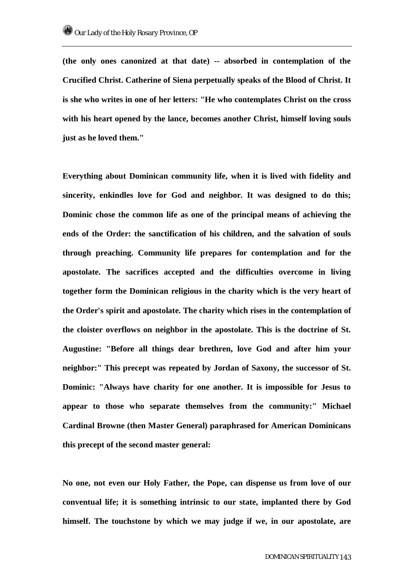**(the only ones canonized at that date) -- absorbed in contemplation of the Crucified Christ. Catherine of Siena perpetually speaks of the Blood of Christ. It is she who writes in one of her letters: "He who contemplates Christ on the cross with his heart opened by the lance, becomes another Christ, himself loving souls just as he loved them."** 

**Everything about Dominican community life, when it is lived with fidelity and sincerity, enkindles love for God and neighbor. It was designed to do this; Dominic chose the common life as one of the principal means of achieving the ends of the Order: the sanctification of his children, and the salvation of souls through preaching. Community life prepares for contemplation and for the apostolate. The sacrifices accepted and the difficulties overcome in living together form the Dominican religious in the charity which is the very heart of the Order's spirit and apostolate. The charity which rises in the contemplation of the cloister overflows on neighbor in the apostolate. This is the doctrine of St. Augustine: "Before all things dear brethren, love God and after him your neighbor:" This precept was repeated by Jordan of Saxony, the successor of St. Dominic: "Always have charity for one another. It is impossible for Jesus to appear to those who separate themselves from the community:" Michael Cardinal Browne (then Master General) paraphrased for American Dominicans this precept of the second master general:** 

**No one, not even our Holy Father, the Pope, can dispense us from love of our conventual life; it is something intrinsic to our state, implanted there by God himself. The touchstone by which we may judge if we, in our apostolate, are**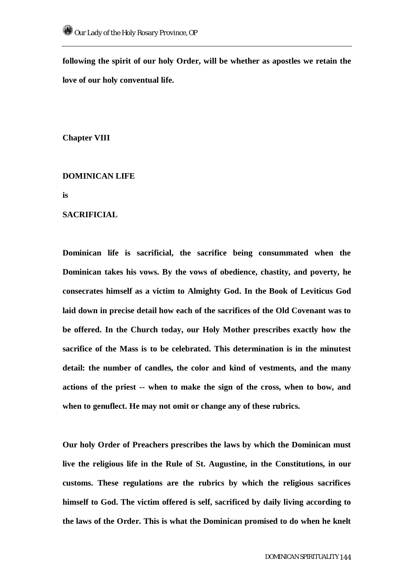**following the spirit of our holy Order, will be whether as apostles we retain the love of our holy conventual life.** 

**Chapter VIII** 

## **DOMINICAN LIFE**

**is** 

## **SACRIFICIAL**

**Dominican life is sacrificial, the sacrifice being consummated when the Dominican takes his vows. By the vows of obedience, chastity, and poverty, he consecrates himself as a victim to Almighty God. In the Book of Leviticus God laid down in precise detail how each of the sacrifices of the Old Covenant was to be offered. In the Church today, our Holy Mother prescribes exactly how the sacrifice of the Mass is to be celebrated. This determination is in the minutest detail: the number of candles, the color and kind of vestments, and the many actions of the priest -- when to make the sign of the cross, when to bow, and when to genuflect. He may not omit or change any of these rubrics.** 

**Our holy Order of Preachers prescribes the laws by which the Dominican must live the religious life in the Rule of St. Augustine, in the Constitutions, in our customs. These regulations are the rubrics by which the religious sacrifices himself to God. The victim offered is self, sacrificed by daily living according to the laws of the Order. This is what the Dominican promised to do when he knelt**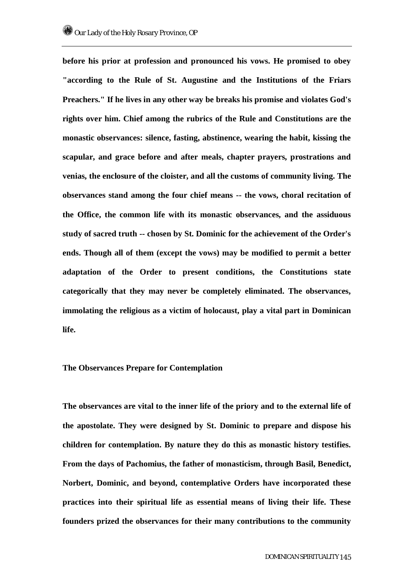**before his prior at profession and pronounced his vows. He promised to obey "according to the Rule of St. Augustine and the Institutions of the Friars Preachers." If he lives in any other way be breaks his promise and violates God's rights over him. Chief among the rubrics of the Rule and Constitutions are the monastic observances: silence, fasting, abstinence, wearing the habit, kissing the scapular, and grace before and after meals, chapter prayers, prostrations and venias, the enclosure of the cloister, and all the customs of community living. The observances stand among the four chief means -- the vows, choral recitation of the Office, the common life with its monastic observances, and the assiduous study of sacred truth -- chosen by St. Dominic for the achievement of the Order's ends. Though all of them (except the vows) may be modified to permit a better adaptation of the Order to present conditions, the Constitutions state categorically that they may never be completely eliminated. The observances, immolating the religious as a victim of holocaust, play a vital part in Dominican life.** 

## **The Observances Prepare for Contemplation**

**The observances are vital to the inner life of the priory and to the external life of the apostolate. They were designed by St. Dominic to prepare and dispose his children for contemplation. By nature they do this as monastic history testifies. From the days of Pachomius, the father of monasticism, through Basil, Benedict, Norbert, Dominic, and beyond, contemplative Orders have incorporated these practices into their spiritual life as essential means of living their life. These founders prized the observances for their many contributions to the community**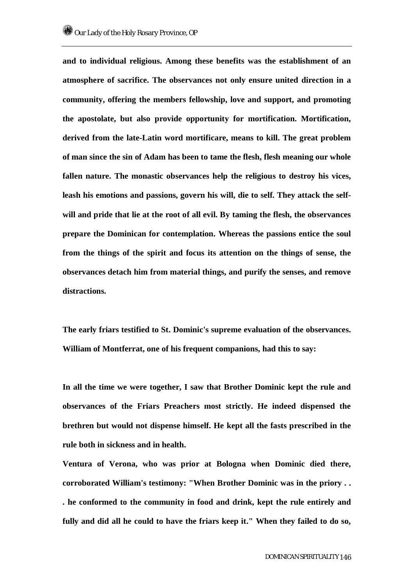**and to individual religious. Among these benefits was the establishment of an atmosphere of sacrifice. The observances not only ensure united direction in a community, offering the members fellowship, love and support, and promoting the apostolate, but also provide opportunity for mortification. Mortification, derived from the late-Latin word mortificare, means to kill. The great problem of man since the sin of Adam has been to tame the flesh, flesh meaning our whole fallen nature. The monastic observances help the religious to destroy his vices, leash his emotions and passions, govern his will, die to self. They attack the selfwill and pride that lie at the root of all evil. By taming the flesh, the observances prepare the Dominican for contemplation. Whereas the passions entice the soul from the things of the spirit and focus its attention on the things of sense, the observances detach him from material things, and purify the senses, and remove distractions.** 

**The early friars testified to St. Dominic's supreme evaluation of the observances. William of Montferrat, one of his frequent companions, had this to say:** 

**In all the time we were together, I saw that Brother Dominic kept the rule and observances of the Friars Preachers most strictly. He indeed dispensed the brethren but would not dispense himself. He kept all the fasts prescribed in the rule both in sickness and in health.** 

**Ventura of Verona, who was prior at Bologna when Dominic died there, corroborated William's testimony: "When Brother Dominic was in the priory . . . he conformed to the community in food and drink, kept the rule entirely and fully and did all he could to have the friars keep it." When they failed to do so,**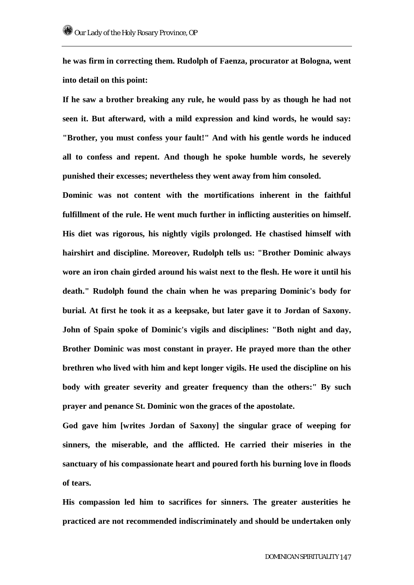**he was firm in correcting them. Rudolph of Faenza, procurator at Bologna, went into detail on this point:** 

**If he saw a brother breaking any rule, he would pass by as though he had not seen it. But afterward, with a mild expression and kind words, he would say: "Brother, you must confess your fault!" And with his gentle words he induced all to confess and repent. And though he spoke humble words, he severely punished their excesses; nevertheless they went away from him consoled.** 

**Dominic was not content with the mortifications inherent in the faithful fulfillment of the rule. He went much further in inflicting austerities on himself. His diet was rigorous, his nightly vigils prolonged. He chastised himself with hairshirt and discipline. Moreover, Rudolph tells us: "Brother Dominic always wore an iron chain girded around his waist next to the flesh. He wore it until his death." Rudolph found the chain when he was preparing Dominic's body for burial. At first he took it as a keepsake, but later gave it to Jordan of Saxony. John of Spain spoke of Dominic's vigils and disciplines: "Both night and day, Brother Dominic was most constant in prayer. He prayed more than the other brethren who lived with him and kept longer vigils. He used the discipline on his body with greater severity and greater frequency than the others:" By such prayer and penance St. Dominic won the graces of the apostolate.** 

**God gave him [writes Jordan of Saxony] the singular grace of weeping for sinners, the miserable, and the afflicted. He carried their miseries in the sanctuary of his compassionate heart and poured forth his burning love in floods of tears.** 

**His compassion led him to sacrifices for sinners. The greater austerities he practiced are not recommended indiscriminately and should be undertaken only**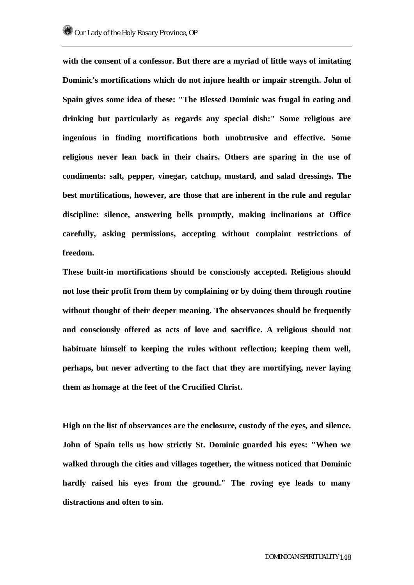**with the consent of a confessor. But there are a myriad of little ways of imitating Dominic's mortifications which do not injure health or impair strength. John of Spain gives some idea of these: "The Blessed Dominic was frugal in eating and drinking but particularly as regards any special dish:" Some religious are ingenious in finding mortifications both unobtrusive and effective. Some religious never lean back in their chairs. Others are sparing in the use of condiments: salt, pepper, vinegar, catchup, mustard, and salad dressings. The best mortifications, however, are those that are inherent in the rule and regular discipline: silence, answering bells promptly, making inclinations at Office carefully, asking permissions, accepting without complaint restrictions of freedom.** 

**These built-in mortifications should be consciously accepted. Religious should not lose their profit from them by complaining or by doing them through routine without thought of their deeper meaning. The observances should be frequently and consciously offered as acts of love and sacrifice. A religious should not habituate himself to keeping the rules without reflection; keeping them well, perhaps, but never adverting to the fact that they are mortifying, never laying them as homage at the feet of the Crucified Christ.** 

**High on the list of observances are the enclosure, custody of the eyes, and silence. John of Spain tells us how strictly St. Dominic guarded his eyes: "When we walked through the cities and villages together, the witness noticed that Dominic hardly raised his eyes from the ground." The roving eye leads to many distractions and often to sin.**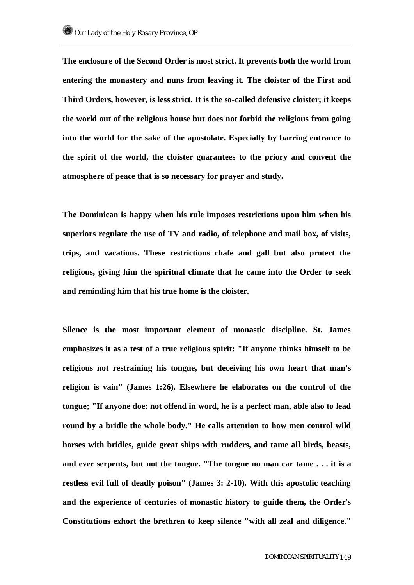**The enclosure of the Second Order is most strict. It prevents both the world from entering the monastery and nuns from leaving it. The cloister of the First and Third Orders, however, is less strict. It is the so-called defensive cloister; it keeps the world out of the religious house but does not forbid the religious from going into the world for the sake of the apostolate. Especially by barring entrance to the spirit of the world, the cloister guarantees to the priory and convent the atmosphere of peace that is so necessary for prayer and study.** 

**The Dominican is happy when his rule imposes restrictions upon him when his superiors regulate the use of TV and radio, of telephone and mail box, of visits, trips, and vacations. These restrictions chafe and gall but also protect the religious, giving him the spiritual climate that he came into the Order to seek and reminding him that his true home is the cloister.** 

**Silence is the most important element of monastic discipline. St. James emphasizes it as a test of a true religious spirit: "If anyone thinks himself to be religious not restraining his tongue, but deceiving his own heart that man's religion is vain" (James 1:26). Elsewhere he elaborates on the control of the tongue; "If anyone doe: not offend in word, he is a perfect man, able also to lead round by a bridle the whole body." He calls attention to how men control wild horses with bridles, guide great ships with rudders, and tame all birds, beasts, and ever serpents, but not the tongue. "The tongue no man car tame . . . it is a restless evil full of deadly poison" (James 3: 2-10). With this apostolic teaching and the experience of centuries of monastic history to guide them, the Order's Constitutions exhort the brethren to keep silence "with all zeal and diligence."**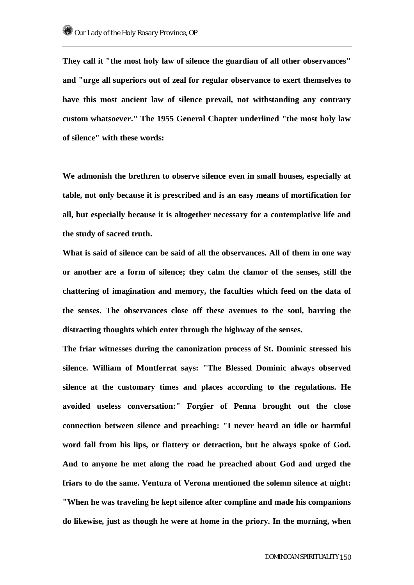**They call it "the most holy law of silence the guardian of all other observances" and "urge all superiors out of zeal for regular observance to exert themselves to have this most ancient law of silence prevail, not withstanding any contrary custom whatsoever." The 1955 General Chapter underlined "the most holy law of silence" with these words:** 

**We admonish the brethren to observe silence even in small houses, especially at table, not only because it is prescribed and is an easy means of mortification for all, but especially because it is altogether necessary for a contemplative life and the study of sacred truth.** 

**What is said of silence can be said of all the observances. All of them in one way or another are a form of silence; they calm the clamor of the senses, still the chattering of imagination and memory, the faculties which feed on the data of the senses. The observances close off these avenues to the soul, barring the distracting thoughts which enter through the highway of the senses.** 

**The friar witnesses during the canonization process of St. Dominic stressed his silence. William of Montferrat says: "The Blessed Dominic always observed silence at the customary times and places according to the regulations. He avoided useless conversation:" Forgier of Penna brought out the close connection between silence and preaching: "I never heard an idle or harmful word fall from his lips, or flattery or detraction, but he always spoke of God. And to anyone he met along the road he preached about God and urged the friars to do the same. Ventura of Verona mentioned the solemn silence at night: "When he was traveling he kept silence after compline and made his companions do likewise, just as though he were at home in the priory. In the morning, when**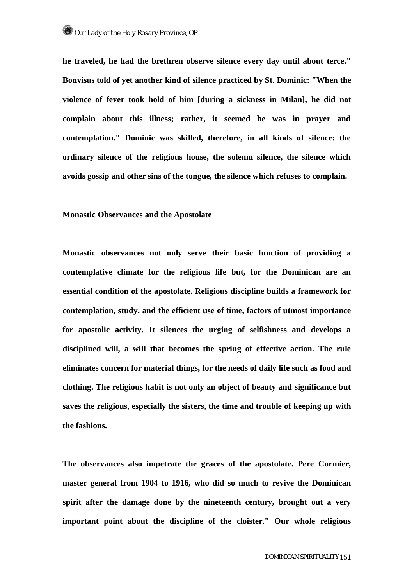**he traveled, he had the brethren observe silence every day until about terce." Bonvisus told of yet another kind of silence practiced by St. Dominic: "When the violence of fever took hold of him [during a sickness in Milan], he did not complain about this illness; rather, it seemed he was in prayer and contemplation." Dominic was skilled, therefore, in all kinds of silence: the ordinary silence of the religious house, the solemn silence, the silence which avoids gossip and other sins of the tongue, the silence which refuses to complain.** 

**Monastic Observances and the Apostolate** 

**Monastic observances not only serve their basic function of providing a contemplative climate for the religious life but, for the Dominican are an essential condition of the apostolate. Religious discipline builds a framework for contemplation, study, and the efficient use of time, factors of utmost importance for apostolic activity. It silences the urging of selfishness and develops a disciplined will, a will that becomes the spring of effective action. The rule eliminates concern for material things, for the needs of daily life such as food and clothing. The religious habit is not only an object of beauty and significance but saves the religious, especially the sisters, the time and trouble of keeping up with the fashions.** 

**The observances also impetrate the graces of the apostolate. Pere Cormier, master general from 1904 to 1916, who did so much to revive the Dominican spirit after the damage done by the nineteenth century, brought out a very important point about the discipline of the cloister." Our whole religious**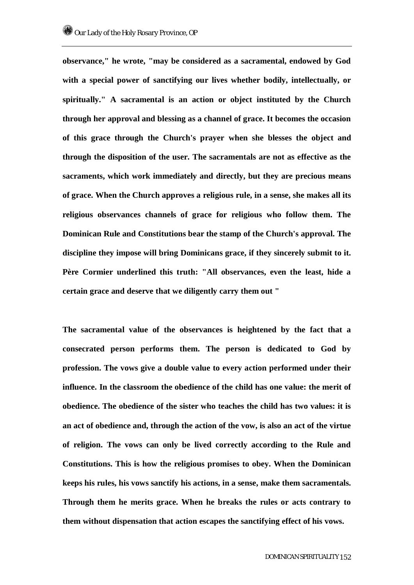**observance," he wrote, "may be considered as a sacramental, endowed by God with a special power of sanctifying our lives whether bodily, intellectually, or spiritually." A sacramental is an action or object instituted by the Church through her approval and blessing as a channel of grace. It becomes the occasion of this grace through the Church's prayer when she blesses the object and through the disposition of the user. The sacramentals are not as effective as the sacraments, which work immediately and directly, but they are precious means of grace. When the Church approves a religious rule, in a sense, she makes all its religious observances channels of grace for religious who follow them. The Dominican Rule and Constitutions bear the stamp of the Church's approval. The discipline they impose will bring Dominicans grace, if they sincerely submit to it. Père Cormier underlined this truth: "All observances, even the least, hide a certain grace and deserve that we diligently carry them out "** 

**The sacramental value of the observances is heightened by the fact that a consecrated person performs them. The person is dedicated to God by profession. The vows give a double value to every action performed under their influence. In the classroom the obedience of the child has one value: the merit of obedience. The obedience of the sister who teaches the child has two values: it is an act of obedience and, through the action of the vow, is also an act of the virtue of religion. The vows can only be lived correctly according to the Rule and Constitutions. This is how the religious promises to obey. When the Dominican keeps his rules, his vows sanctify his actions, in a sense, make them sacramentals. Through them he merits grace. When he breaks the rules or acts contrary to them without dispensation that action escapes the sanctifying effect of his vows.**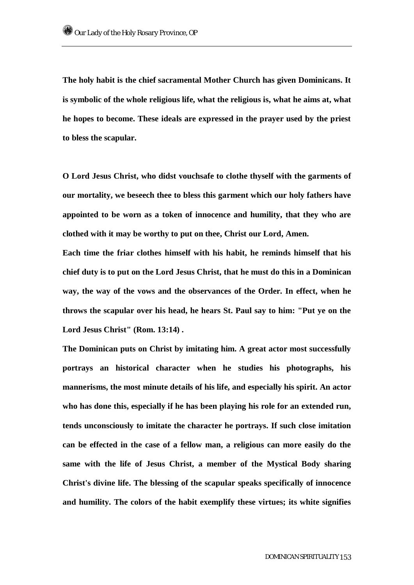**The holy habit is the chief sacramental Mother Church has given Dominicans. It is symbolic of the whole religious life, what the religious is, what he aims at, what he hopes to become. These ideals are expressed in the prayer used by the priest to bless the scapular.** 

**O Lord Jesus Christ, who didst vouchsafe to clothe thyself with the garments of our mortality, we beseech thee to bless this garment which our holy fathers have appointed to be worn as a token of innocence and humility, that they who are clothed with it may be worthy to put on thee, Christ our Lord, Amen.** 

**Each time the friar clothes himself with his habit, he reminds himself that his chief duty is to put on the Lord Jesus Christ, that he must do this in a Dominican way, the way of the vows and the observances of the Order. In effect, when he throws the scapular over his head, he hears St. Paul say to him: "Put ye on the Lord Jesus Christ" (Rom. 13:14) .** 

**The Dominican puts on Christ by imitating him. A great actor most successfully portrays an historical character when he studies his photographs, his mannerisms, the most minute details of his life, and especially his spirit. An actor who has done this, especially if he has been playing his role for an extended run, tends unconsciously to imitate the character he portrays. If such close imitation can be effected in the case of a fellow man, a religious can more easily do the same with the life of Jesus Christ, a member of the Mystical Body sharing Christ's divine life. The blessing of the scapular speaks specifically of innocence and humility. The colors of the habit exemplify these virtues; its white signifies**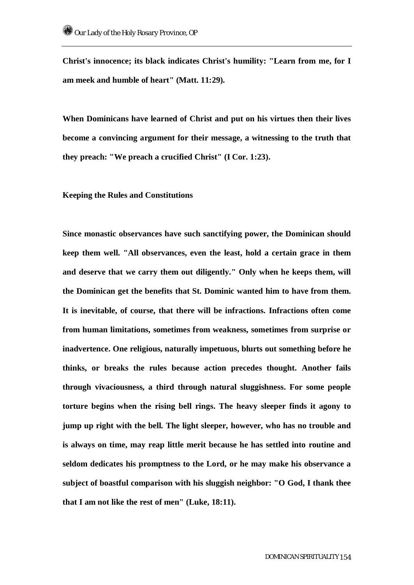**Christ's innocence; its black indicates Christ's humility: "Learn from me, for I am meek and humble of heart" (Matt. 11:29).** 

**When Dominicans have learned of Christ and put on his virtues then their lives become a convincing argument for their message, a witnessing to the truth that they preach: "We preach a crucified Christ" (I Cor. 1:23).** 

**Keeping the Rules and Constitutions** 

**Since monastic observances have such sanctifying power, the Dominican should keep them well. "All observances, even the least, hold a certain grace in them and deserve that we carry them out diligently." Only when he keeps them, will the Dominican get the benefits that St. Dominic wanted him to have from them. It is inevitable, of course, that there will be infractions. Infractions often come from human limitations, sometimes from weakness, sometimes from surprise or inadvertence. One religious, naturally impetuous, blurts out something before he thinks, or breaks the rules because action precedes thought. Another fails through vivaciousness, a third through natural sluggishness. For some people torture begins when the rising bell rings. The heavy sleeper finds it agony to jump up right with the bell. The light sleeper, however, who has no trouble and is always on time, may reap little merit because he has settled into routine and seldom dedicates his promptness to the Lord, or he may make his observance a subject of boastful comparison with his sluggish neighbor: "O God, I thank thee that I am not like the rest of men" (Luke, 18:11).**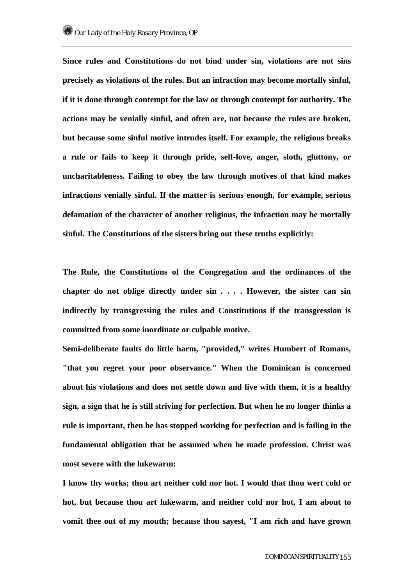**Since rules and Constitutions do not bind under sin, violations are not sins precisely as violations of the rules. But an infraction may become mortally sinful, if it is done through contempt for the law or through contempt for authority. The actions may be venially sinful, and often are, not because the rules are broken, but because some sinful motive intrudes itself. For example, the religious breaks a rule or fails to keep it through pride, self-love, anger, sloth, gluttony, or uncharitableness. Failing to obey the law through motives of that kind makes infractions venially sinful. If the matter is serious enough, for example, serious defamation of the character of another religious, the infraction may be mortally sinful. The Constitutions of the sisters bring out these truths explicitly:** 

**The Rule, the Constitutions of the Congregation and the ordinances of the chapter do not oblige directly under sin . . . . However, the sister can sin indirectly by transgressing the rules and Constitutions if the transgression is committed from some inordinate or culpable motive.** 

**Semi-deliberate faults do little harm, "provided," writes Humbert of Romans, "that you regret your poor observance." When the Dominican is concerned about his violations and does not settle down and live with them, it is a healthy sign, a sign that he is still striving for perfection. But when he no longer thinks a rule is important, then he has stopped working for perfection and is failing in the fundamental obligation that he assumed when he made profession. Christ was most severe with the lukewarm:** 

**I know thy works; thou art neither cold nor hot. I would that thou wert cold or hot, but because thou art lukewarm, and neither cold nor hot, I am about to vomit thee out of my mouth; because thou sayest, "I am rich and have grown**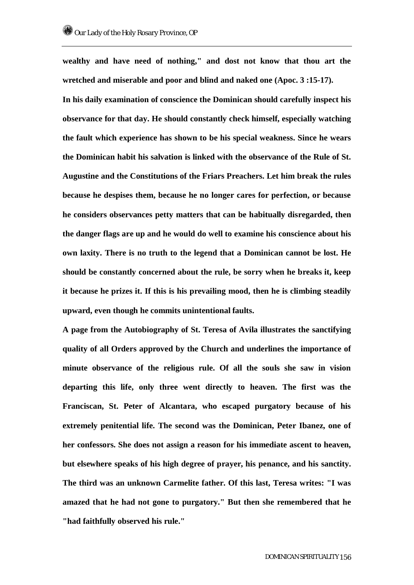**wealthy and have need of nothing," and dost not know that thou art the wretched and miserable and poor and blind and naked one (Apoc. 3 :15-17). In his daily examination of conscience the Dominican should carefully inspect his observance for that day. He should constantly check himself, especially watching the fault which experience has shown to be his special weakness. Since he wears the Dominican habit his salvation is linked with the observance of the Rule of St. Augustine and the Constitutions of the Friars Preachers. Let him break the rules because he despises them, because he no longer cares for perfection, or because he considers observances petty matters that can be habitually disregarded, then the danger flags are up and he would do well to examine his conscience about his own laxity. There is no truth to the legend that a Dominican cannot be lost. He should be constantly concerned about the rule, be sorry when he breaks it, keep it because he prizes it. If this is his prevailing mood, then he is climbing steadily upward, even though he commits unintentional faults.** 

**A page from the Autobiography of St. Teresa of Avila illustrates the sanctifying quality of all Orders approved by the Church and underlines the importance of minute observance of the religious rule. Of all the souls she saw in vision departing this life, only three went directly to heaven. The first was the Franciscan, St. Peter of Alcantara, who escaped purgatory because of his extremely penitential life. The second was the Dominican, Peter Ibanez, one of her confessors. She does not assign a reason for his immediate ascent to heaven, but elsewhere speaks of his high degree of prayer, his penance, and his sanctity. The third was an unknown Carmelite father. Of this last, Teresa writes: "I was amazed that he had not gone to purgatory." But then she remembered that he "had faithfully observed his rule."**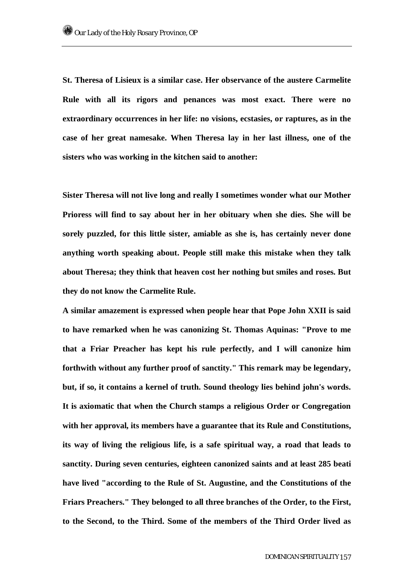**St. Theresa of Lisieux is a similar case. Her observance of the austere Carmelite Rule with all its rigors and penances was most exact. There were no extraordinary occurrences in her life: no visions, ecstasies, or raptures, as in the case of her great namesake. When Theresa lay in her last illness, one of the sisters who was working in the kitchen said to another:** 

**Sister Theresa will not live long and really I sometimes wonder what our Mother Prioress will find to say about her in her obituary when she dies. She will be sorely puzzled, for this little sister, amiable as she is, has certainly never done anything worth speaking about. People still make this mistake when they talk about Theresa; they think that heaven cost her nothing but smiles and roses. But they do not know the Carmelite Rule.** 

**A similar amazement is expressed when people hear that Pope John XXII is said to have remarked when he was canonizing St. Thomas Aquinas: "Prove to me that a Friar Preacher has kept his rule perfectly, and I will canonize him forthwith without any further proof of sanctity." This remark may be legendary, but, if so, it contains a kernel of truth. Sound theology lies behind john's words. It is axiomatic that when the Church stamps a religious Order or Congregation with her approval, its members have a guarantee that its Rule and Constitutions, its way of living the religious life, is a safe spiritual way, a road that leads to sanctity. During seven centuries, eighteen canonized saints and at least 285 beati have lived "according to the Rule of St. Augustine, and the Constitutions of the Friars Preachers." They belonged to all three branches of the Order, to the First, to the Second, to the Third. Some of the members of the Third Order lived as**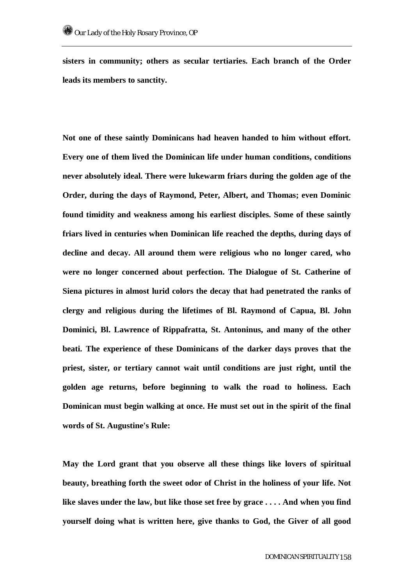**sisters in community; others as secular tertiaries. Each branch of the Order leads its members to sanctity.** 

**Not one of these saintly Dominicans had heaven handed to him without effort. Every one of them lived the Dominican life under human conditions, conditions never absolutely ideal. There were lukewarm friars during the golden age of the Order, during the days of Raymond, Peter, Albert, and Thomas; even Dominic found timidity and weakness among his earliest disciples. Some of these saintly friars lived in centuries when Dominican life reached the depths, during days of decline and decay. All around them were religious who no longer cared, who were no longer concerned about perfection. The Dialogue of St. Catherine of Siena pictures in almost lurid colors the decay that had penetrated the ranks of clergy and religious during the lifetimes of Bl. Raymond of Capua, Bl. John Dominici, Bl. Lawrence of Rippafratta, St. Antoninus, and many of the other beati. The experience of these Dominicans of the darker days proves that the priest, sister, or tertiary cannot wait until conditions are just right, until the golden age returns, before beginning to walk the road to holiness. Each Dominican must begin walking at once. He must set out in the spirit of the final words of St. Augustine's Rule:** 

**May the Lord grant that you observe all these things like lovers of spiritual beauty, breathing forth the sweet odor of Christ in the holiness of your life. Not like slaves under the law, but like those set free by grace . . . . And when you find yourself doing what is written here, give thanks to God, the Giver of all good**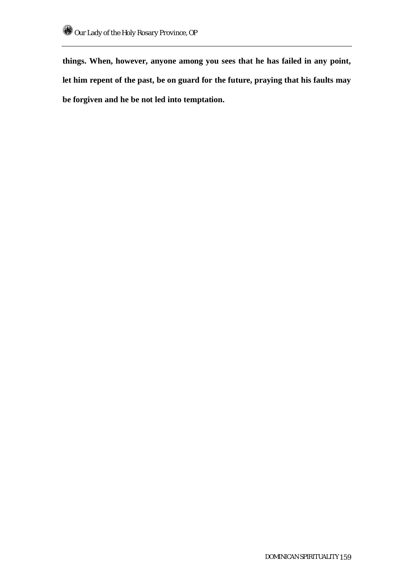**things. When, however, anyone among you sees that he has failed in any point, let him repent of the past, be on guard for the future, praying that his faults may be forgiven and he be not led into temptation.**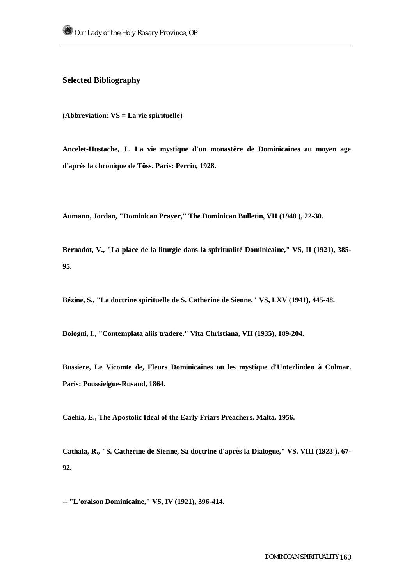## **Selected Bibliography**

**(Abbreviation: VS = La vie spirituelle)** 

**Ancelet-Hustache, J., La vie mystique d'un monastêre de Dominicaines au moyen age d'aprés la chronique de Töss. Paris: Perrin, 1928.** 

**Aumann, Jordan, "Dominican Prayer," The Dominican Bulletin, VII (1948 ), 22-30.** 

**Bernadot, V., "La place de la liturgie dans la spiritualité Dominicaine," VS, II (1921), 385- 95.** 

**Bézine, S., "La doctrine spirituelle de S. Catherine de Sienne," VS, LXV (1941), 445-48.** 

**Bologni, I., "Contemplata aliis tradere," Vita Christiana, VII (1935), 189-204.** 

**Bussiere, Le Vicomte de, Fleurs Dominicaines ou les mystique d'Unterlinden à Colmar. Paris: Poussielgue-Rusand, 1864.** 

**Caehia, E., The Apostolic Ideal of the Early Friars Preachers. Malta, 1956.** 

**Cathala, R., "S. Catherine de Sienne, Sa doctrine d'après la Dialogue," VS. VIII (1923 ), 67- 92.** 

**-- "L'oraison Dominicaine," VS, IV (1921), 396-414.**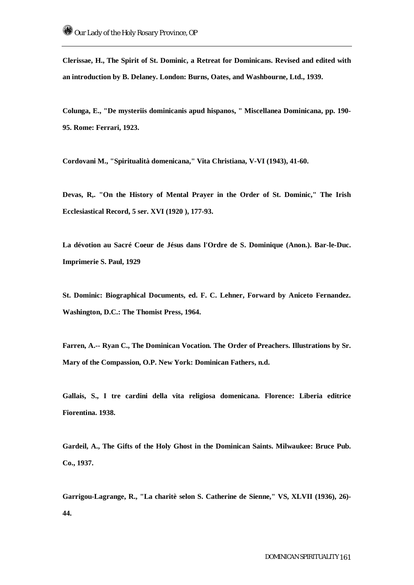**Clerissae, H., The Spirit of St. Dominic, a Retreat for Dominicans. Revised and edited with an introduction by B. Delaney. London: Burns, Oates, and Washbourne, Ltd., 1939.** 

**Colunga, E., "De mysteriis dominicanis apud hispanos, " Miscellanea Dominicana, pp. 190- 95. Rome: Ferrari, 1923.** 

**Cordovani M., "Spiritualità domenicana," Vita Christiana, V-VI (1943), 41-60.** 

**Devas, R,. "On the History of Mental Prayer in the Order of St. Dominic," The Irish Ecclesiastical Record, 5 ser. XVI (1920 ), 177-93.** 

**La dévotion au Sacré Coeur de Jésus dans l'Ordre de S. Dominique (Anon.). Bar-le-Duc. Imprimerie S. Paul, 1929** 

**St. Dominic: Biographical Documents, ed. F. C. Lehner, Forward by Aniceto Fernandez. Washington, D.C.: The Thomist Press, 1964.** 

**Farren, A.-- Ryan C., The Dominican Vocation. The Order of Preachers. Illustrations by Sr. Mary of the Compassion, O.P. New York: Dominican Fathers, n.d.** 

**Gallais, S., I tre cardini della vita religiosa domenicana. Florence: Liberia editrice Fiorentina. 1938.** 

**Gardeil, A., The Gifts of the Holy Ghost in the Dominican Saints. Milwaukee: Bruce Pub. Co., 1937.** 

**Garrigou-Lagrange, R., "La charitè selon S. Catherine de Sienne," VS, XLVII (1936), 26)- 44.**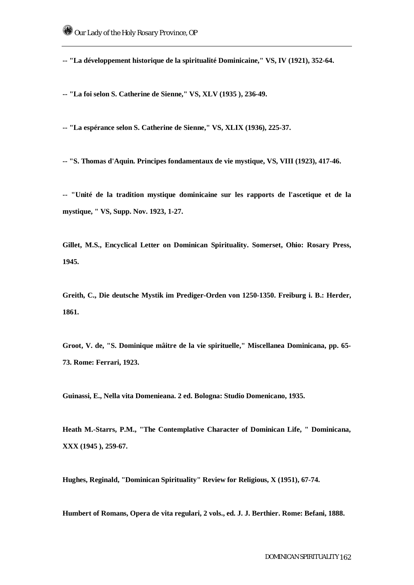**-- "La développement historique de la spiritualité Dominicaine," VS, IV (1921), 352-64.** 

**-- "La foi selon S. Catherine de Sienne," VS, XLV (1935 ), 236-49.** 

**-- "La espérance selon S. Catherine de Sienne," VS, XLIX (1936), 225-37.** 

**-- "S. Thomas d'Aquin. Principes fondamentaux de vie mystique, VS, VIII (1923), 417-46.** 

**-- "Unité de la tradition mystique dominicaine sur les rapports de l'ascetique et de la mystique, " VS, Supp. Nov. 1923, 1-27.** 

**Gillet, M.S., Encyclical Letter on Dominican Spirituality. Somerset, Ohio: Rosary Press, 1945.** 

**Greith, C., Die deutsche Mystik im Prediger-Orden von 1250-1350. Freiburg i. B.: Herder, 1861.** 

**Groot, V. de, "S. Dominique mâitre de la vie spirituelle," Miscellanea Dominicana, pp. 65- 73. Rome: Ferrari, 1923.** 

**Guinassi, E., Nella vita Domenieana. 2 ed. Bologna: Studio Domenicano, 1935.** 

**Heath M.-Starrs, P.M., "The Contemplative Character of Dominican Life, " Dominicana, XXX (1945 ), 259-67.** 

**Hughes, Reginald, "Dominican Spirituality" Review for Religious, X (1951), 67-74.** 

**Humbert of Romans, Opera de vita regulari, 2 vols., ed. J. J. Berthier. Rome: Befani, 1888.**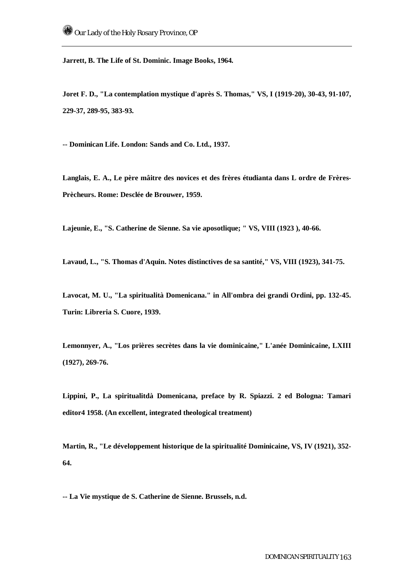**Jarrett, B. The Life of St. Dominic. Image Books, 1964.** 

**Joret F. D., "La contemplation mystique d'après S. Thomas," VS, I (1919-20), 30-43, 91-107, 229-37, 289-95, 383-93.** 

**-- Dominican Life. London: Sands and Co. Ltd., 1937.** 

**Langlais, E. A., Le père mâitre des novices et des frères étudianta dans L ordre de Frères-Prècheurs. Rome: Desclée de Brouwer, 1959.** 

**Lajeunie, E., "S. Catherine de Sienne. Sa vie aposotlique; " VS, VIII (1923 ), 40-66.** 

**Lavaud, L., "S. Thomas d'Aquin. Notes distinctives de sa santité," VS, VIII (1923), 341-75.** 

**Lavocat, M. U., "La spiritualità Domenicana." in All'ombra dei grandi Ordini, pp. 132-45. Turin: Libreria S. Cuore, 1939.** 

**Lemonnyer, A., "Los prières secrètes dans la vie dominicaine," L'anée Dominicaine, LXIII (1927), 269-76.** 

**Lippini, P., La spiritualitdà Domenicana, preface by R. Spiazzi. 2 ed Bologna: Tamari editor4 1958. (An excellent, integrated theological treatment)** 

**Martin, R., "Le développement historique de la spiritualité Dominicaine, VS, IV (1921), 352- 64.** 

**-- La Vie mystique de S. Catherine de Sienne. Brussels, n.d.**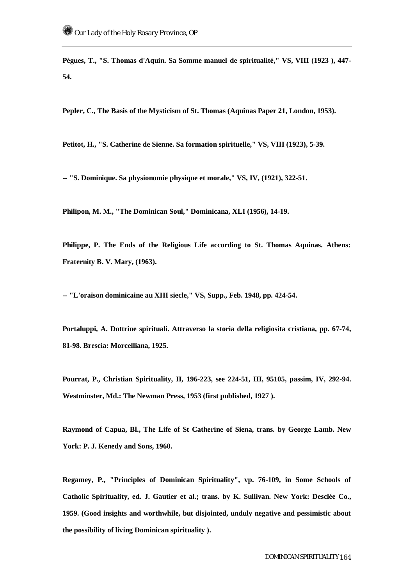**Pègues, T., "S. Thomas d'Aquin. Sa Somme manuel de spiritualité," VS, VIII (1923 ), 447- 54.** 

**Pepler, C., The Basis of the Mysticism of St. Thomas (Aquinas Paper 21, London, 1953).** 

**Petitot, H., "S. Catherine de Sienne. Sa formation spirituelle," VS, VIII (1923), 5-39.** 

**-- "S. Dominique. Sa physionomie physique et morale," VS, IV, (1921), 322-51.** 

**Philipon, M. M., "The Dominican Soul," Dominicana, XLI (1956), 14-19.** 

**Philippe, P. The Ends of the Religious Life according to St. Thomas Aquinas. Athens: Fraternity B. V. Mary, (1963).** 

**-- "L'oraison dominicaine au XIII siecle," VS, Supp., Feb. 1948, pp. 424-54.** 

**Portaluppi, A. Dottrine spirituali. Attraverso la storia della religiosita cristiana, pp. 67-74, 81-98. Brescia: Morcelliana, 1925.** 

**Pourrat, P., Christian Spirituality, II, 196-223, see 224-51, III, 95105, passim, IV, 292-94. Westminster, Md.: The Newman Press, 1953 (first published, 1927 ).** 

**Raymond of Capua, Bl., The Life of St Catherine of Siena, trans. by George Lamb. New York: P. J. Kenedy and Sons, 1960.** 

**Regamey, P., "Principles of Dominican Spirituality", vp. 76-109, in Some Schools of Catholic Spirituality, ed. J. Gautier et al.; trans. by K. Sullivan. New York: Desclée Co., 1959. (Good insights and worthwhile, but disjointed, unduly negative and pessimistic about the possibility of living Dominican spirituality ).**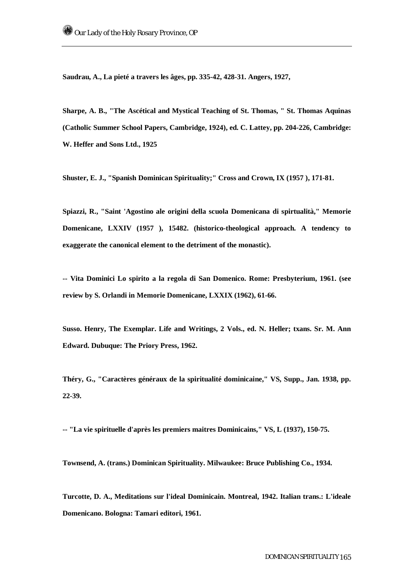**Saudrau, A., La pieté a travers les âges, pp. 335-42, 428-31. Angers, 1927,** 

**Sharpe, A. B., "The Ascétical and Mystical Teaching of St. Thomas, " St. Thomas Aquinas (Catholic Summer School Papers, Cambridge, 1924), ed. C. Lattey, pp. 204-226, Cambridge: W. Heffer and Sons Ltd., 1925** 

**Shuster, E. J., "Spanish Dominican Spirituality;" Cross and Crown, IX (1957 ), 171-81.** 

**Spiazzi, R., "Saint 'Agostino ale origini della scuola Domenicana di spirtualità," Memorie Domenicane, LXXIV (1957 ), 15482. (historico-theological approach. A tendency to exaggerate the canonical element to the detriment of the monastic).** 

**-- Vita Dominici Lo spirito a la regola di San Domenico. Rome: Presbyterium, 1961. (see review by S. Orlandi in Memorie Domenicane, LXXIX (1962), 61-66.** 

**Susso. Henry, The Exemplar. Life and Writings, 2 Vols., ed. N. Heller; txans. Sr. M. Ann Edward. Dubuque: The Priory Press, 1962.** 

**Théry, G., "Caractères généraux de la spiritualité dominicaine," VS, Supp., Jan. 1938, pp. 22-39.** 

**-- "La vie spirituelle d'après les premiers maitres Dominicains," VS, L (1937), 150-75.** 

**Townsend, A. (trans.) Dominican Spirituality. Milwaukee: Bruce Publishing Co., 1934.** 

**Turcotte, D. A., Meditations sur l'ideal Dominicain. Montreal, 1942. Italian trans.: L'ideale Domenicano. Bologna: Tamari editori, 1961.**